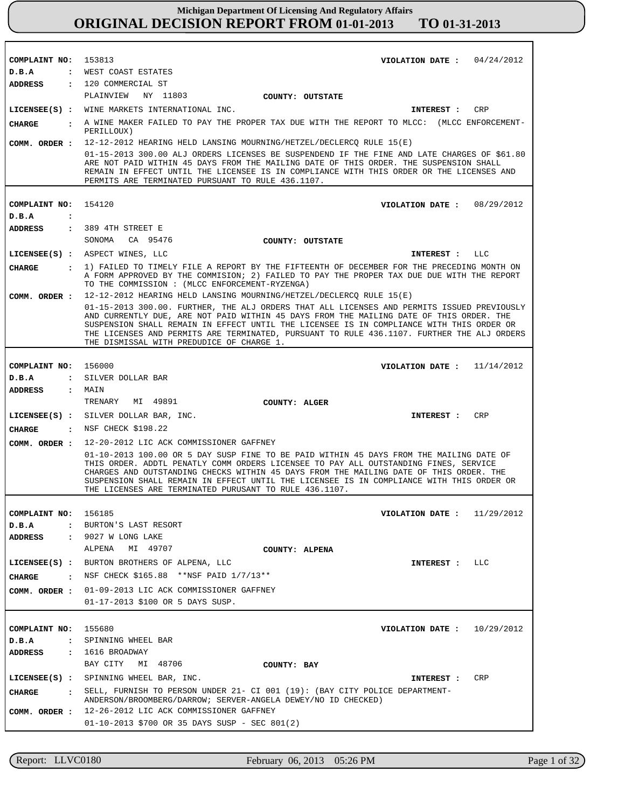| COMPLAINT NO: 153813          | VIOLATION DATE: $04/24/2012$                                                                                                                                                                                                                                                                                                                                                                                                    |
|-------------------------------|---------------------------------------------------------------------------------------------------------------------------------------------------------------------------------------------------------------------------------------------------------------------------------------------------------------------------------------------------------------------------------------------------------------------------------|
| D.B.A                         | : WEST COAST ESTATES                                                                                                                                                                                                                                                                                                                                                                                                            |
|                               | ADDRESS : 120 COMMERCIAL ST<br>PLAINVIEW NY 11803                                                                                                                                                                                                                                                                                                                                                                               |
|                               | COUNTY: OUTSTATE                                                                                                                                                                                                                                                                                                                                                                                                                |
|                               | LICENSEE(S) : WINE MARKETS INTERNATIONAL INC.<br>CRP<br>INTEREST :                                                                                                                                                                                                                                                                                                                                                              |
| CHARGE                        | A WINE MAKER FAILED TO PAY THE PROPER TAX DUE WITH THE REPORT TO MLCC: (MLCC ENFORCEMENT-<br>PERILLOUX)                                                                                                                                                                                                                                                                                                                         |
| COMM. ORDER :                 | 12-12-2012 HEARING HELD LANSING MOURNING/HETZEL/DECLERCQ RULE 15(E)                                                                                                                                                                                                                                                                                                                                                             |
|                               | 01-15-2013 300.00 ALJ ORDERS LICENSES BE SUSPENDEND IF THE FINE AND LATE CHARGES OF \$61.80<br>ARE NOT PAID WITHIN 45 DAYS FROM THE MAILING DATE OF THIS ORDER. THE SUSPENSION SHALL<br>REMAIN IN EFFECT UNTIL THE LICENSEE IS IN COMPLIANCE WITH THIS ORDER OR THE LICENSES AND<br>PERMITS ARE TERMINATED PURSUANT TO RULE 436.1107.                                                                                           |
|                               |                                                                                                                                                                                                                                                                                                                                                                                                                                 |
| COMPLAINT NO:                 | 154120<br>VIOLATION DATE: 08/29/2012                                                                                                                                                                                                                                                                                                                                                                                            |
| D.B.A<br>$\ddot{\phantom{a}}$ |                                                                                                                                                                                                                                                                                                                                                                                                                                 |
| ADDRESS                       | : 389 4TH STREET E<br>SONOMA CA 95476                                                                                                                                                                                                                                                                                                                                                                                           |
|                               | COUNTY: OUTSTATE                                                                                                                                                                                                                                                                                                                                                                                                                |
|                               | LICENSEE(S) : ASPECT WINES, LLC<br>INTEREST :<br>LLC                                                                                                                                                                                                                                                                                                                                                                            |
| CHARGE                        | . 1) FAILED TO TIMELY FILE A REPORT BY THE FIFTEENTH OF DECEMBER FOR THE PRECEDING MONTH ON<br>A FORM APPROVED BY THE COMMISION; 2) FAILED TO PAY THE PROPER TAX DUE DUE WITH THE REPORT<br>TO THE COMMISSION : (MLCC ENFORCEMENT-RYZENGA)                                                                                                                                                                                      |
| COMM. ORDER :                 | 12-12-2012 HEARING HELD LANSING MOURNING/HETZEL/DECLERCQ RULE 15(E)                                                                                                                                                                                                                                                                                                                                                             |
|                               | 01-15-2013 300.00. FURTHER, THE ALJ ORDERS THAT ALL LICENSES AND PERMITS ISSUED PREVIOUSLY<br>AND CURRENTLY DUE, ARE NOT PAID WITHIN 45 DAYS FROM THE MAILING DATE OF THIS ORDER. THE<br>SUSPENSION SHALL REMAIN IN EFFECT UNTIL THE LICENSEE IS IN COMPLIANCE WITH THIS ORDER OR<br>THE LICENSES AND PERMITS ARE TERMINATED, PURSUANT TO RULE 436.1107. FURTHER THE ALJ ORDERS<br>THE DISMISSAL WITH PREDUDICE OF CHARGE 1.    |
|                               |                                                                                                                                                                                                                                                                                                                                                                                                                                 |
| COMPLAINT NO: 156000          | 11/14/2012<br>VIOLATION DATE :                                                                                                                                                                                                                                                                                                                                                                                                  |
| D.B.A                         | : SILVER DOLLAR BAR                                                                                                                                                                                                                                                                                                                                                                                                             |
| ADDRESS : MAIN                |                                                                                                                                                                                                                                                                                                                                                                                                                                 |
|                               | TRENARY<br>MI 49891<br>COUNTY: ALGER                                                                                                                                                                                                                                                                                                                                                                                            |
|                               | LICENSEE(S) : SILVER DOLLAR BAR, INC.<br>CRP<br><b>INTEREST :</b>                                                                                                                                                                                                                                                                                                                                                               |
| CHARGE                        | : NSF CHECK \$198.22                                                                                                                                                                                                                                                                                                                                                                                                            |
| COMM. ORDER :                 | 12-20-2012 LIC ACK COMMISSIONER GAFFNEY                                                                                                                                                                                                                                                                                                                                                                                         |
|                               | 01-10-2013 100.00 OR 5 DAY SUSP FINE TO BE PAID WITHIN 45 DAYS FROM THE MAILING DATE OF<br>THIS ORDER. ADDTL PENATLY COMM ORDERS LICENSEE TO PAY ALL OUTSTANDING FINES, SERVICE<br>CHARGES AND OUTSTANDING CHECKS WITHIN 45 DAYS FROM THE MAILING DATE OF THIS ORDER. THE<br>SUSPENSION SHALL REMAIN IN EFFECT UNTIL THE LICENSEE IS IN COMPLIANCE WITH THIS ORDER OR<br>THE LICENSES ARE TERMINATED PURUSANT TO RULE 436.1107. |
|                               |                                                                                                                                                                                                                                                                                                                                                                                                                                 |
| COMPLAINT NO:<br>D.B.A        | 156185<br>11/29/2012<br>VIOLATION DATE :<br>: BURTON'S LAST RESORT                                                                                                                                                                                                                                                                                                                                                              |
| ADDRESS                       | : 9027 W LONG LAKE                                                                                                                                                                                                                                                                                                                                                                                                              |
|                               | ALPENA<br>MI 49707<br>COUNTY: ALPENA                                                                                                                                                                                                                                                                                                                                                                                            |
| LICENSEE(S) :                 | BURTON BROTHERS OF ALPENA, LLC<br>LLC<br>INTEREST :                                                                                                                                                                                                                                                                                                                                                                             |
| $\sim$ $\sim$ $\sim$ $\sim$   | NSF CHECK \$165.88 **NSF PAID 1/7/13**                                                                                                                                                                                                                                                                                                                                                                                          |
| CHARGE                        | COMM. ORDER : 01-09-2013 LIC ACK COMMISSIONER GAFFNEY                                                                                                                                                                                                                                                                                                                                                                           |
|                               | 01-17-2013 \$100 OR 5 DAYS SUSP.                                                                                                                                                                                                                                                                                                                                                                                                |
|                               |                                                                                                                                                                                                                                                                                                                                                                                                                                 |
| COMPLAINT NO:                 | 155680<br>10/29/2012<br>VIOLATION DATE :                                                                                                                                                                                                                                                                                                                                                                                        |
|                               |                                                                                                                                                                                                                                                                                                                                                                                                                                 |
| D.B.A                         | : SPINNING WHEEL BAR                                                                                                                                                                                                                                                                                                                                                                                                            |
| ADDRESS                       | $: 1616$ BROADWAY                                                                                                                                                                                                                                                                                                                                                                                                               |
|                               | BAY CITY<br>MI 48706<br>COUNTY: BAY                                                                                                                                                                                                                                                                                                                                                                                             |
|                               | LICENSEE(S) : SPINNING WHEEL BAR, INC.<br>CRP<br>INTEREST :                                                                                                                                                                                                                                                                                                                                                                     |
| CHARGE<br>$\sim$ 1.           | SELL, FURNISH TO PERSON UNDER 21- CI 001 (19): (BAY CITY POLICE DEPARTMENT-<br>ANDERSON/BROOMBERG/DARROW; SERVER-ANGELA DEWEY/NO ID CHECKED)                                                                                                                                                                                                                                                                                    |
| COMM. ORDER :                 | 12-26-2012 LIC ACK COMMISSIONER GAFFNEY                                                                                                                                                                                                                                                                                                                                                                                         |

Report: LLVC0180 February 06, 2013 05:26 PM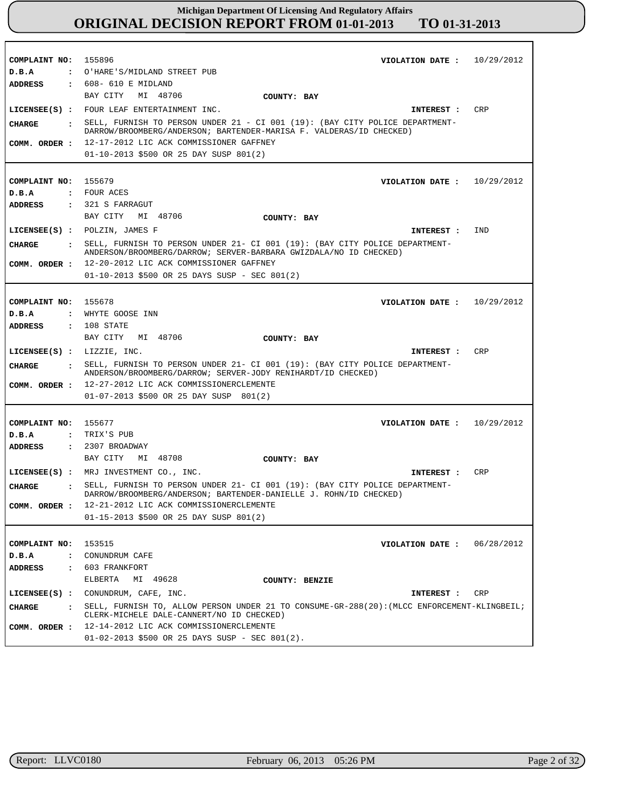| COMPLAINT NO: 155896                            | VIOLATION DATE: $10/29/2012$                                                                                                                                     |            |
|-------------------------------------------------|------------------------------------------------------------------------------------------------------------------------------------------------------------------|------------|
| D.B.A                                           | : O'HARE'S/MIDLAND STREET PUB                                                                                                                                    |            |
| <b>ADDRESS</b>                                  | $: 608 - 610$ E MIDLAND                                                                                                                                          |            |
|                                                 | BAY CITY MI 48706<br>COUNTY: BAY                                                                                                                                 |            |
|                                                 | LICENSEE(S) : FOUR LEAF ENTERTAINMENT INC.<br>INTEREST :                                                                                                         | <b>CRP</b> |
| <b>CHARGE</b><br>$\ddot{\cdot}$                 | SELL, FURNISH TO PERSON UNDER 21 - CI 001 (19): (BAY CITY POLICE DEPARTMENT-<br>DARROW/BROOMBERG/ANDERSON; BARTENDER-MARISA F. VALDERAS/ID CHECKED)              |            |
| COMM. ORDER :                                   | 12-17-2012 LIC ACK COMMISSIONER GAFFNEY                                                                                                                          |            |
|                                                 | 01-10-2013 \$500 OR 25 DAY SUSP 801(2)                                                                                                                           |            |
|                                                 |                                                                                                                                                                  |            |
| COMPLAINT NO:                                   | 155679<br>VIOLATION DATE: $10/29/2012$                                                                                                                           |            |
| D.B.A                                           | : FOUR ACES                                                                                                                                                      |            |
| <b>ADDRESS</b>                                  | : 321 S FARRAGUT                                                                                                                                                 |            |
|                                                 | BAY CITY MI 48706<br>COUNTY: BAY                                                                                                                                 |            |
|                                                 | LICENSEE(S) : POLZIN, JAMES F<br>INTEREST :                                                                                                                      | IND        |
|                                                 |                                                                                                                                                                  |            |
| <b>CHARGE</b>                                   | SELL, FURNISH TO PERSON UNDER 21- CI 001 (19): (BAY CITY POLICE DEPARTMENT-<br>$\mathbf{r}$<br>ANDERSON/BROOMBERG/DARROW; SERVER-BARBARA GWIZDALA/NO ID CHECKED) |            |
| COMM. ORDER :                                   | 12-20-2012 LIC ACK COMMISSIONER GAFFNEY                                                                                                                          |            |
|                                                 | 01-10-2013 \$500 OR 25 DAYS SUSP - SEC 801(2)                                                                                                                    |            |
|                                                 |                                                                                                                                                                  |            |
| COMPLAINT NO: 155678                            | VIOLATION DATE: $10/29/2012$                                                                                                                                     |            |
| D.B.A<br>$\mathbf{r}$                           | WHYTE GOOSE INN                                                                                                                                                  |            |
| <b>ADDRESS</b>                                  | $: 108$ STATE                                                                                                                                                    |            |
|                                                 | BAY CITY MI 48706<br>COUNTY: BAY                                                                                                                                 |            |
|                                                 |                                                                                                                                                                  |            |
|                                                 |                                                                                                                                                                  |            |
|                                                 | LICENSEE(S) : LIZZIE, INC.<br>INTEREST :                                                                                                                         | <b>CRP</b> |
| CHARGE                                          | . SELL, FURNISH TO PERSON UNDER 21- CI 001 (19): (BAY CITY POLICE DEPARTMENT-                                                                                    |            |
|                                                 | ANDERSON/BROOMBERG/DARROW; SERVER-JODY RENIHARDT/ID CHECKED)                                                                                                     |            |
| COMM. ORDER :                                   | 12-27-2012 LIC ACK COMMISSIONERCLEMENTE                                                                                                                          |            |
|                                                 | $01-07-2013$ \$500 OR 25 DAY SUSP 801(2)                                                                                                                         |            |
|                                                 |                                                                                                                                                                  |            |
| COMPLAINT NO: 155677                            | VIOLATION DATE: $10/29/2012$                                                                                                                                     |            |
| D.B.A                                           | : TRIX'S PUB                                                                                                                                                     |            |
| ADDRESS                                         | $: 2307$ BROADWAY                                                                                                                                                |            |
|                                                 | BAY CITY<br>MI 48708<br>COUNTY: BAY                                                                                                                              |            |
|                                                 | LICENSEE(S) : MRJ INVESTMENT CO., INC.<br>INTEREST :                                                                                                             | <b>CRP</b> |
| <b>CHARGE</b><br>$\ddot{\cdot}$                 | SELL, FURNISH TO PERSON UNDER 21- CI 001 (19): (BAY CITY POLICE DEPARTMENT-<br>DARROW/BROOMBERG/ANDERSON; BARTENDER-DANIELLE J. ROHN/ID CHECKED)                 |            |
|                                                 | 12-21-2012 LIC ACK COMMISSIONERCLEMENTE                                                                                                                          |            |
| COMM. ORDER :                                   | 01-15-2013 \$500 OR 25 DAY SUSP 801(2)                                                                                                                           |            |
|                                                 |                                                                                                                                                                  |            |
|                                                 |                                                                                                                                                                  |            |
| COMPLAINT NO:                                   | 153515<br>VIOLATION DATE :                                                                                                                                       | 06/28/2012 |
| D.B.A<br>$\ddot{\phantom{a}}$<br>$\ddot{\cdot}$ | CONUNDRUM CAFE<br>603 FRANKFORT                                                                                                                                  |            |
| <b>ADDRESS</b>                                  | ELBERTA                                                                                                                                                          |            |
|                                                 | MI 49628<br>COUNTY: BENZIE                                                                                                                                       |            |
| $LICENSEE(S)$ :                                 | CONUNDRUM, CAFE, INC.<br>INTEREST :                                                                                                                              | CRP        |
| <b>CHARGE</b><br>$\ddot{\cdot}$                 | SELL, FURNISH TO, ALLOW PERSON UNDER 21 TO CONSUME-GR-288(20): (MLCC ENFORCEMENT-KLINGBEIL;<br>CLERK-MICHELE DALE-CANNERT/NO ID CHECKED)                         |            |
| COMM. ORDER :                                   | 12-14-2012 LIC ACK COMMISSIONERCLEMENTE<br>$01-02-2013$ \$500 OR 25 DAYS SUSP - SEC 801(2).                                                                      |            |

г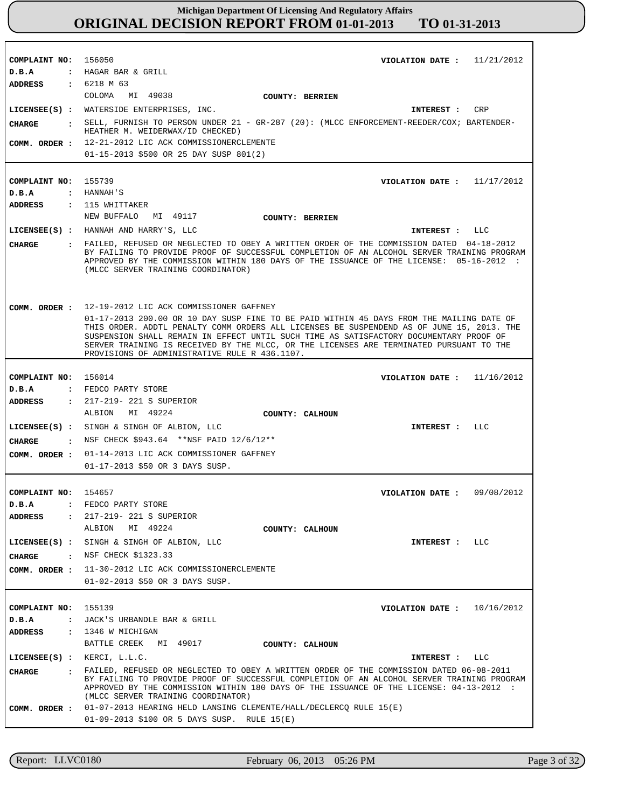**COMPLAINT NO:** 156050 **COMPLAINT NO:** 155739 **COMPLAINT NO:** 156014 **COMPLAINT NO:** 154657 **COMPLAINT NO:** 155139 **VIOLATION DATE : VIOLATION DATE :** 11/17/2012 **VIOLATION DATE : VIOLATION DATE :** 09/08/2012 **VIOLATION DATE :** 11/21/2012 11/16/2012 10/16/2012 **D.B.A : D.B.A : D.B.A : D.B.A : D.B.A :** HAGAR BAR & GRILL HANNAH'S FEDCO PARTY STORE FEDCO PARTY STORE JACK'S URBANDLE BAR & GRILL **ADDRESS : ADDRESS : ADDRESS : ADDRESS : ADDRESS :** 6218 M 63 115 WHITTAKER 217-219- 221 S SUPERIOR 217-219- 221 S SUPERIOR 1346 W MICHIGAN COLOMA MI 49038 NEW BUFFALO MT 49117 ALBION MI 49224 ALBION MI 49224 BATTLE CREEK MI 49017 12-21-2012 LIC ACK COMMISSIONERCLEMENTE **COMM. ORDER :** 01-15-2013 \$500 OR 25 DAY SUSP 801(2) 12-19-2012 LIC ACK COMMISSIONER GAFFNEY 01-17-2013 200.00 OR 10 DAY SUSP FINE TO BE PAID WITHIN 45 DAYS FROM THE MAILING DATE OF THIS ORDER. ADDTL PENALTY COMM ORDERS ALL LICENSES BE SUSPENDEND AS OF JUNE 15, 2013. THE SUSPENSION SHALL REMAIN IN EFFECT UNTIL SUCH TIME AS SATISFACTORY DOCUMENTARY PROOF OF SERVER TRAINING IS RECEIVED BY THE MLCC, OR THE LICENSES ARE TERMINATED PURSUANT TO THE PROVISIONS OF ADMINISTRATIVE RULE R 436.1107. 01-14-2013 LIC ACK COMMISSIONER GAFFNEY **COMM. ORDER :** 01-17-2013 \$50 OR 3 DAYS SUSP. 11-30-2012 LIC ACK COMMISSIONERCLEMENTE **COMM. ORDER :** 01-02-2013 \$50 OR 3 DAYS SUSP. COMM. ORDER : 01-07-2013 HEARING HELD LANSING CLEMENTE/HALL/DECLERCQ RULE 15(E) 01-09-2013 \$100 OR 5 DAYS SUSP. RULE 15(E) **LICENSEE(S) :** WATERSIDE ENTERPRISES, INC. **LICENSEE(S) :** HANNAH AND HARRY'S, LLC **LICENSEE(S) :** SINGH & SINGH OF ALBION, LLC **LICENSEE(S) :** SINGH & SINGH OF ALBION, LLC **LICENSEE(S) :** KERCI, L.L.C. CRP LLC  $T.T.C$  $L.L.C$ LLC **CHARGE : CHARGE : CHARGE : CHARGE : CHARGE :** SELL, FURNISH TO PERSON UNDER 21 - GR-287 (20): (MLCC ENFORCEMENT-REEDER/COX; BARTENDER-HEATHER M. WEIDERWAX/ID CHECKED) FAILED, REFUSED OR NEGLECTED TO OBEY A WRITTEN ORDER OF THE COMMISSION DATED 04-18-2012 BY FAILING TO PROVIDE PROOF OF SUCCESSFUL COMPLETION OF AN ALCOHOL SERVER TRAINING PROGRAM APPROVED BY THE COMMISSION WITHIN 180 DAYS OF THE ISSUANCE OF THE LICENSE: 05-16-2012 : (MLCC SERVER TRAINING COORDINATOR) NSF CHECK \$943.64 \*\*NSF PAID 12/6/12\*\* : NSF CHECK \$1323.33 FAILED, REFUSED OR NEGLECTED TO OBEY A WRITTEN ORDER OF THE COMMISSION DATED 06-08-2011 BY FAILING TO PROVIDE PROOF OF SUCCESSFUL COMPLETION OF AN ALCOHOL SERVER TRAINING PROGRAM APPROVED BY THE COMMISSION WITHIN 180 DAYS OF THE ISSUANCE OF THE LICENSE: 04-13-2012 : (MLCC SERVER TRAINING COORDINATOR) **INTEREST : INTEREST : INTEREST : INTEREST : INTEREST : COMM. ORDER : COUNTY: BERRIEN COUNTY: BERRIEN COUNTY: CALHOUN COUNTY: CALHOUN COUNTY: CALHOUN**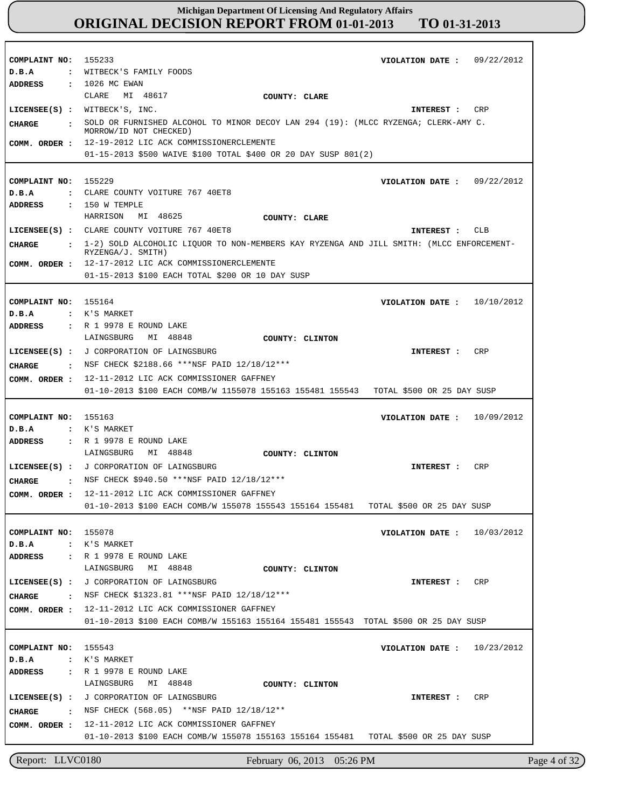| COMPLAINT NO:                   | 155233<br>09/22/2012                                                                                                              |
|---------------------------------|-----------------------------------------------------------------------------------------------------------------------------------|
| D.B.A<br>$\ddot{\phantom{a}}$   | VIOLATION DATE :<br>WITBECK'S FAMILY FOODS                                                                                        |
| ADDRESS<br>$\ddot{\phantom{a}}$ | 1026 MC EWAN                                                                                                                      |
|                                 | CLARE<br>MI 48617<br>COUNTY: CLARE                                                                                                |
|                                 | WITBECK'S, INC.                                                                                                                   |
| $LICENSEE(S)$ :                 | CRP<br>INTEREST :                                                                                                                 |
| <b>CHARGE</b>                   | SOLD OR FURNISHED ALCOHOL TO MINOR DECOY LAN 294 (19): (MLCC RYZENGA; CLERK-AMY C.<br>MORROW/ID NOT CHECKED)                      |
| COMM. ORDER :                   | 12-19-2012 LIC ACK COMMISSIONERCLEMENTE                                                                                           |
|                                 | $01-15-2013$ \$500 WAIVE \$100 TOTAL \$400 OR 20 DAY SUSP 801(2)                                                                  |
|                                 |                                                                                                                                   |
| COMPLAINT NO:                   | 155229<br>VIOLATION DATE :<br>09/22/2012                                                                                          |
| D.B.A<br>$\cdot$                | CLARE COUNTY VOITURE 767 40ET8                                                                                                    |
| <b>ADDRESS</b>                  | $: 150$ W TEMPLE                                                                                                                  |
|                                 | HARRISON<br>MI 48625<br>COUNTY: CLARE                                                                                             |
| $LICENSEE(S)$ :                 | CLARE COUNTY VOITURE 767 40ET8<br>CLB<br>INTEREST :                                                                               |
|                                 |                                                                                                                                   |
| <b>CHARGE</b>                   | 1-2) SOLD ALCOHOLIC LIQUOR TO NON-MEMBERS KAY RYZENGA AND JILL SMITH: (MLCC ENFORCEMENT-<br>RYZENGA/J. SMITH)                     |
| COMM. ORDER :                   | 12-17-2012 LIC ACK COMMISSIONERCLEMENTE                                                                                           |
|                                 | 01-15-2013 \$100 EACH TOTAL \$200 OR 10 DAY SUSP                                                                                  |
|                                 |                                                                                                                                   |
| COMPLAINT NO:                   | 155164<br>10/10/2012<br>VIOLATION DATE :                                                                                          |
| D.B.A                           | : K'S MARKET                                                                                                                      |
| ADDRESS                         | : R 1 9978 E ROUND LAKE                                                                                                           |
|                                 | LAINGSBURG<br>MI 48848<br>COUNTY: CLINTON                                                                                         |
| $LICENSEE(S)$ :                 | J CORPORATION OF LAINGSBURG<br>CRP<br>INTEREST :                                                                                  |
| <b>CHARGE</b><br>$\sim$ 1       | NSF CHECK \$2188.66 ***NSF PAID 12/18/12***                                                                                       |
|                                 |                                                                                                                                   |
| COMM. ORDER :                   | 12-11-2012 LIC ACK COMMISSIONER GAFFNEY                                                                                           |
|                                 | 01-10-2013 \$100 EACH COMB/W 1155078 155163 155481 155543<br>TOTAL \$500 OR 25 DAY SUSP                                           |
|                                 |                                                                                                                                   |
| COMPLAINT NO:                   | 155163<br>10/09/2012<br>VIOLATION DATE :                                                                                          |
| D.B.A                           | : K'S MARKET                                                                                                                      |
| ADDRESS<br>$\mathbf{r}$         | R 1 9978 E ROUND LAKE                                                                                                             |
|                                 | MI 48848<br>LAINGSBURG<br>COUNTY: CLINTON                                                                                         |
| $LICENSEE(S)$ :                 | CRP<br>J CORPORATION OF LAINGSBURG<br>INTEREST :                                                                                  |
| CHARGE<br>$\ddot{\cdot}$        | NSF CHECK \$940.50 ***NSF PAID 12/18/12***                                                                                        |
| COMM. ORDER :                   | 12-11-2012 LIC ACK COMMISSIONER GAFFNEY                                                                                           |
|                                 | 01-10-2013 \$100 EACH COMB/W 155078 155543 155164 155481<br>TOTAL \$500 OR 25 DAY SUSP                                            |
|                                 |                                                                                                                                   |
| COMPLAINT NO: 155078            | 10/03/2012<br>VIOLATION DATE :                                                                                                    |
| D.B.A                           | : K'S MARKET                                                                                                                      |
| ADDRESS                         | : R 1 9978 E ROUND LAKE                                                                                                           |
|                                 | LAINGSBURG<br>MI 48848<br>COUNTY: CLINTON                                                                                         |
|                                 | LICENSEE(S) : J CORPORATION OF LAINGSBURG<br>CRP<br><b>INTEREST :</b>                                                             |
| CHARGE<br>$\sim$ $\sim$ $\sim$  | NSF CHECK \$1323.81 ***NSF PAID 12/18/12***                                                                                       |
| COMM. ORDER :                   | 12-11-2012 LIC ACK COMMISSIONER GAFFNEY                                                                                           |
|                                 | 01-10-2013 \$100 EACH COMB/W 155163 155164 155481 155543 TOTAL \$500 OR 25 DAY SUSP                                               |
|                                 |                                                                                                                                   |
| COMPLAINT NO:                   | 155543<br>10/23/2012<br>VIOLATION DATE :                                                                                          |
| D.B.A                           | : K'S MARKET                                                                                                                      |
| ADDRESS                         | : R 1 9978 E ROUND LAKE                                                                                                           |
|                                 | LAINGSBURG<br>MI 48848<br>COUNTY: CLINTON                                                                                         |
|                                 | LICENSEE(S) : J CORPORATION OF LAINGSBURG<br>CRP<br>INTEREST :                                                                    |
|                                 |                                                                                                                                   |
|                                 |                                                                                                                                   |
| CHARGE                          | : NSF CHECK (568.05) **NSF PAID 12/18/12**                                                                                        |
| COMM. ORDER :                   | 12-11-2012 LIC ACK COMMISSIONER GAFFNEY<br>01-10-2013 \$100 EACH COMB/W 155078 155163 155164 155481<br>TOTAL \$500 OR 25 DAY SUSP |

Report: LLVC0180 February 06, 2013 05:26 PM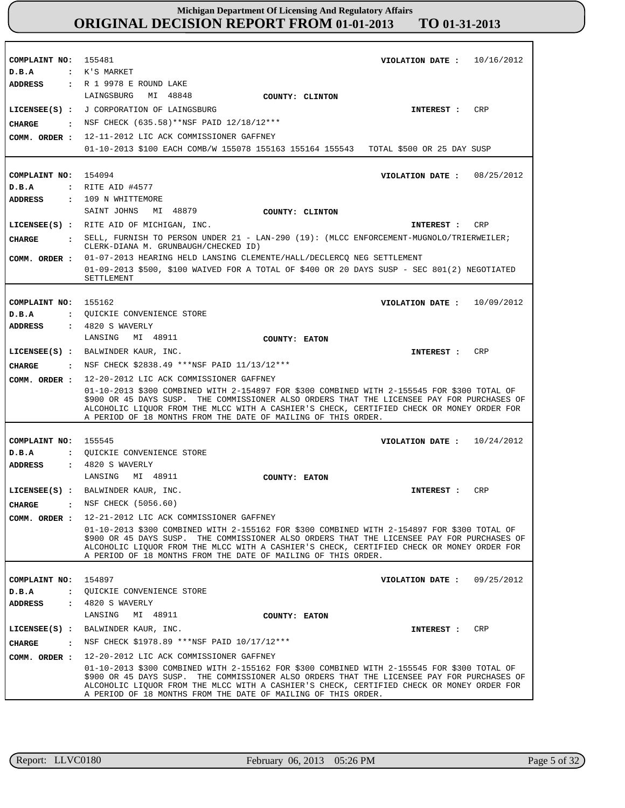| COMPLAINT NO: 155481                   | VIOLATION DATE: $10/16/2012$                                                                                                                                                                                                                                                                                                                            |
|----------------------------------------|---------------------------------------------------------------------------------------------------------------------------------------------------------------------------------------------------------------------------------------------------------------------------------------------------------------------------------------------------------|
| D.B.A                                  | : K'S MARKET                                                                                                                                                                                                                                                                                                                                            |
| ADDRESS                                | : R 1 9978 E ROUND LAKE                                                                                                                                                                                                                                                                                                                                 |
|                                        | LAINGSBURG MI 48848<br>COUNTY: CLINTON                                                                                                                                                                                                                                                                                                                  |
|                                        | LICENSEE(S) : J CORPORATION OF LAINGSBURG<br>CRP<br>INTEREST :                                                                                                                                                                                                                                                                                          |
| CIIARGE                                | : NSF CHECK (635.58) ** NSF PAID 12/18/12 ***                                                                                                                                                                                                                                                                                                           |
| COMM. ORDER :                          | 12-11-2012 LIC ACK COMMISSIONER GAFFNEY                                                                                                                                                                                                                                                                                                                 |
|                                        | 01-10-2013 \$100 EACH COMB/W 155078 155163 155164 155543 TOTAL \$500 OR 25 DAY SUSP                                                                                                                                                                                                                                                                     |
|                                        |                                                                                                                                                                                                                                                                                                                                                         |
| COMPLAINT NO: 154094                   | VIOLATION DATE: $08/25/2012$                                                                                                                                                                                                                                                                                                                            |
| D.B.A                                  | : RITE AID #4577                                                                                                                                                                                                                                                                                                                                        |
| <b>ADDRESS</b>                         | : 109 N WHITTEMORE                                                                                                                                                                                                                                                                                                                                      |
|                                        | MI 48879<br>SAINT JOHNS<br><b>COUNTY: CLINTON</b>                                                                                                                                                                                                                                                                                                       |
|                                        | LICENSEE(S) : RITE AID OF MICHIGAN, INC.<br>INTEREST : CRP                                                                                                                                                                                                                                                                                              |
| CIIARGE                                | : SELL, FURNISH TO PERSON UNDER 21 - LAN-290 (19): (MLCC ENFORCEMENT-MUGNOLO/TRIERWEILER;<br>CLERK-DIANA M. GRUNBAUGH/CHECKED ID)                                                                                                                                                                                                                       |
|                                        | COMM. ORDER : 01-07-2013 HEARING HELD LANSING CLEMENTE/HALL/DECLERCQ NEG SETTLEMENT                                                                                                                                                                                                                                                                     |
|                                        | 01-09-2013 \$500, \$100 WAIVED FOR A TOTAL OF \$400 OR 20 DAYS SUSP - SEC 801(2) NEGOTIATED                                                                                                                                                                                                                                                             |
|                                        | SETTLEMENT                                                                                                                                                                                                                                                                                                                                              |
|                                        |                                                                                                                                                                                                                                                                                                                                                         |
| COMPLAINT NO:                          | 155162<br>VIOLATION DATE: $10/09/2012$                                                                                                                                                                                                                                                                                                                  |
| D.B.A                                  | : QUICKIE CONVENIENCE STORE                                                                                                                                                                                                                                                                                                                             |
| ADDRESS                                | $\,$ : 4820 S WAVERLY                                                                                                                                                                                                                                                                                                                                   |
|                                        | LANSING MI 48911<br>COUNTY: EATON                                                                                                                                                                                                                                                                                                                       |
|                                        | LICENSEE(S) : BALWINDER KAUR, INC.<br>CRP<br><b>INTEREST :</b>                                                                                                                                                                                                                                                                                          |
| CIIARGE                                | NSF CHECK \$2838.49 ***NSF PAID 11/13/12***                                                                                                                                                                                                                                                                                                             |
| COMM. ORDER :                          | 12-20-2012 LIC ACK COMMISSIONER GAFFNEY                                                                                                                                                                                                                                                                                                                 |
|                                        | 01-10-2013 \$300 COMBINED WITH 2-154897 FOR \$300 COMBINED WITH 2-155545 FOR \$300 TOTAL OF<br>\$900 OR 45 DAYS SUSP. THE COMMISSIONER ALSO ORDERS THAT THE LICENSEE PAY FOR PURCHASES OF<br>ALCOHOLIC LIQUOR FROM THE MLCC WITH A CASHIER'S CHECK, CERTIFIED CHECK OR MONEY ORDER FOR<br>A PERIOD OF 18 MONTHS FROM THE DATE OF MAILING OF THIS ORDER. |
|                                        |                                                                                                                                                                                                                                                                                                                                                         |
| COMPLAINT NO: 155545                   | VIOLATION DATE: $10/24/2012$                                                                                                                                                                                                                                                                                                                            |
| D.B.A                                  | : OUICKIE CONVENIENCE STORE                                                                                                                                                                                                                                                                                                                             |
| <b>ADDRESS</b>                         | $: 4820 S$ WAVERLY                                                                                                                                                                                                                                                                                                                                      |
|                                        | LANSING MI 48911<br>COUNTY: EATON                                                                                                                                                                                                                                                                                                                       |
|                                        | LICENSEE(S) : BALWINDER KAUR, INC.<br>CRP<br>INTEREST :                                                                                                                                                                                                                                                                                                 |
| <b>CHARGE</b>                          | : NSF CHECK (5056.60)                                                                                                                                                                                                                                                                                                                                   |
|                                        | COMM. ORDER : 12-21-2012 LIC ACK COMMISSIONER GAFFNEY                                                                                                                                                                                                                                                                                                   |
|                                        | 01-10-2013 \$300 COMBINED WITH 2-155162 FOR \$300 COMBINED WITH 2-154897 FOR \$300 TOTAL OF<br>\$900 OR 45 DAYS SUSP. THE COMMISSIONER ALSO ORDERS THAT THE LICENSEE PAY FOR PURCHASES OF<br>ALCOHOLIC LIQUOR FROM THE MLCC WITH A CASHIER'S CHECK, CERTIFIED CHECK OR MONEY ORDER FOR<br>A PERIOD OF 18 MONTHS FROM THE DATE OF MAILING OF THIS ORDER. |
|                                        |                                                                                                                                                                                                                                                                                                                                                         |
| COMPLAINT NO:                          | 154897<br>VIOLATION DATE: $09/25/2012$                                                                                                                                                                                                                                                                                                                  |
| D.B.A<br>$\ddot{\phantom{a}}$          | QUICKIE CONVENIENCE STORE                                                                                                                                                                                                                                                                                                                               |
| <b>ADDRESS</b><br>$\ddot{\phantom{a}}$ | 4820 S WAVERLY                                                                                                                                                                                                                                                                                                                                          |
|                                        | MI 48911<br>LANSING<br>COUNTY: EATON                                                                                                                                                                                                                                                                                                                    |
| $LICENSE (S)$ :                        | BALWINDER KAUR, INC.<br>CRP<br><b>INTEREST :</b>                                                                                                                                                                                                                                                                                                        |
| <b>CHARGE</b><br>$\ddot{\cdot}$        | NSF CHECK \$1978.89 ***NSF PAID 10/17/12***                                                                                                                                                                                                                                                                                                             |
| COMM. ORDER :                          | 12-20-2012 LIC ACK COMMISSIONER GAFFNEY                                                                                                                                                                                                                                                                                                                 |
|                                        | 01-10-2013 \$300 COMBINED WITH 2-155162 FOR \$300 COMBINED WITH 2-155545 FOR \$300 TOTAL OF<br>\$900 OR 45 DAYS SUSP. THE COMMISSIONER ALSO ORDERS THAT THE LICENSEE PAY FOR PURCHASES OF<br>ALCOHOLIC LIQUOR FROM THE MLCC WITH A CASHIER'S CHECK, CERTIFIED CHECK OR MONEY ORDER FOR<br>A PERIOD OF 18 MONTHS FROM THE DATE OF MAILING OF THIS ORDER. |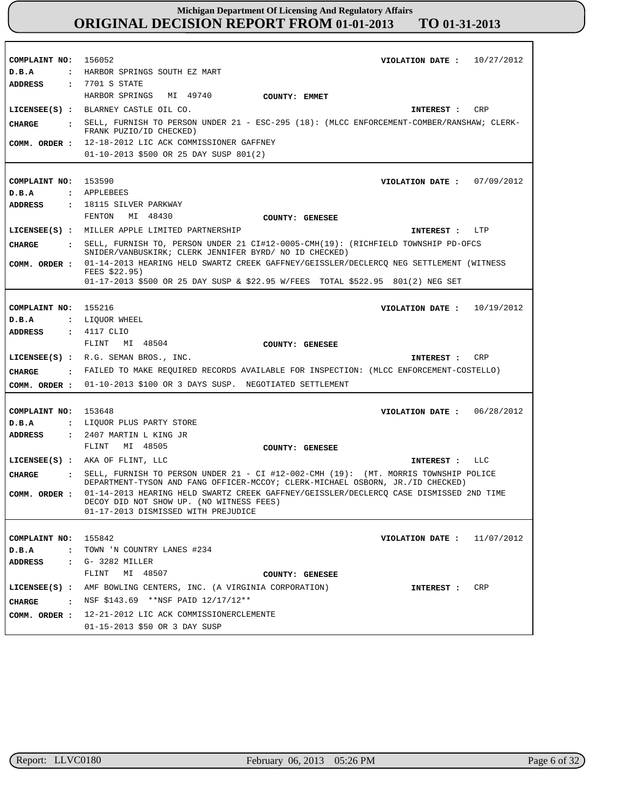| COMPLAINT NO:                  | 156052<br>VIOLATION DATE: $10/27/2012$                                                          |
|--------------------------------|-------------------------------------------------------------------------------------------------|
| D.B.A                          | : HARBOR SPRINGS SOUTH EZ MART                                                                  |
| ADDRESS                        | : 7701 S STATE                                                                                  |
|                                | HARBOR SPRINGS MI 49740<br>COUNTY: EMMET                                                        |
|                                | LICENSEE(S) : BLARNEY CASTLE OIL CO.<br>CRP<br><b>INTEREST :</b>                                |
|                                | . SELL, FURNISH TO PERSON UNDER 21 - ESC-295 (18): (MLCC ENFORCEMENT-COMBER/RANSHAW; CLERK-     |
| CHARGE                         | FRANK PUZIO/ID CHECKED)                                                                         |
|                                | COMM. ORDER : 12-18-2012 LIC ACK COMMISSIONER GAFFNEY                                           |
|                                | 01-10-2013 \$500 OR 25 DAY SUSP 801(2)                                                          |
|                                |                                                                                                 |
|                                |                                                                                                 |
| COMPLAINT NO: 153590           | VIOLATION DATE: $07/09/2012$                                                                    |
| D.B.A                          | : APPLEBEES                                                                                     |
| <b>ADDRESS</b>                 | : 18115 SILVER PARKWAY                                                                          |
|                                | FENTON MI 48430<br>COUNTY: GENESEE                                                              |
|                                | LICENSEE(S) : MILLER APPLE LIMITED PARTNERSHIP<br>INTEREST : LTP                                |
| <b>CHARGE</b>                  | : SELL, FURNISH TO, PERSON UNDER 21 CI#12-0005-CMH(19): (RICHFIELD TOWNSHIP PD-OFCS             |
|                                | SNIDER/VANBUSKIRK; CLERK JENNIFER BYRD/ NO ID CHECKED)                                          |
| COMM. ORDER :                  | 01-14-2013 HEARING HELD SWARTZ CREEK GAFFNEY/GEISSLER/DECLERCO NEG SETTLEMENT (WITNESS          |
|                                | FEES \$22.95)<br>01-17-2013 \$500 OR 25 DAY SUSP & \$22.95 W/FEES TOTAL \$522.95 801(2) NEG SET |
|                                |                                                                                                 |
|                                |                                                                                                 |
| COMPLAINT NO:                  | 155216<br>10/19/2012<br>VIOLATION DATE :                                                        |
| D.B.A                          | : LIQUOR WHEEL                                                                                  |
| <b>ADDRESS</b>                 | : 4117 CLIO                                                                                     |
|                                | MI 48504<br>FLINT<br>COUNTY: GENESEE                                                            |
|                                |                                                                                                 |
|                                | LICENSEE(S) : R.G. SEMAN BROS., INC.<br>CRP<br>INTEREST :                                       |
|                                |                                                                                                 |
| <b>CHARGE</b>                  | : FAILED TO MAKE REQUIRED RECORDS AVAILABLE FOR INSPECTION: (MLCC ENFORCEMENT-COSTELLO)         |
|                                | COMM. ORDER : 01-10-2013 \$100 OR 3 DAYS SUSP. NEGOTIATED SETTLEMENT                            |
|                                |                                                                                                 |
| COMPLAINT NO:                  | 153648<br>06/28/2012<br>VIOLATION DATE :                                                        |
| D.B.A                          | : LIQUOR PLUS PARTY STORE                                                                       |
| <b>ADDRESS</b>                 | : 2407 MARTIN L KING JR                                                                         |
|                                | FLINT<br>MI 48505<br>COUNTY: GENESEE                                                            |
|                                | LICENSEE(S) : AKA OF FLINT, LLC<br>LLC<br>INTEREST :                                            |
| <b>CHARGE</b>                  | . SELL, FURNISH TO PERSON UNDER 21 - CI #12-002-CMH (19): (MT. MORRIS TOWNSHIP POLICE           |
|                                | DEPARTMENT-TYSON AND FANG OFFICER-MCCOY; CLERK-MICHAEL OSBORN, JR./ID CHECKED)                  |
| COMM. ORDER :                  | 01-14-2013 HEARING HELD SWARTZ CREEK GAFFNEY/GEISSLER/DECLERCO CASE DISMISSED 2ND TIME          |
|                                | DECOY DID NOT SHOW UP. (NO WITNESS FEES)                                                        |
|                                | 01-17-2013 DISMISSED WITH PREJUDICE                                                             |
|                                |                                                                                                 |
| COMPLAINT NO: 155842           | 11/07/2012<br>VIOLATION DATE :                                                                  |
| D.B.A                          | : TOWN 'N COUNTRY LANES #234                                                                    |
| ADDRESS                        | $\cdot$ G- 3282 MILLER                                                                          |
|                                | FLINT<br>MI 48507<br>COUNTY: GENESEE                                                            |
| $LICENSEE(S)$ :                | AMF BOWLING CENTERS, INC. (A VIRGINIA CORPORATION)<br>CRP<br>INTEREST :                         |
|                                |                                                                                                 |
| CHARGE<br>$\sim$ $\sim$ $\sim$ | NSF \$143.69 **NSF PAID 12/17/12**                                                              |
|                                | COMM. ORDER : 12-21-2012 LIC ACK COMMISSIONERCLEMENTE<br>01-15-2013 \$50 OR 3 DAY SUSP          |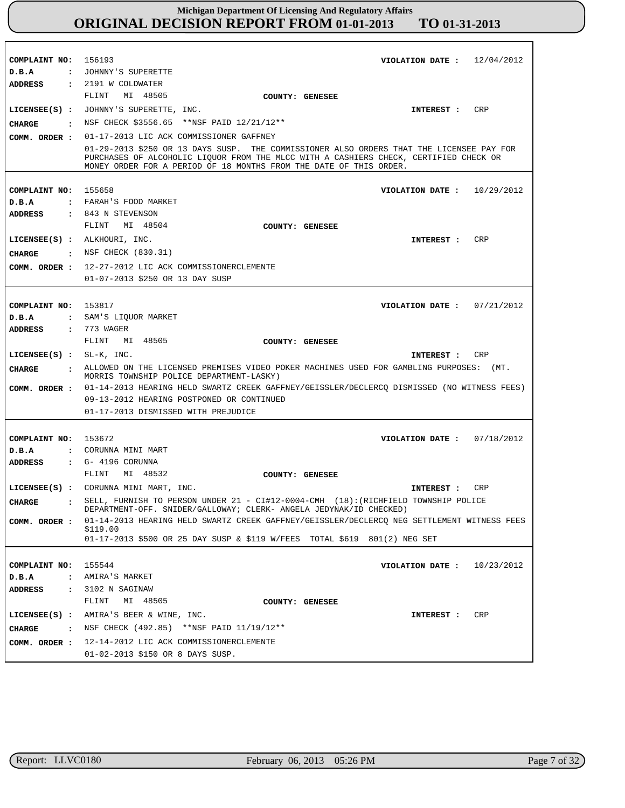| COMPLAINT NO: 156193<br>D.B.A<br>ADDRESS                                           | VIOLATION DATE: $12/04/2012$<br>: JOHNNY'S SUPERETTE<br>: 2191 W COLDWATER                                                                                                                                                                              |
|------------------------------------------------------------------------------------|---------------------------------------------------------------------------------------------------------------------------------------------------------------------------------------------------------------------------------------------------------|
| CHARGE<br>COMM. ORDER :                                                            | FLINT MI 48505<br>COUNTY: GENESEE<br>LICENSEE(S) : JOHNNY'S SUPERETTE, INC.<br>CRP<br>INTEREST :<br>NSF CHECK \$3556.65 ** NSF PAID 12/21/12**<br>01-17-2013 LIC ACK COMMISSIONER GAFFNEY                                                               |
|                                                                                    | 01-29-2013 \$250 OR 13 DAYS SUSP. THE COMMISSIONER ALSO ORDERS THAT THE LICENSEE PAY FOR<br>PURCHASES OF ALCOHOLIC LIOUOR FROM THE MLCC WITH A CASHIERS CHECK, CERTIFIED CHECK OR<br>MONEY ORDER FOR A PERIOD OF 18 MONTHS FROM THE DATE OF THIS ORDER. |
| COMPLAINT NO: 155658<br>D.B.A<br>ADDRESS                                           | VIOLATION DATE: $10/29/2012$<br>: FARAH'S FOOD MARKET<br>: 843 N STEVENSON<br>MI 48504<br>FLINT                                                                                                                                                         |
| LICENSEE(S) : ALKHOURI, INC.                                                       | COUNTY: GENESEE<br>CRP<br><b>INTEREST :</b><br>CHARGE : NSF CHECK (830.31)<br>COMM. ORDER : 12-27-2012 LIC ACK COMMISSIONERCLEMENTE<br>01-07-2013 \$250 OR 13 DAY SUSP                                                                                  |
| COMPLAINT NO: 153817<br>D.B.A<br>ADDRESS                                           | VIOLATION DATE: $07/21/2012$<br>: SAM'S LIQUOR MARKET<br>: 773 WAGER                                                                                                                                                                                    |
| LICENSEE $(S)$ : SL-K, INC.                                                        | FLINT MI 48505<br>COUNTY: GENESEE<br>CRP<br><b>INTEREST :</b>                                                                                                                                                                                           |
| CHARGE                                                                             | . ALLOWED ON THE LICENSED PREMISES VIDEO POKER MACHINES USED FOR GAMBLING PURPOSES: (MT.<br>MORRIS TOWNSHIP POLICE DEPARTMENT-LASKY)                                                                                                                    |
|                                                                                    | COMM. ORDER : 01-14-2013 HEARING HELD SWARTZ CREEK GAFFNEY/GEISSLER/DECLERCQ DISMISSED (NO WITNESS FEES)<br>09-13-2012 HEARING POSTPONED OR CONTINUED<br>01-17-2013 DISMISSED WITH PREJUDICE                                                            |
| COMPLAINT NO: 153672<br>D.B.A<br><b>ADDRESS</b>                                    | VIOLATION DATE : $07/18/2012$<br>: CORUNNA MINI MART<br>: G- 4196 CORUNNA<br>MI 48532<br>FLINT                                                                                                                                                          |
|                                                                                    | COUNTY: GENESEE<br>LICENSEE(S) : CORUNNA MINI MART, INC.<br>CRP<br>INTEREST :                                                                                                                                                                           |
| CHARGE                                                                             | : SELL, FURNISH TO PERSON UNDER 21 - CI#12-0004-CMH (18):(RICHFIELD TOWNSHIP POLICE<br>DEPARTMENT-OFF. SNIDER/GALLOWAY; CLERK- ANGELA JEDYNAK/ID CHECKED)                                                                                               |
| COMM. ORDER :                                                                      | 01-14-2013 HEARING HELD SWARTZ CREEK GAFFNEY/GEISSLER/DECLERCQ NEG SETTLEMENT WITNESS FEES<br>\$119.00<br>01-17-2013 \$500 OR 25 DAY SUSP & \$119 W/FEES TOTAL \$619 801(2) NEG SET                                                                     |
| COMPLAINT NO:<br>D.B.A<br>$\ddot{\cdot}$<br><b>ADDRESS</b><br>$\ddot{\phantom{a}}$ | 155544<br>VIOLATION DATE :<br>10/23/2012<br>AMIRA'S MARKET<br>3102 N SAGINAW<br>MI 48505<br>FLINT<br>COUNTY: GENESEE                                                                                                                                    |
| CHARGE<br>COMM. ORDER :                                                            | LICENSEE(S) : AMIRA'S BEER & WINE, INC.<br>CRP<br>INTEREST :<br>: NSF CHECK (492.85) **NSF PAID $11/19/12**$<br>12-14-2012 LIC ACK COMMISSIONERCLEMENTE<br>01-02-2013 \$150 OR 8 DAYS SUSP.                                                             |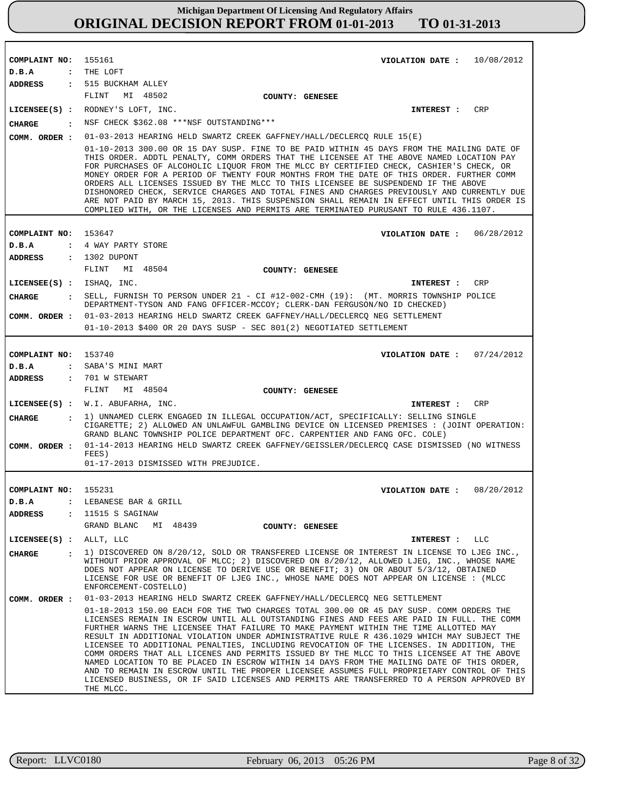| COMPLAINT NO: 155161          | VIOLATION DATE: $10/08/2012$                                                                                                                                                                                                                                                                                                                                                                                                                                                                                                                                                                                                                                                                                                                                                                                                                                             |
|-------------------------------|--------------------------------------------------------------------------------------------------------------------------------------------------------------------------------------------------------------------------------------------------------------------------------------------------------------------------------------------------------------------------------------------------------------------------------------------------------------------------------------------------------------------------------------------------------------------------------------------------------------------------------------------------------------------------------------------------------------------------------------------------------------------------------------------------------------------------------------------------------------------------|
| D.B.A                         | : THE LOFT                                                                                                                                                                                                                                                                                                                                                                                                                                                                                                                                                                                                                                                                                                                                                                                                                                                               |
|                               | ADDRESS : 515 BUCKHAM ALLEY                                                                                                                                                                                                                                                                                                                                                                                                                                                                                                                                                                                                                                                                                                                                                                                                                                              |
|                               | FLINT<br>MI 48502<br>COUNTY: GENESEE                                                                                                                                                                                                                                                                                                                                                                                                                                                                                                                                                                                                                                                                                                                                                                                                                                     |
|                               | CRP<br>LICENSEE(S) : RODNEY'S LOFT, INC.<br>INTEREST :                                                                                                                                                                                                                                                                                                                                                                                                                                                                                                                                                                                                                                                                                                                                                                                                                   |
| CHARGE                        | : NSF CHECK \$362.08 *** NSF OUTSTANDING ***                                                                                                                                                                                                                                                                                                                                                                                                                                                                                                                                                                                                                                                                                                                                                                                                                             |
| COMM. ORDER :                 | 01-03-2013 HEARING HELD SWARTZ CREEK GAFFNEY/HALL/DECLERCQ RULE 15(E)                                                                                                                                                                                                                                                                                                                                                                                                                                                                                                                                                                                                                                                                                                                                                                                                    |
|                               | 01-10-2013 300.00 OR 15 DAY SUSP. FINE TO BE PAID WITHIN 45 DAYS FROM THE MAILING DATE OF<br>THIS ORDER. ADDTL PENALTY, COMM ORDERS THAT THE LICENSEE AT THE ABOVE NAMED LOCATION PAY<br>FOR PURCHASES OF ALCOHOLIC LIQUOR FROM THE MLCC BY CERTIFIED CHECK, CASHIER'S CHECK, OR<br>MONEY ORDER FOR A PERIOD OF TWENTY FOUR MONTHS FROM THE DATE OF THIS ORDER. FURTHER COMM<br>ORDERS ALL LICENSES ISSUED BY THE MLCC TO THIS LICENSEE BE SUSPENDEND IF THE ABOVE<br>DISHONORED CHECK, SERVICE CHARGES AND TOTAL FINES AND CHARGES PREVIOUSLY AND CURRENTLY DUE<br>ARE NOT PAID BY MARCH 15, 2013. THIS SUSPENSION SHALL REMAIN IN EFFECT UNTIL THIS ORDER IS<br>COMPLIED WITH, OR THE LICENSES AND PERMITS ARE TERMINATED PURUSANT TO RULE 436.1107.                                                                                                                   |
|                               |                                                                                                                                                                                                                                                                                                                                                                                                                                                                                                                                                                                                                                                                                                                                                                                                                                                                          |
| COMPLAINT NO: 153647          | VIOLATION DATE: 06/28/2012                                                                                                                                                                                                                                                                                                                                                                                                                                                                                                                                                                                                                                                                                                                                                                                                                                               |
| D.B.A                         | : 4 WAY PARTY STORE                                                                                                                                                                                                                                                                                                                                                                                                                                                                                                                                                                                                                                                                                                                                                                                                                                                      |
| <b>ADDRESS</b>                | : 1302 DUPONT                                                                                                                                                                                                                                                                                                                                                                                                                                                                                                                                                                                                                                                                                                                                                                                                                                                            |
|                               | MI 48504<br>FLINT<br>COUNTY: GENESEE                                                                                                                                                                                                                                                                                                                                                                                                                                                                                                                                                                                                                                                                                                                                                                                                                                     |
| LICENSEE(S) : ISHAO, INC.     | CRP<br><b>INTEREST :</b>                                                                                                                                                                                                                                                                                                                                                                                                                                                                                                                                                                                                                                                                                                                                                                                                                                                 |
| CHARGE                        | : SELL, FURNISH TO PERSON UNDER 21 - CI #12-002-CMH (19): (MT. MORRIS TOWNSHIP POLICE<br>DEPARTMENT-TYSON AND FANG OFFICER-MCCOY; CLERK-DAN FERGUSON/NO ID CHECKED)                                                                                                                                                                                                                                                                                                                                                                                                                                                                                                                                                                                                                                                                                                      |
|                               | COMM. ORDER : 01-03-2013 HEARING HELD SWARTZ CREEK GAFFNEY/HALL/DECLERCQ NEG SETTLEMENT                                                                                                                                                                                                                                                                                                                                                                                                                                                                                                                                                                                                                                                                                                                                                                                  |
|                               | $01-10-2013$ \$400 OR 20 DAYS SUSP - SEC 801(2) NEGOTIATED SETTLEMENT                                                                                                                                                                                                                                                                                                                                                                                                                                                                                                                                                                                                                                                                                                                                                                                                    |
|                               |                                                                                                                                                                                                                                                                                                                                                                                                                                                                                                                                                                                                                                                                                                                                                                                                                                                                          |
| COMPLAINT NO: 153740          | VIOLATION DATE: $07/24/2012$                                                                                                                                                                                                                                                                                                                                                                                                                                                                                                                                                                                                                                                                                                                                                                                                                                             |
| D.B.A                         | : SABA'S MINI MART                                                                                                                                                                                                                                                                                                                                                                                                                                                                                                                                                                                                                                                                                                                                                                                                                                                       |
| ADDRESS                       | : 701 W STEWART                                                                                                                                                                                                                                                                                                                                                                                                                                                                                                                                                                                                                                                                                                                                                                                                                                                          |
|                               | MI 48504<br>FLINT<br>COUNTY: GENESEE                                                                                                                                                                                                                                                                                                                                                                                                                                                                                                                                                                                                                                                                                                                                                                                                                                     |
|                               | $LICENSEE(S)$ : W.I. ABUFARHA, INC.<br>CRP<br><b>INTEREST :</b>                                                                                                                                                                                                                                                                                                                                                                                                                                                                                                                                                                                                                                                                                                                                                                                                          |
| CIIARGE<br>$\mathbf{r}$       | 1) UNNAMED CLERK ENGAGED IN ILLEGAL OCCUPATION/ACT, SPECIFICALLY: SELLING SINGLE<br>CIGARETTE; 2) ALLOWED AN UNLAWFUL GAMBLING DEVICE ON LICENSED PREMISES : (JOINT OPERATION:<br>GRAND BLANC TOWNSHIP POLICE DEPARTMENT OFC. CARPENTIER AND FANG OFC. COLE)                                                                                                                                                                                                                                                                                                                                                                                                                                                                                                                                                                                                             |
| COMM. ORDER :                 | 01-14-2013 HEARING HELD SWARTZ CREEK GAFFNEY/GEISSLER/DECLERCQ CASE DISMISSED (NO WITNESS<br>FEES)                                                                                                                                                                                                                                                                                                                                                                                                                                                                                                                                                                                                                                                                                                                                                                       |
|                               | 01-17-2013 DISMISSED WITH PREJUDICE.                                                                                                                                                                                                                                                                                                                                                                                                                                                                                                                                                                                                                                                                                                                                                                                                                                     |
|                               |                                                                                                                                                                                                                                                                                                                                                                                                                                                                                                                                                                                                                                                                                                                                                                                                                                                                          |
| COMPLAINT NO: 155231          | VIOLATION DATE: $08/20/2012$                                                                                                                                                                                                                                                                                                                                                                                                                                                                                                                                                                                                                                                                                                                                                                                                                                             |
| D.B.A                         | : LEBANESE BAR & GRILL                                                                                                                                                                                                                                                                                                                                                                                                                                                                                                                                                                                                                                                                                                                                                                                                                                                   |
| ADDRESS<br>$\mathbf{r}$       | 11515 S SAGINAW                                                                                                                                                                                                                                                                                                                                                                                                                                                                                                                                                                                                                                                                                                                                                                                                                                                          |
|                               | GRAND BLANC<br>MI 48439 COUNTY: GENESEE                                                                                                                                                                                                                                                                                                                                                                                                                                                                                                                                                                                                                                                                                                                                                                                                                                  |
| LICENSEE $(s)$ : ALLT, LLC    | INTEREST : LLC                                                                                                                                                                                                                                                                                                                                                                                                                                                                                                                                                                                                                                                                                                                                                                                                                                                           |
| $\ddot{\mathbf{r}}$<br>CHARGE | 1) DISCOVERED ON 8/20/12, SOLD OR TRANSFERED LICENSE OR INTEREST IN LICENSE TO LJEG INC.,<br>WITHOUT PRIOR APPROVAL OF MLCC; 2) DISCOVERED ON 8/20/12, ALLOWED LJEG, INC., WHOSE NAME<br>DOES NOT APPEAR ON LICENSE TO DERIVE USE OR BENEFIT; 3) ON OR ABOUT 5/3/12, OBTAINED<br>LICENSE FOR USE OR BENEFIT OF LJEG INC., WHOSE NAME DOES NOT APPEAR ON LICENSE : (MLCC<br>ENFORCEMENT-COSTELLO)                                                                                                                                                                                                                                                                                                                                                                                                                                                                         |
| COMM. ORDER :                 | 01-03-2013 HEARING HELD SWARTZ CREEK GAFFNEY/HALL/DECLERCQ NEG SETTLEMENT                                                                                                                                                                                                                                                                                                                                                                                                                                                                                                                                                                                                                                                                                                                                                                                                |
|                               | 01-18-2013 150.00 EACH FOR THE TWO CHARGES TOTAL 300.00 OR 45 DAY SUSP. COMM ORDERS THE<br>LICENSES REMAIN IN ESCROW UNTIL ALL OUTSTANDING FINES AND FEES ARE PAID IN FULL. THE COMM<br>FURTHER WARNS THE LICENSEE THAT FAILURE TO MAKE PAYMENT WITHIN THE TIME ALLOTTED MAY<br>RESULT IN ADDITIONAL VIOLATION UNDER ADMINISTRATIVE RULE R 436.1029 WHICH MAY SUBJECT THE<br>LICENSEE TO ADDITIONAL PENALTIES, INCLUDING REVOCATION OF THE LICENSES. IN ADDITION, THE<br>COMM ORDERS THAT ALL LICENES AND PERMITS ISSUED BY THE MLCC TO THIS LICENSEE AT THE ABOVE<br>NAMED LOCATION TO BE PLACED IN ESCROW WITHIN 14 DAYS FROM THE MAILING DATE OF THIS ORDER,<br>AND TO REMAIN IN ESCROW UNTIL THE PROPER LICENSEE ASSUMES FULL PROPRIETARY CONTROL OF THIS<br>LICENSED BUSINESS, OR IF SAID LICENSES AND PERMITS ARE TRANSFERRED TO A PERSON APPROVED BY<br>THE MLCC. |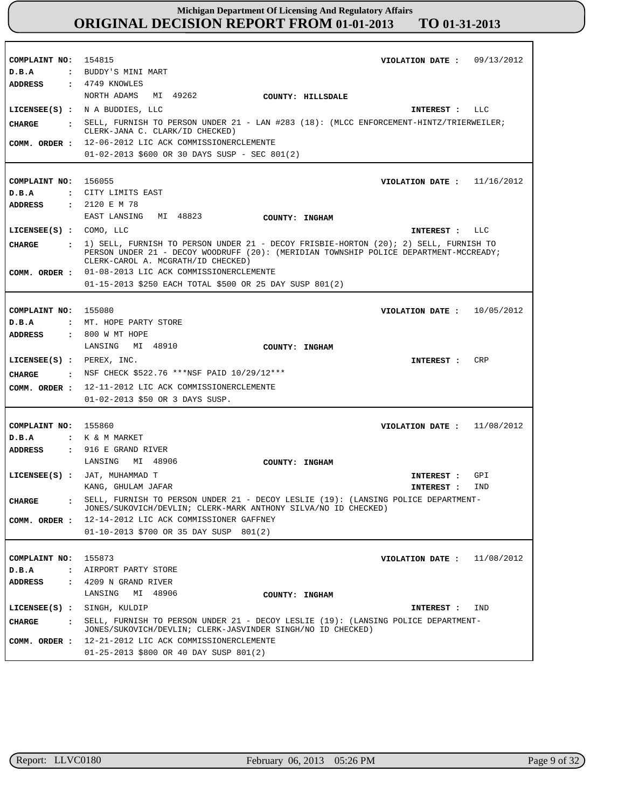| COMPLAINT NO: 154815          | VIOLATION DATE: $09/13/2012$                                                                                                                                                    |
|-------------------------------|---------------------------------------------------------------------------------------------------------------------------------------------------------------------------------|
| D.B.A                         | : BUDDY'S MINI MART                                                                                                                                                             |
| ADDRESS                       | $\div$ 4749 KNOWLES                                                                                                                                                             |
|                               | NORTH ADAMS<br>MI 49262<br>COUNTY: HILLSDALE                                                                                                                                    |
|                               | LICENSEE $(s)$ : N A BUDDIES, LLC<br>INTEREST : LLC                                                                                                                             |
| CHARGE                        | : SELL, FURNISH TO PERSON UNDER 21 - LAN #283 (18): (MLCC ENFORCEMENT-HINTZ/TRIERWEILER;                                                                                        |
|                               | CLERK-JANA C. CLARK/ID CHECKED)                                                                                                                                                 |
|                               | COMM. ORDER : 12-06-2012 LIC ACK COMMISSIONERCLEMENTE                                                                                                                           |
|                               | 01-02-2013 \$600 OR 30 DAYS SUSP - SEC 801(2)                                                                                                                                   |
|                               |                                                                                                                                                                                 |
| COMPLAINT NO: 156055          | VIOLATION DATE : $11/16/2012$                                                                                                                                                   |
|                               |                                                                                                                                                                                 |
| D.B.A                         | : CITY LIMITS EAST                                                                                                                                                              |
| ADDRESS                       | : 2120 E M 78                                                                                                                                                                   |
|                               | EAST LANSING MI 48823<br>COUNTY: INGHAM                                                                                                                                         |
| LICENSEE(S) : COMO, LLC       | INTEREST : LLC                                                                                                                                                                  |
| <b>CHARGE</b>                 | : 1) SELL, FURNISH TO PERSON UNDER 21 - DECOY FRISBIE-HORTON (20); 2) SELL, FURNISH TO<br>PERSON UNDER 21 - DECOY WOODRUFF (20): (MERIDIAN TOWNSHIP POLICE DEPARTMENT-MCCREADY; |
|                               | CLERK-CAROL A. MCGRATH/ID CHECKED)                                                                                                                                              |
| COMM. ORDER :                 | 01-08-2013 LIC ACK COMMISSIONERCLEMENTE                                                                                                                                         |
|                               | 01-15-2013 \$250 EACH TOTAL \$500 OR 25 DAY SUSP 801(2)                                                                                                                         |
|                               |                                                                                                                                                                                 |
| COMPLAINT NO:                 | 155080<br>VIOLATION DATE: $10/05/2012$                                                                                                                                          |
| D.B.A                         | : MT. HOPE PARTY STORE                                                                                                                                                          |
|                               |                                                                                                                                                                                 |
| <b>ADDRESS</b>                | : 800 W MT HOPE                                                                                                                                                                 |
|                               | LANSING MI 48910<br>COUNTY: INGHAM                                                                                                                                              |
| LICENSEE(S) : PEREX, INC.     | <b>CRP</b><br>INTEREST :                                                                                                                                                        |
| <b>CHARGE</b>                 | . NSF CHECK \$522.76 ***NSF PAID 10/29/12***                                                                                                                                    |
|                               | COMM. ORDER : 12-11-2012 LIC ACK COMMISSIONERCLEMENTE                                                                                                                           |
|                               | 01-02-2013 \$50 OR 3 DAYS SUSP.                                                                                                                                                 |
|                               |                                                                                                                                                                                 |
|                               |                                                                                                                                                                                 |
| COMPLAINT NO: 155860          | VIOLATION DATE : $11/08/2012$                                                                                                                                                   |
| D.B.A                         | : K & M MARKET                                                                                                                                                                  |
| ADDRESS                       | $: 916 E$ GRAND RIVER                                                                                                                                                           |
|                               | LANSING MI 48906<br>COUNTY: INGHAM                                                                                                                                              |
|                               | LICENSEE(S) : JAT, MUHAMMAD T<br>GPI<br>INTEREST :                                                                                                                              |
|                               | IND<br>KANG, GHULAM JAFAR<br>INTEREST :                                                                                                                                         |
| <b>CHARGE</b><br>$\mathbf{z}$ | SELL, FURNISH TO PERSON UNDER 21 - DECOY LESLIE (19): (LANSING POLICE DEPARTMENT-                                                                                               |
|                               | JONES/SUKOVICH/DEVLIN; CLERK-MARK ANTHONY SILVA/NO ID CHECKED)                                                                                                                  |
| COMM. ORDER :                 | 12-14-2012 LIC ACK COMMISSIONER GAFFNEY                                                                                                                                         |
|                               | 01-10-2013 \$700 OR 35 DAY SUSP 801(2)                                                                                                                                          |
|                               |                                                                                                                                                                                 |
| COMPLAINT NO: 155873          | VIOLATION DATE: $11/08/2012$                                                                                                                                                    |
| D.B.A                         | : AIRPORT PARTY STORE                                                                                                                                                           |
| <b>ADDRESS</b>                | $: 4209$ N GRAND RIVER                                                                                                                                                          |
|                               | MI 48906<br>LANSING<br>COUNTY: INGHAM                                                                                                                                           |
|                               |                                                                                                                                                                                 |
| LICENSEE(S) : SINGH, KULDIP   | IND<br>INTEREST :                                                                                                                                                               |
| <b>CHARGE</b><br>$\mathbf{r}$ | SELL, FURNISH TO PERSON UNDER 21 - DECOY LESLIE (19): (LANSING POLICE DEPARTMENT-<br>JONES/SUKOVICH/DEVLIN; CLERK-JASVINDER SINGH/NO ID CHECKED)                                |
| COMM. ORDER :                 | 12-21-2012 LIC ACK COMMISSIONERCLEMENTE                                                                                                                                         |
|                               | 01-25-2013 \$800 OR 40 DAY SUSP 801(2)                                                                                                                                          |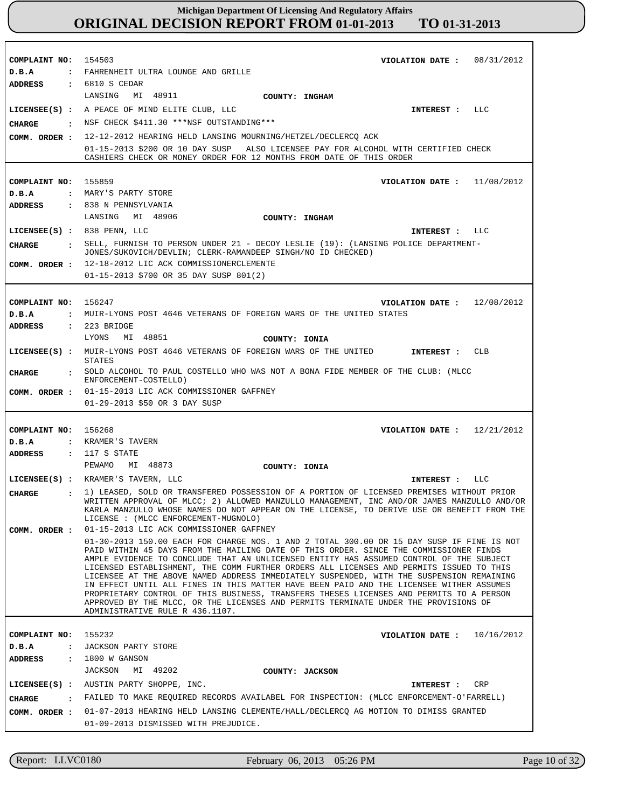| COMPLAINT NO:                          | 08/31/2012<br>154503<br>VIOLATION DATE :                                                                                                                                                                                                                                                                                                                                                                                                                                                                                                                                                                                                                                                                                                                                             |
|----------------------------------------|--------------------------------------------------------------------------------------------------------------------------------------------------------------------------------------------------------------------------------------------------------------------------------------------------------------------------------------------------------------------------------------------------------------------------------------------------------------------------------------------------------------------------------------------------------------------------------------------------------------------------------------------------------------------------------------------------------------------------------------------------------------------------------------|
| D.B.A                                  | : FAHRENHEIT ULTRA LOUNGE AND GRILLE                                                                                                                                                                                                                                                                                                                                                                                                                                                                                                                                                                                                                                                                                                                                                 |
| <b>ADDRESS</b>                         | $: 6810 S$ CEDAR                                                                                                                                                                                                                                                                                                                                                                                                                                                                                                                                                                                                                                                                                                                                                                     |
|                                        | MI 48911<br>LANSING<br>COUNTY: INGHAM                                                                                                                                                                                                                                                                                                                                                                                                                                                                                                                                                                                                                                                                                                                                                |
|                                        | LICENSEE(S) : A PEACE OF MIND ELITE CLUB, LLC<br>LLC<br>INTEREST :                                                                                                                                                                                                                                                                                                                                                                                                                                                                                                                                                                                                                                                                                                                   |
| CHARGE                                 | : NSF CHECK \$411.30 ***NSF OUTSTANDING***                                                                                                                                                                                                                                                                                                                                                                                                                                                                                                                                                                                                                                                                                                                                           |
| COMM. ORDER :                          | 12-12-2012 HEARING HELD LANSING MOURNING/HETZEL/DECLERCQ ACK                                                                                                                                                                                                                                                                                                                                                                                                                                                                                                                                                                                                                                                                                                                         |
|                                        | 01-15-2013 \$200 OR 10 DAY SUSP ALSO LICENSEE PAY FOR ALCOHOL WITH CERTIFIED CHECK<br>CASHIERS CHECK OR MONEY ORDER FOR 12 MONTHS FROM DATE OF THIS ORDER                                                                                                                                                                                                                                                                                                                                                                                                                                                                                                                                                                                                                            |
|                                        |                                                                                                                                                                                                                                                                                                                                                                                                                                                                                                                                                                                                                                                                                                                                                                                      |
| COMPLAINT NO:                          | 155859<br>VIOLATION DATE :<br>11/08/2012                                                                                                                                                                                                                                                                                                                                                                                                                                                                                                                                                                                                                                                                                                                                             |
| D.B.A                                  | : MARY'S PARTY STORE                                                                                                                                                                                                                                                                                                                                                                                                                                                                                                                                                                                                                                                                                                                                                                 |
| <b>ADDRESS</b>                         | : 838 N PENNSYLVANIA                                                                                                                                                                                                                                                                                                                                                                                                                                                                                                                                                                                                                                                                                                                                                                 |
|                                        | LANSING MI 48906<br>COUNTY: INGHAM                                                                                                                                                                                                                                                                                                                                                                                                                                                                                                                                                                                                                                                                                                                                                   |
| $LICENSEE(S)$ : 838 PENN, LLC          | LLC<br>INTEREST :                                                                                                                                                                                                                                                                                                                                                                                                                                                                                                                                                                                                                                                                                                                                                                    |
|                                        |                                                                                                                                                                                                                                                                                                                                                                                                                                                                                                                                                                                                                                                                                                                                                                                      |
| <b>CHARGE</b>                          | SELL, FURNISH TO PERSON UNDER 21 - DECOY LESLIE (19): (LANSING POLICE DEPARTMENT-<br>JONES/SUKOVICH/DEVLIN; CLERK-RAMANDEEP SINGH/NO ID CHECKED)                                                                                                                                                                                                                                                                                                                                                                                                                                                                                                                                                                                                                                     |
| COMM. ORDER :                          | 12-18-2012 LIC ACK COMMISSIONERCLEMENTE                                                                                                                                                                                                                                                                                                                                                                                                                                                                                                                                                                                                                                                                                                                                              |
|                                        | 01-15-2013 \$700 OR 35 DAY SUSP 801(2)                                                                                                                                                                                                                                                                                                                                                                                                                                                                                                                                                                                                                                                                                                                                               |
|                                        |                                                                                                                                                                                                                                                                                                                                                                                                                                                                                                                                                                                                                                                                                                                                                                                      |
| COMPLAINT NO:                          | 156247<br>VIOLATION DATE: $12/08/2012$                                                                                                                                                                                                                                                                                                                                                                                                                                                                                                                                                                                                                                                                                                                                               |
| D.B.A                                  | : MUIR-LYONS POST 4646 VETERANS OF FOREIGN WARS OF THE UNITED STATES                                                                                                                                                                                                                                                                                                                                                                                                                                                                                                                                                                                                                                                                                                                 |
| <b>ADDRESS</b>                         | $: 223$ BRIDGE                                                                                                                                                                                                                                                                                                                                                                                                                                                                                                                                                                                                                                                                                                                                                                       |
|                                        | MI 48851<br>LYONS<br>COUNTY: IONIA                                                                                                                                                                                                                                                                                                                                                                                                                                                                                                                                                                                                                                                                                                                                                   |
|                                        | LICENSEE(S) : MUIR-LYONS POST 4646 VETERANS OF FOREIGN WARS OF THE UNITED<br>CLB                                                                                                                                                                                                                                                                                                                                                                                                                                                                                                                                                                                                                                                                                                     |
|                                        | INTEREST :<br>STATES                                                                                                                                                                                                                                                                                                                                                                                                                                                                                                                                                                                                                                                                                                                                                                 |
| CHARGE                                 | : SOLD ALCOHOL TO PAUL COSTELLO WHO WAS NOT A BONA FIDE MEMBER OF THE CLUB: (MLCC                                                                                                                                                                                                                                                                                                                                                                                                                                                                                                                                                                                                                                                                                                    |
|                                        | ENFORCEMENT-COSTELLO)                                                                                                                                                                                                                                                                                                                                                                                                                                                                                                                                                                                                                                                                                                                                                                |
|                                        | COMM. ORDER : 01-15-2013 LIC ACK COMMISSIONER GAFFNEY                                                                                                                                                                                                                                                                                                                                                                                                                                                                                                                                                                                                                                                                                                                                |
|                                        | 01-29-2013 \$50 OR 3 DAY SUSP                                                                                                                                                                                                                                                                                                                                                                                                                                                                                                                                                                                                                                                                                                                                                        |
|                                        |                                                                                                                                                                                                                                                                                                                                                                                                                                                                                                                                                                                                                                                                                                                                                                                      |
| COMPLAINT NO: 156268                   | 12/21/2012<br>VIOLATION DATE :                                                                                                                                                                                                                                                                                                                                                                                                                                                                                                                                                                                                                                                                                                                                                       |
| D.B.A                                  | : KRAMER'S TAVERN                                                                                                                                                                                                                                                                                                                                                                                                                                                                                                                                                                                                                                                                                                                                                                    |
| ADDRESS                                | : 117 S STATE<br>MI 48873                                                                                                                                                                                                                                                                                                                                                                                                                                                                                                                                                                                                                                                                                                                                                            |
|                                        | PEWAMO<br>COUNTY: IONIA                                                                                                                                                                                                                                                                                                                                                                                                                                                                                                                                                                                                                                                                                                                                                              |
|                                        | LICENSEE(S) : KRAMER'S TAVERN, LLC<br>LLC<br>INTEREST :                                                                                                                                                                                                                                                                                                                                                                                                                                                                                                                                                                                                                                                                                                                              |
| <b>CHARGE</b><br>$\ddot{\phantom{a}}$  | 1) LEASED, SOLD OR TRANSFERED POSSESSION OF A PORTION OF LICENSED PREMISES WITHOUT PRIOR<br>WRITTEN APPROVAL OF MLCC; 2) ALLOWED MANZULLO MANAGEMENT, INC AND/OR JAMES MANZULLO AND/OR                                                                                                                                                                                                                                                                                                                                                                                                                                                                                                                                                                                               |
|                                        | KARLA MANZULLO WHOSE NAMES DO NOT APPEAR ON THE LICENSE, TO DERIVE USE OR BENEFIT FROM THE<br>LICENSE : (MLCC ENFORCEMENT-MUGNOLO)                                                                                                                                                                                                                                                                                                                                                                                                                                                                                                                                                                                                                                                   |
| COMM. ORDER :                          | 01-15-2013 LIC ACK COMMISSIONER GAFFNEY                                                                                                                                                                                                                                                                                                                                                                                                                                                                                                                                                                                                                                                                                                                                              |
|                                        | 01-30-2013 150.00 EACH FOR CHARGE NOS. 1 AND 2 TOTAL 300.00 OR 15 DAY SUSP IF FINE IS NOT<br>PAID WITHIN 45 DAYS FROM THE MAILING DATE OF THIS ORDER. SINCE THE COMMISSIONER FINDS<br>AMPLE EVIDENCE TO CONCLUDE THAT AN UNLICENSED ENTITY HAS ASSUMED CONTROL OF THE SUBJECT<br>LICENSED ESTABLISHMENT, THE COMM FURTHER ORDERS ALL LICENSES AND PERMITS ISSUED TO THIS<br>LICENSEE AT THE ABOVE NAMED ADDRESS IMMEDIATELY SUSPENDED, WITH THE SUSPENSION REMAINING<br>IN EFFECT UNTIL ALL FINES IN THIS MATTER HAVE BEEN PAID AND THE LICENSEE WITHER ASSUMES<br>PROPRIETARY CONTROL OF THIS BUSINESS, TRANSFERS THESES LICENSES AND PERMITS TO A PERSON<br>APPROVED BY THE MLCC, OR THE LICENSES AND PERMITS TERMINATE UNDER THE PROVISIONS OF<br>ADMINISTRATIVE RULE R 436.1107. |
|                                        |                                                                                                                                                                                                                                                                                                                                                                                                                                                                                                                                                                                                                                                                                                                                                                                      |
| COMPLAINT NO:                          | 155232<br>VIOLATION DATE: $10/16/2012$                                                                                                                                                                                                                                                                                                                                                                                                                                                                                                                                                                                                                                                                                                                                               |
| D.B.A                                  | : JACKSON PARTY STORE                                                                                                                                                                                                                                                                                                                                                                                                                                                                                                                                                                                                                                                                                                                                                                |
| <b>ADDRESS</b><br>$\ddot{\phantom{a}}$ | 1800 W GANSON                                                                                                                                                                                                                                                                                                                                                                                                                                                                                                                                                                                                                                                                                                                                                                        |
|                                        | JACKSON<br>MI 49202<br>COUNTY: JACKSON                                                                                                                                                                                                                                                                                                                                                                                                                                                                                                                                                                                                                                                                                                                                               |
|                                        | LICENSEE(S) : AUSTIN PARTY SHOPPE, INC.<br>CRP<br>INTEREST :                                                                                                                                                                                                                                                                                                                                                                                                                                                                                                                                                                                                                                                                                                                         |
| CHARGE                                 | : FAILED TO MAKE REQUIRED RECORDS AVAILABEL FOR INSPECTION: (MLCC ENFORCEMENT-O'FARRELL)                                                                                                                                                                                                                                                                                                                                                                                                                                                                                                                                                                                                                                                                                             |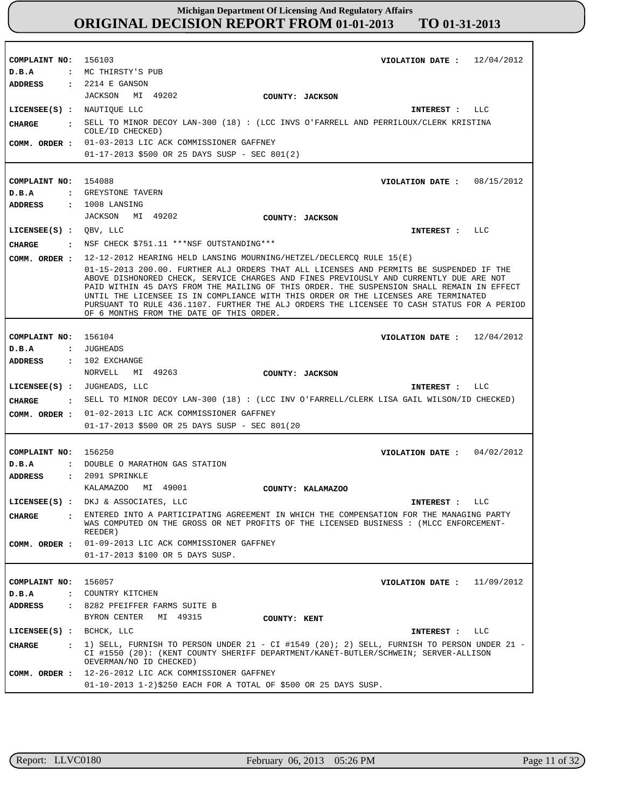**COMPLAINT NO:** 156103 **COMPLAINT NO:** 154088 **COMPLAINT NO:** 156104 **COMPLAINT NO: COMPLAINT NO:** 156057 156250 **VIOLATION DATE : VIOLATION DATE : VIOLATION DATE : VIOLATION DATE : VIOLATION DATE :** 12/04/2012 08/15/2012 12/04/2012 04/02/2012 11/09/2012 **D.B.A : D.B.A : D.B.A : D.B.A : D.B.A :** MC THIRSTY'S PUB GREYSTONE TAVERN JUGHEADS DOUBLE O MARATHON GAS STATION COUNTRY KITCHEN **ADDRESS : ADDRESS : ADDRESS : ADDRESS : ADDRESS :** 2214 E GANSON 1008 LANSING 102 EXCHANGE 2091 SPRINKLE 8282 PFEIFFER FARMS SUITE B JACKSON MI 49202 JACKSON MI 49202 NORVELL MI 49263 KALAMAZOO MI 49001 BYRON CENTER MI 49315 01-03-2013 LIC ACK COMMISSIONER GAFFNEY 01-17-2013 \$500 OR 25 DAYS SUSP - SEC 801(2) 12-12-2012 HEARING HELD LANSING MOURNING/HETZEL/DECLERCQ RULE 15(E) 01-15-2013 200.00. FURTHER ALJ ORDERS THAT ALL LICENSES AND PERMITS BE SUSPENDED IF THE ABOVE DISHONORED CHECK, SERVICE CHARGES AND FINES PREVIOUSLY AND CURRENTLY DUE ARE NOT PAID WITHIN 45 DAYS FROM THE MAILING OF THIS ORDER. THE SUSPENSION SHALL REMAIN IN EFFECT UNTIL THE LICENSEE IS IN COMPLIANCE WITH THIS ORDER OR THE LICENSES ARE TERMINATED PURSUANT TO RULE 436.1107. FURTHER THE ALJ ORDERS THE LICENSEE TO CASH STATUS FOR A PERIOD OF 6 MONTHS FROM THE DATE OF THIS ORDER. 01-02-2013 LIC ACK COMMISSIONER GAFFNEY **COMM. ORDER :** 01-17-2013 \$500 OR 25 DAYS SUSP - SEC 801(20 01-09-2013 LIC ACK COMMISSIONER GAFFNEY 01-17-2013 \$100 OR 5 DAYS SUSP. 12-26-2012 LIC ACK COMMISSIONER GAFFNEY 01-10-2013 1-2)\$250 EACH FOR A TOTAL OF \$500 OR 25 DAYS SUSP. **LICENSEE(S) :** NAUTIQUE LLC **LICENSEE(S) :** QBV, LLC **LICENSEE(S) :** JUGHEADS, LLC **LICENSEE(S) :** DKJ & ASSOCIATES, LLC **LICENSEE(S) :** BCHCK, LLC LLC LLC LLC LLC LLC **CHARGE : CHARGE : CHARGE : CHARGE : CHARGE :** SELL TO MINOR DECOY LAN-300 (18) : (LCC INVS O'FARRELL AND PERRILOUX/CLERK KRISTINA COLE/ID CHECKED) NSF CHECK \$751.11 \*\*\*NSF OUTSTANDING\*\*\* SELL TO MINOR DECOY LAN-300 (18) : (LCC INV O'FARRELL/CLERK LISA GAIL WILSON/ID CHECKED) ENTERED INTO A PARTICIPATING AGREEMENT IN WHICH THE COMPENSATION FOR THE MANAGING PARTY WAS COMPUTED ON THE GROSS OR NET PROFITS OF THE LICENSED BUSINESS : (MLCC ENFORCEMENT-REEDER) 1) SELL, FURNISH TO PERSON UNDER 21 - CI #1549 (20); 2) SELL, FURNISH TO PERSON UNDER 21 - CI #1550 (20): (KENT COUNTY SHERIFF DEPARTMENT/KANET-BUTLER/SCHWEIN; SERVER-ALLISON OEVERMAN/NO ID CHECKED) **INTEREST : INTEREST : INTEREST : INTEREST : INTEREST : COMM. ORDER : COMM. ORDER : COMM. ORDER : COMM. ORDER : COUNTY: JACKSON COUNTY: JACKSON COUNTY: JACKSON COUNTY: KALAMAZOO COUNTY: KENT**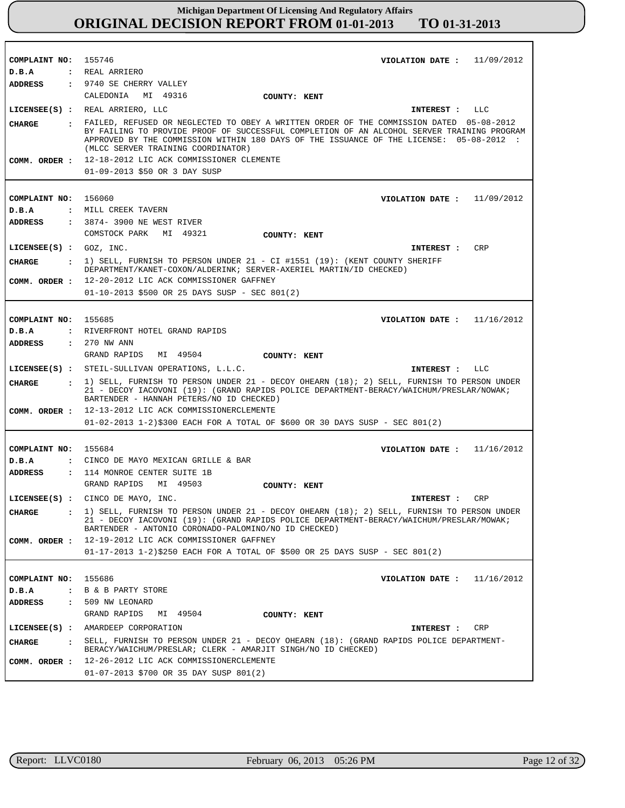| COMPLAINT NO: 155746           | 11/09/2012<br>VIOLATION DATE :                                                                                                                                                                                                                                                                                           |  |
|--------------------------------|--------------------------------------------------------------------------------------------------------------------------------------------------------------------------------------------------------------------------------------------------------------------------------------------------------------------------|--|
| D.B.A                          | : REAL ARRIERO                                                                                                                                                                                                                                                                                                           |  |
| ADDRESS                        | : 9740 SE CHERRY VALLEY                                                                                                                                                                                                                                                                                                  |  |
|                                | CALEDONIA MI 49316<br>COUNTY: KENT                                                                                                                                                                                                                                                                                       |  |
|                                | LICENSEE(S) : REAL ARRIERO, LLC<br>LLC<br>INTEREST :                                                                                                                                                                                                                                                                     |  |
| CHARGE                         | : FAILED, REFUSED OR NEGLECTED TO OBEY A WRITTEN ORDER OF THE COMMISSION DATED 05-08-2012<br>BY FAILING TO PROVIDE PROOF OF SUCCESSFUL COMPLETION OF AN ALCOHOL SERVER TRAINING PROGRAM<br>APPROVED BY THE COMMISSION WITHIN 180 DAYS OF THE ISSUANCE OF THE LICENSE: 05-08-2012 :<br>(MLCC SERVER TRAINING COORDINATOR) |  |
|                                | COMM. ORDER : 12-18-2012 LIC ACK COMMISSIONER CLEMENTE                                                                                                                                                                                                                                                                   |  |
|                                | 01-09-2013 \$50 OR 3 DAY SUSP                                                                                                                                                                                                                                                                                            |  |
|                                |                                                                                                                                                                                                                                                                                                                          |  |
| COMPLAINT NO: 156060           | VIOLATION DATE: $11/09/2012$                                                                                                                                                                                                                                                                                             |  |
| D.B.A                          | : MILL CREEK TAVERN                                                                                                                                                                                                                                                                                                      |  |
| ADDRESS                        | : 3874- 3900 NE WEST RIVER                                                                                                                                                                                                                                                                                               |  |
|                                | COMSTOCK PARK<br>MI 49321<br>COUNTY: KENT                                                                                                                                                                                                                                                                                |  |
| $LICENSEE(S)$ : $GOZ$ , $INC.$ | CRP<br>INTEREST:                                                                                                                                                                                                                                                                                                         |  |
| CHARGE                         | $: 1)$ SELL, FURNISH TO PERSON UNDER 21 - CI #1551 (19): (KENT COUNTY SHERIFF<br>DEPARTMENT/KANET-COXON/ALDERINK; SERVER-AXERIEL MARTIN/ID CHECKED)                                                                                                                                                                      |  |
|                                | COMM. ORDER : 12-20-2012 LIC ACK COMMISSIONER GAFFNEY                                                                                                                                                                                                                                                                    |  |
|                                | 01-10-2013 \$500 OR 25 DAYS SUSP - SEC 801(2)                                                                                                                                                                                                                                                                            |  |
|                                |                                                                                                                                                                                                                                                                                                                          |  |
| COMPLAINT NO: 155685           | VIOLATION DATE : $11/16/2012$                                                                                                                                                                                                                                                                                            |  |
| D.B.A                          | : RIVERFRONT HOTEL GRAND RAPIDS                                                                                                                                                                                                                                                                                          |  |
| <b>ADDRESS</b>                 | $: 270$ NW ANN                                                                                                                                                                                                                                                                                                           |  |
|                                | GRAND RAPIDS<br>MI 49504<br>COUNTY: KENT                                                                                                                                                                                                                                                                                 |  |
|                                |                                                                                                                                                                                                                                                                                                                          |  |
|                                | LICENSEE(S) : STEIL-SULLIVAN OPERATIONS, L.L.C.<br>INTEREST : LLC                                                                                                                                                                                                                                                        |  |
| <b>CHARGE</b>                  | . 1) SELL, FURNISH TO PERSON UNDER 21 - DECOY OHEARN (18); 2) SELL, FURNISH TO PERSON UNDER<br>21 - DECOY IACOVONI (19): (GRAND RAPIDS POLICE DEPARTMENT-BERACY/WAICHUM/PRESLAR/NOWAK;<br>BARTENDER - HANNAH PETERS/NO ID CHECKED)                                                                                       |  |
|                                | COMM. ORDER : 12-13-2012 LIC ACK COMMISSIONERCLEMENTE                                                                                                                                                                                                                                                                    |  |
|                                | $01-02-2013$ 1-2)\$300 EACH FOR A TOTAL OF \$600 OR 30 DAYS SUSP - SEC 801(2)                                                                                                                                                                                                                                            |  |
|                                |                                                                                                                                                                                                                                                                                                                          |  |
| COMPLAINT NO: 155684           | VIOLATION DATE: $11/16/2012$                                                                                                                                                                                                                                                                                             |  |
| D.B.A                          | : CINCO DE MAYO MEXICAN GRILLE & BAR                                                                                                                                                                                                                                                                                     |  |
| ADDRESS                        | : 114 MONROE CENTER SUITE 1B                                                                                                                                                                                                                                                                                             |  |
|                                | GRAND RAPIDS MI 49503<br>COUNTY: KENT                                                                                                                                                                                                                                                                                    |  |
|                                | LICENSEE(S) : CINCO DE MAYO, INC.<br>CRP<br>INTEREST :                                                                                                                                                                                                                                                                   |  |
|                                | 1) SELL, FURNISH TO PERSON UNDER 21 - DECOY OHEARN (18); 2) SELL, FURNISH TO PERSON UNDER<br>$\mathbf{r}$                                                                                                                                                                                                                |  |
| <b>CHARGE</b>                  | 21 - DECOY IACOVONI (19): (GRAND RAPIDS POLICE DEPARTMENT-BERACY/WAICHUM/PRESLAR/MOWAK;<br>BARTENDER - ANTONIO CORONADO-PALOMINO/NO ID CHECKED)                                                                                                                                                                          |  |
| COMM. ORDER :                  | 12-19-2012 LIC ACK COMMISSIONER GAFFNEY                                                                                                                                                                                                                                                                                  |  |
|                                | $01-17-2013$ 1-2)\$250 EACH FOR A TOTAL OF \$500 OR 25 DAYS SUSP - SEC 801(2)                                                                                                                                                                                                                                            |  |
|                                |                                                                                                                                                                                                                                                                                                                          |  |
| COMPLAINT NO:                  | 155686<br>VIOLATION DATE: $11/16/2012$                                                                                                                                                                                                                                                                                   |  |
| D.B.A                          | : B & B PARTY STORE                                                                                                                                                                                                                                                                                                      |  |
| <b>ADDRESS</b>                 | : 509 NW LEONARD                                                                                                                                                                                                                                                                                                         |  |
|                                | GRAND RAPIDS MI 49504<br>COUNTY: KENT                                                                                                                                                                                                                                                                                    |  |
|                                | LICENSEE(S) : AMARDEEP CORPORATION<br>INTEREST :<br>CRP                                                                                                                                                                                                                                                                  |  |
| <b>CHARGE</b>                  | SELL, FURNISH TO PERSON UNDER 21 - DECOY OHEARN (18): (GRAND RAPIDS POLICE DEPARTMENT-<br>$\mathbf{r}$                                                                                                                                                                                                                   |  |
| COMM. ORDER :                  | BERACY/WAICHUM/PRESLAR; CLERK - AMARJIT SINGH/NO ID CHECKED)<br>12-26-2012 LIC ACK COMMISSIONERCLEMENTE                                                                                                                                                                                                                  |  |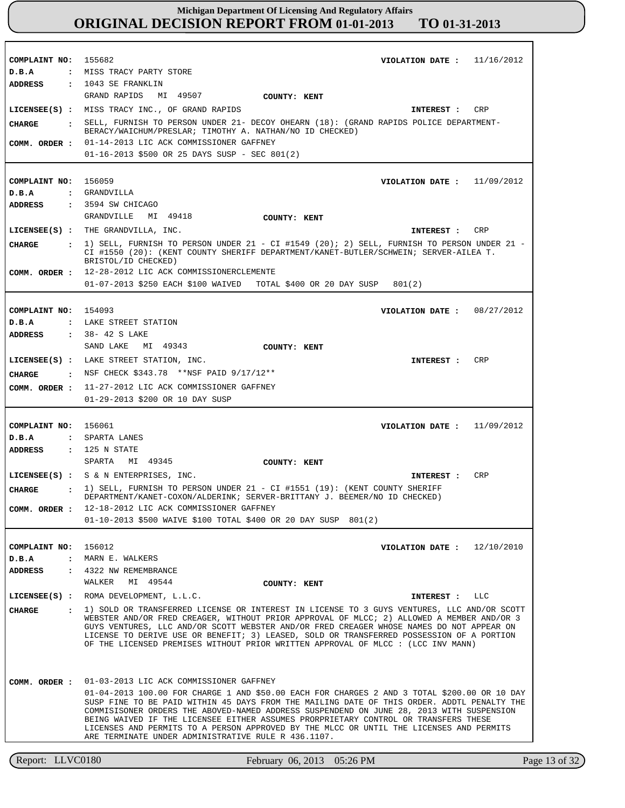Report: LLVC0180 February 06, 2013 05:26 PM Page 13 of 32 **COMPLAINT NO: COMPLAINT NO:** 156059 **COMPLAINT NO:** 154093 **COMPLAINT NO: COMPLAINT NO:** 156012 155682 156061 **VIOLATION DATE : VIOLATION DATE : VIOLATION DATE : VIOLATION DATE : VIOLATION DATE :** 11/16/2012 11/09/2012 08/27/2012 11/09/2012 12/10/2010 **D.B.A : D.B.A : D.B.A : D.B.A : D.B.A :** MISS TRACY PARTY STORE GRANDVILLA LAKE STREET STATION SPARTA LANES MARN E. WALKERS **ADDRESS : ADDRESS : ADDRESS : ADDRESS : ADDRESS :** 1043 SE FRANKLIN 3594 SW CHICAGO 38- 42 S LAKE : 125 N STATE 4322 NW REMEMBRANCE GRAND RAPIDS MI 49507 GRANDVILLE MI 49418 SAND LAKE MI 49343 SPARTA MI 49345 WALKER MI 49544 01-14-2013 LIC ACK COMMISSIONER GAFFNEY 01-16-2013 \$500 OR 25 DAYS SUSP - SEC 801(2) 12-28-2012 LIC ACK COMMISSIONERCLEMENTE 01-07-2013 \$250 EACH \$100 WAIVED TOTAL \$400 OR 20 DAY SUSP 801(2) 11-27-2012 LIC ACK COMMISSIONER GAFFNEY 01-29-2013 \$200 OR 10 DAY SUSP 12-18-2012 LIC ACK COMMISSIONER GAFFNEY 01-10-2013 \$500 WAIVE \$100 TOTAL \$400 OR 20 DAY SUSP 801(2) 01-03-2013 LIC ACK COMMISSIONER GAFFNEY 01-04-2013 100.00 FOR CHARGE 1 AND \$50.00 EACH FOR CHARGES 2 AND 3 TOTAL \$200.00 OR 10 DAY SUSP FINE TO BE PAID WITHIN 45 DAYS FROM THE MAILING DATE OF THIS ORDER. ADDTL PENALTY THE COMMISISONER ORDERS THE ABOVED-NAMED ADDRESS SUSPENDEND ON JUNE 28, 2013 WITH SUSPENSION BEING WAIVED IF THE LICENSEE EITHER ASSUMES PRORPRIETARY CONTROL OR TRANSFERS THESE LICENSES AND PERMITS TO A PERSON APPROVED BY THE MLCC OR UNTIL THE LICENSES AND PERMITS ARE TERMINATE UNDER ADMINISTRATIVE RULE R 436.1107. **LICENSEE(S) :** MISS TRACY INC., OF GRAND RAPIDS **LICENSEE(S) :** THE GRANDVILLA, INC. **LICENSEE(S) :** LAKE STREET STATION, INC. **LICENSEE(S) :** S & N ENTERPRISES, INC. **LICENSEE(S) :** ROMA DEVELOPMENT, L.L.C. CRP CRP CRP CRP LLC **CHARGE : CHARGE : CHARGE : CHARGE : CHARGE :** SELL, FURNISH TO PERSON UNDER 21- DECOY OHEARN (18): (GRAND RAPIDS POLICE DEPARTMENT-BERACY/WAICHUM/PRESLAR; TIMOTHY A. NATHAN/NO ID CHECKED) 1) SELL, FURNISH TO PERSON UNDER 21 - CI #1549 (20); 2) SELL, FURNISH TO PERSON UNDER 21 - CI #1550 (20): (KENT COUNTY SHERIFF DEPARTMENT/KANET-BUTLER/SCHWEIN; SERVER-AILEA T. BRISTOL/ID CHECKED) NSF CHECK \$343.78 \*\*NSF PAID 9/17/12\*\* 1) SELL, FURNISH TO PERSON UNDER 21 - CI #1551 (19): (KENT COUNTY SHERIFF DEPARTMENT/KANET-COXON/ALDERINK; SERVER-BRITTANY J. BEEMER/NO ID CHECKED) 1) SOLD OR TRANSFERRED LICENSE OR INTEREST IN LICENSE TO 3 GUYS VENTURES, LLC AND/OR SCOTT WEBSTER AND/OR FRED CREAGER, WITHOUT PRIOR APPROVAL OF MLCC; 2) ALLOWED A MEMBER AND/OR 3 GUYS VENTURES, LLC AND/OR SCOTT WEBSTER AND/OR FRED CREAGER WHOSE NAMES DO NOT APPEAR ON LICENSE TO DERIVE USE OR BENEFIT; 3) LEASED, SOLD OR TRANSFERRED POSSESSION OF A PORTION OF THE LICENSED PREMISES WITHOUT PRIOR WRITTEN APPROVAL OF MLCC : (LCC INV MANN) **INTEREST : INTEREST : INTEREST : INTEREST : INTEREST : COMM. ORDER : COMM. ORDER : COMM. ORDER : COMM. ORDER : COMM. ORDER : COUNTY: KENT COUNTY: KENT COUNTY: KENT COUNTY: KENT COUNTY: KENT**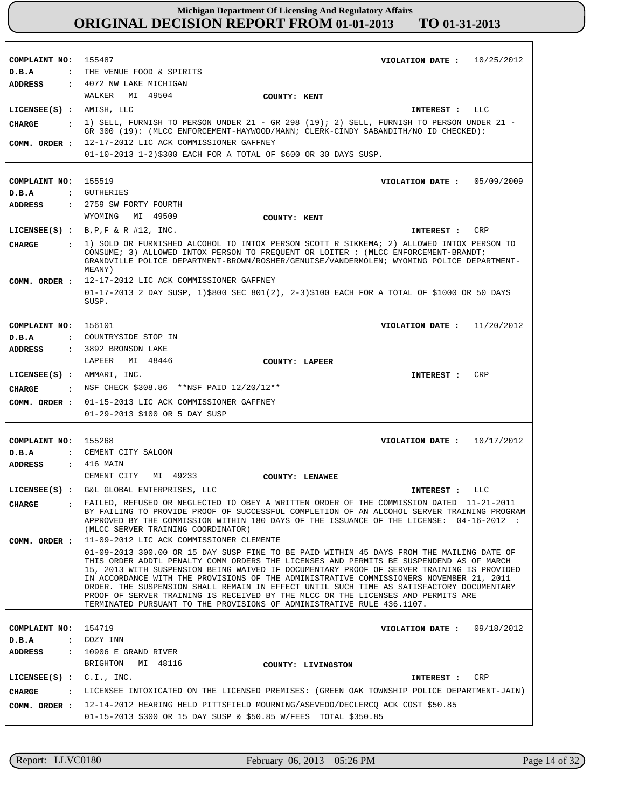**COMPLAINT NO: COMPLAINT NO:** 155519 **COMPLAINT NO:** 156101 **COMPLAINT NO:** 155268 **COMPLAINT NO:** 154719 155487 **VIOLATION DATE : VIOLATION DATE : VIOLATION DATE :** 11/20/2012 **VIOLATION DATE : VIOLATION DATE :** 09/18/2012 10/25/2012 05/09/2009 10/17/2012 **D.B.A : D.B.A : D.B.A : D.B.A : D.B.A :** THE VENUE FOOD & SPIRITS GUTHERIES COUNTRYSIDE STOP IN CEMENT CITY SALOON COZY INN **ADDRESS : ADDRESS : ADDRESS : ADDRESS : ADDRESS :** 4072 NW LAKE MICHIGAN 2759 SW FORTY FOURTH 3892 BRONSON LAKE 416 MAIN : 10906 E GRAND RIVER WALKER MI 49504 WYOMING MI 49509 LAPEER MI 48446 CEMENT CITY MI 49233 BRIGHTON MI 48116 12-17-2012 LIC ACK COMMISSIONER GAFFNEY 01-10-2013 1-2)\$300 EACH FOR A TOTAL OF \$600 OR 30 DAYS SUSP. 12-17-2012 LIC ACK COMMISSIONER GAFFNEY 01-17-2013 2 DAY SUSP, 1)\$800 SEC 801(2), 2-3)\$100 EACH FOR A TOTAL OF \$1000 OR 50 DAYS SUSP. 01-15-2013 LIC ACK COMMISSIONER GAFFNEY **COMM. ORDER :** 01-29-2013 \$100 OR 5 DAY SUSP 11-09-2012 LIC ACK COMMISSIONER CLEMENTE 01-09-2013 300.00 OR 15 DAY SUSP FINE TO BE PAID WITHIN 45 DAYS FROM THE MAILING DATE OF THIS ORDER ADDTL PENALTY COMM ORDERS THE LICENSES AND PERMITS BE SUSPENDEND AS OF MARCH 15, 2013 WITH SUSPENSION BEING WAIVED IF DOCUMENTARY PROOF OF SERVER TRAINING IS PROVIDED IN ACCORDANCE WITH THE PROVISIONS OF THE ADMINISTRATIVE COMMISSIONERS NOVEMBER 21, 2011 ORDER. THE SUSPENSION SHALL REMAIN IN EFFECT UNTIL SUCH TIME AS SATISFACTORY DOCUMENTARY PROOF OF SERVER TRAINING IS RECEIVED BY THE MLCC OR THE LICENSES AND PERMITS ARE TERMINATED PURSUANT TO THE PROVISIONS OF ADMINISTRATIVE RULE 436.1107. 12-14-2012 HEARING HELD PITTSFIELD MOURNING/ASEVEDO/DECLERCQ ACK COST \$50.85 **COMM. ORDER :** 01-15-2013 \$300 OR 15 DAY SUSP & \$50.85 W/FEES TOTAL \$350.85 **LICENSEE(S) :** AMISH, LLC **LICENSEE(S) :** B,P,F & R #12, INC. **LICENSEE(S) :** AMMARI, INC. **LICENSEE(S) :** G&L GLOBAL ENTERPRISES, LLC **LICENSEE(S) :** C.I., INC. LLC CRP **CRP** LLC **CRP CHARGE : CHARGE : CHARGE : CHARGE : CHARGE :** 1) SELL, FURNISH TO PERSON UNDER 21 - GR 298 (19); 2) SELL, FURNISH TO PERSON UNDER 21 - GR 300 (19): (MLCC ENFORCEMENT-HAYWOOD/MANN; CLERK-CINDY SABANDITH/NO ID CHECKED): 1) SOLD OR FURNISHED ALCOHOL TO INTOX PERSON SCOTT R SIKKEMA; 2) ALLOWED INTOX PERSON TO CONSUME; 3) ALLOWED INTOX PERSON TO FREQUENT OR LOITER : (MLCC ENFORCEMENT-BRANDT; GRANDVILLE POLICE DEPARTMENT-BROWN/ROSHER/GENUISE/VANDERMOLEN; WYOMING POLICE DEPARTMENT-MEANY) : NSF CHECK \$308.86 \*\*NSF PAID 12/20/12\*\* FAILED, REFUSED OR NEGLECTED TO OBEY A WRITTEN ORDER OF THE COMMISSION DATED 11-21-2011 BY FAILING TO PROVIDE PROOF OF SUCCESSFUL COMPLETION OF AN ALCOHOL SERVER TRAINING PROGRAM APPROVED BY THE COMMISSION WITHIN 180 DAYS OF THE ISSUANCE OF THE LICENSE: 04-16-2012 : (MLCC SERVER TRAINING COORDINATOR) LICENSEE INTOXICATED ON THE LICENSED PREMISES: (GREEN OAK TOWNSHIP POLICE DEPARTMENT-JAIN) **INTEREST : INTEREST : INTEREST : INTEREST : INTEREST : COMM. ORDER : COMM. ORDER : COMM. ORDER : COUNTY: KENT COUNTY: KENT COUNTY: LAPEER COUNTY: LENAWEE COUNTY: LIVINGSTON**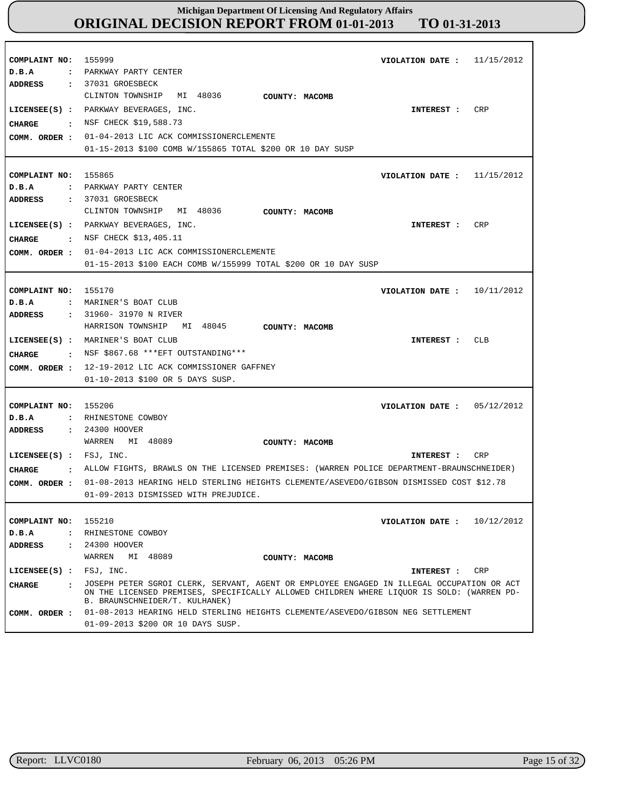| COMPLAINT NO:<br>D.B.A                                                      | 155999<br>VIOLATION DATE :<br>11/15/2012<br>: PARKWAY PARTY CENTER                                                                                                                                                                                                                                          |
|-----------------------------------------------------------------------------|-------------------------------------------------------------------------------------------------------------------------------------------------------------------------------------------------------------------------------------------------------------------------------------------------------------|
| <b>ADDRESS</b><br>CIIARGE<br>COMM. ORDER :                                  | : 37031 GROESBECK<br>CLINTON TOWNSHIP MI 48036<br>COUNTY: MACOMB<br>LICENSEE(S) : PARKWAY BEVERAGES, INC.<br>CRP<br>INTEREST :<br>: NSF CHECK \$19,588.73<br>01-04-2013 LIC ACK COMMISSIONERCLEMENTE<br>01-15-2013 \$100 COMB W/155865 TOTAL \$200 OR 10 DAY SUSP                                           |
| COMPLAINT NO:<br>D.B.A                                                      | 155865<br>VIOLATION DATE : $11/15/2012$<br>: PARKWAY PARTY CENTER                                                                                                                                                                                                                                           |
| ADDRESS<br><b>CHARGE</b><br>COMM. ORDER :                                   | : 37031 GROESBECK<br>CLINTON TOWNSHIP MI 48036<br>COUNTY: MACOMB<br>LICENSEE(S) : PARKWAY BEVERAGES, INC.<br>CRP<br>INTEREST :<br>$:$ NSF CHECK \$13,405.11<br>01-04-2013 LIC ACK COMMISSIONERCLEMENTE<br>01-15-2013 \$100 EACH COMB W/155999 TOTAL \$200 OR 10 DAY SUSP                                    |
| COMPLAINT NO:<br>D.B.A                                                      | 155170<br>10/11/2012<br>VIOLATION DATE :<br>: MARINER'S BOAT CLUB                                                                                                                                                                                                                                           |
| <b>ADDRESS</b><br>CIIARGE<br>COMM. ORDER :                                  | : 31960- 31970 N RIVER<br>MI 48045<br>HARRISON TOWNSHIP<br>COUNTY: MACOMB<br>LICENSEE(S) : MARINER'S BOAT CLUB<br>CLB<br>INTEREST :<br>$\cdot$ NSF \$867.68 *** EFT OUTSTANDING ***<br>12-19-2012 LIC ACK COMMISSIONER GAFFNEY<br>01-10-2013 \$100 OR 5 DAYS SUSP.                                          |
| COMPLAINT NO:<br>D.B.A<br>ADDRESS                                           | 155206<br>05/12/2012<br>VIOLATION DATE :<br>: RHINESTONE COWBOY<br>: 24300 HOOVER                                                                                                                                                                                                                           |
|                                                                             | MI 48089<br>WARREN<br>COUNTY: MACOMB                                                                                                                                                                                                                                                                        |
| LICENSEE(S) : FSJ, INC.<br><b>CIIARGE</b>                                   | CRP<br>INTEREST :<br>. ALLOW FIGHTS, BRAWLS ON THE LICENSED PREMISES: (WARREN POLICE DEPARTMENT-BRAUNSCHNEIDER)                                                                                                                                                                                             |
| COMM. ORDER :                                                               | 01-08-2013 HEARING HELD STERLING HEIGHTS CLEMENTE/ASEVEDO/GIBSON DISMISSED COST \$12.78<br>01-09-2013 DISMISSED WITH PREJUDICE.                                                                                                                                                                             |
| COMPLAINT NO:<br>D.B.A<br>$\ddot{\phantom{a}}$<br>ADDRESS<br>$\ddot{\cdot}$ | 155210<br>VIOLATION DATE: $10/12/2012$<br>RHINESTONE COWBOY<br>24300 HOOVER<br>WARREN MI 48089<br>COUNTY: MACOMB                                                                                                                                                                                            |
| $LICENSEE(S)$ :                                                             | FSJ, INC.<br>CRP<br>INTEREST :                                                                                                                                                                                                                                                                              |
| CHARGE<br>$\mathbf{r}$<br>COMM. ORDER :                                     | JOSEPH PETER SGROI CLERK, SERVANT, AGENT OR EMPLOYEE ENGAGED IN ILLEGAL OCCUPATION OR ACT<br>ON THE LICENSED PREMISES, SPECIFICALLY ALLOWED CHILDREN WHERE LIQUOR IS SOLD: (WARREN PD-<br>B. BRAUNSCHNEIDER/T. KULHANEK)<br>01-08-2013 HEARING HELD STERLING HEIGHTS CLEMENTE/ASEVEDO/GIBSON NEG SETTLEMENT |
|                                                                             | 01-09-2013 \$200 OR 10 DAYS SUSP.                                                                                                                                                                                                                                                                           |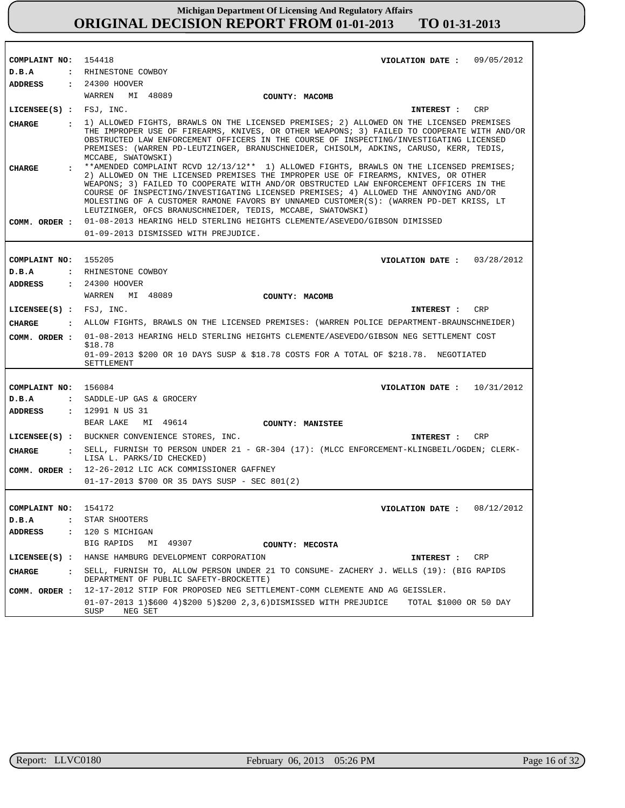| COMPLAINT NO: 154418          | VIOLATION DATE: $09/05/2012$                                                                                                                                                                                                                                                                                                                                                                                                                                                                                                                  |
|-------------------------------|-----------------------------------------------------------------------------------------------------------------------------------------------------------------------------------------------------------------------------------------------------------------------------------------------------------------------------------------------------------------------------------------------------------------------------------------------------------------------------------------------------------------------------------------------|
| D.B.A                         | : RHINESTONE COWBOY                                                                                                                                                                                                                                                                                                                                                                                                                                                                                                                           |
| ADDRESS                       | : 24300 HOOVER                                                                                                                                                                                                                                                                                                                                                                                                                                                                                                                                |
|                               | WARREN MI 48089<br>COUNTY: MACOMB                                                                                                                                                                                                                                                                                                                                                                                                                                                                                                             |
| LICENSEE(S) : FSJ, INC.       | INTEREST : CRP                                                                                                                                                                                                                                                                                                                                                                                                                                                                                                                                |
| <b>CHARGE</b><br>$\mathbf{r}$ | 1) ALLOWED FIGHTS, BRAWLS ON THE LICENSED PREMISES; 2) ALLOWED ON THE LICENSED PREMISES<br>THE IMPROPER USE OF FIREARMS, KNIVES, OR OTHER WEAPONS; 3) FAILED TO COOPERATE WITH AND/OR<br>OBSTRUCTED LAW ENFORCEMENT OFFICERS IN THE COURSE OF INSPECTING/INVESTIGATING LICENSED<br>PREMISES: (WARREN PD-LEUTZINGER, BRANUSCHNEIDER, CHISOLM, ADKINS, CARUSO, KERR, TEDIS,                                                                                                                                                                     |
| <b>CHARGE</b>                 | MCCABE, SWATOWSKI)<br>**AMENDED COMPLAINT RCVD 12/13/12** 1) ALLOWED FIGHTS, BRAWLS ON THE LICENSED PREMISES;<br>2) ALLOWED ON THE LICENSED PREMISES THE IMPROPER USE OF FIREARMS, KNIVES, OR OTHER<br>WEAPONS; 3) FAILED TO COOPERATE WITH AND/OR OBSTRUCTED LAW ENFORCEMENT OFFICERS IN THE<br>COURSE OF INSPECTING/INVESTIGATING LICENSED PREMISES; 4) ALLOWED THE ANNOYING AND/OR<br>MOLESTING OF A CUSTOMER RAMONE FAVORS BY UNNAMED CUSTOMER(S): (WARREN PD-DET KRISS, LT<br>LEUTZINGER, OFCS BRANUSCHNEIDER, TEDIS, MCCABE, SWATOWSKI) |
| COMM. ORDER :                 | 01-08-2013 HEARING HELD STERLING HEIGHTS CLEMENTE/ASEVEDO/GIBSON DIMISSED                                                                                                                                                                                                                                                                                                                                                                                                                                                                     |
|                               | 01-09-2013 DISMISSED WITH PREJUDICE.                                                                                                                                                                                                                                                                                                                                                                                                                                                                                                          |
|                               |                                                                                                                                                                                                                                                                                                                                                                                                                                                                                                                                               |
| COMPLAINT NO: 155205          | VIOLATION DATE: $03/28/2012$                                                                                                                                                                                                                                                                                                                                                                                                                                                                                                                  |
| D.B.A                         | : RHINESTONE COWBOY                                                                                                                                                                                                                                                                                                                                                                                                                                                                                                                           |
| ADDRESS                       | : 24300 HOOVER                                                                                                                                                                                                                                                                                                                                                                                                                                                                                                                                |
|                               | WARREN MI 48089<br>COUNTY: MACOMB                                                                                                                                                                                                                                                                                                                                                                                                                                                                                                             |
| LICENSEE(S) : FSJ, INC.       | CRP<br>INTEREST :                                                                                                                                                                                                                                                                                                                                                                                                                                                                                                                             |
| CHARGE                        | : ALLOW FIGHTS, BRAWLS ON THE LICENSED PREMISES: (WARREN POLICE DEPARTMENT-BRAUNSCHNEIDER)                                                                                                                                                                                                                                                                                                                                                                                                                                                    |
|                               | COMM. ORDER : 01-08-2013 HEARING HELD STERLING HEIGHTS CLEMENTE/ASEVEDO/GIBSON NEG SETTLEMENT COST                                                                                                                                                                                                                                                                                                                                                                                                                                            |
|                               | \$18.78<br>01-09-2013 \$200 OR 10 DAYS SUSP & \$18.78 COSTS FOR A TOTAL OF \$218.78. NEGOTIATED<br>SETTLEMENT                                                                                                                                                                                                                                                                                                                                                                                                                                 |
|                               |                                                                                                                                                                                                                                                                                                                                                                                                                                                                                                                                               |
| COMPLAINT NO: 156084          | VIOLATION DATE : $10/31/2012$                                                                                                                                                                                                                                                                                                                                                                                                                                                                                                                 |
| D.B.A                         | : SADDLE-UP GAS & GROCERY                                                                                                                                                                                                                                                                                                                                                                                                                                                                                                                     |
| ADDRESS                       | : 12991 N US 31                                                                                                                                                                                                                                                                                                                                                                                                                                                                                                                               |
|                               | BEAR LAKE MI 49614<br><b>COUNTY: MANISTEE</b>                                                                                                                                                                                                                                                                                                                                                                                                                                                                                                 |
|                               | LICENSEE(S) : BUCKNER CONVENIENCE STORES, INC.<br>CRP<br>INTEREST :                                                                                                                                                                                                                                                                                                                                                                                                                                                                           |
| CHARGE                        | : SELL, FURNISH TO PERSON UNDER 21 - GR-304 (17): (MLCC ENFORCEMENT-KLINGBEIL/OGDEN; CLERK-<br>LISA L. PARKS/ID CHECKED)                                                                                                                                                                                                                                                                                                                                                                                                                      |
| COMM. ORDER :                 | 12-26-2012 LIC ACK COMMISSIONER GAFFNEY                                                                                                                                                                                                                                                                                                                                                                                                                                                                                                       |
|                               | 01-17-2013 \$700 OR 35 DAYS SUSP - SEC 801(2)                                                                                                                                                                                                                                                                                                                                                                                                                                                                                                 |
|                               |                                                                                                                                                                                                                                                                                                                                                                                                                                                                                                                                               |
| COMPLAINT NO:                 | 154172<br>VIOLATION DATE : $08/12/2012$                                                                                                                                                                                                                                                                                                                                                                                                                                                                                                       |
| D.B.A<br>$\ddot{\phantom{0}}$ | STAR SHOOTERS                                                                                                                                                                                                                                                                                                                                                                                                                                                                                                                                 |
| ADDRESS                       | : 120 S MICHIGAN                                                                                                                                                                                                                                                                                                                                                                                                                                                                                                                              |
|                               | BIG RAPIDS<br>MI 49307<br>COUNTY: MECOSTA                                                                                                                                                                                                                                                                                                                                                                                                                                                                                                     |
|                               | LICENSEE(S) : HANSE HAMBURG DEVELOPMENT CORPORATION<br>CRP<br>INTEREST :                                                                                                                                                                                                                                                                                                                                                                                                                                                                      |
| CHARGE<br>$\ddot{\mathbf{r}}$ | SELL, FURNISH TO, ALLOW PERSON UNDER 21 TO CONSUME- ZACHERY J. WELLS (19): (BIG RAPIDS<br>DEPARTMENT OF PUBLIC SAFETY-BROCKETTE)                                                                                                                                                                                                                                                                                                                                                                                                              |
| COMM. ORDER :                 | 12-17-2012 STIP FOR PROPOSED NEG SETTLEMENT-COMM CLEMENTE AND AG GEISSLER.                                                                                                                                                                                                                                                                                                                                                                                                                                                                    |
|                               | 01-07-2013 1)\$600 4)\$200 5)\$200 2,3,6)DISMISSED WITH PREJUDICE<br>TOTAL \$1000 OR 50 DAY<br>SUSP<br>NEG SET                                                                                                                                                                                                                                                                                                                                                                                                                                |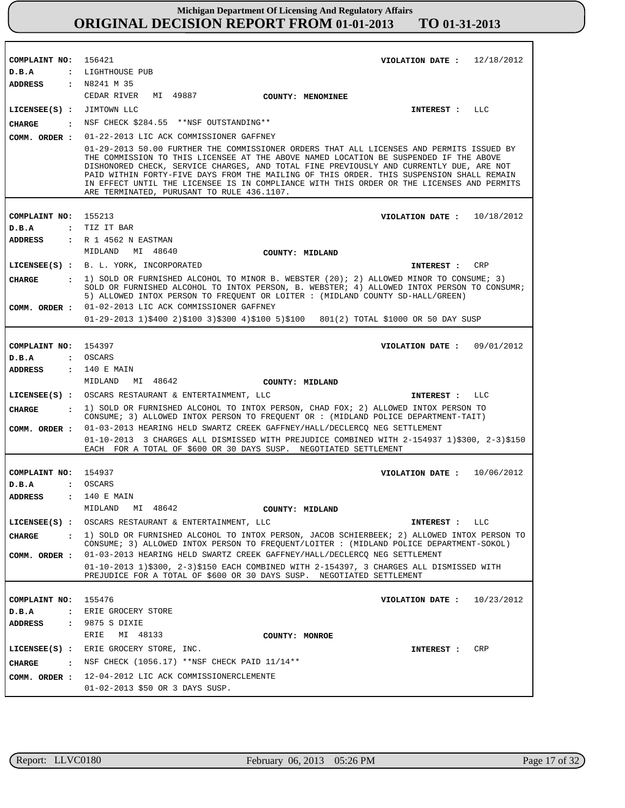| COMPLAINT NO: 156421        | VIOLATION DATE: $12/18/2012$                                                                                                                                                                                                                                                                                                                                                                                                                                                                                        |
|-----------------------------|---------------------------------------------------------------------------------------------------------------------------------------------------------------------------------------------------------------------------------------------------------------------------------------------------------------------------------------------------------------------------------------------------------------------------------------------------------------------------------------------------------------------|
| D.B.A                       | : LIGHTHOUSE PUB                                                                                                                                                                                                                                                                                                                                                                                                                                                                                                    |
| <b>ADDRESS : N8241 M 35</b> | CEDAR RIVER MI 49887                                                                                                                                                                                                                                                                                                                                                                                                                                                                                                |
|                             | COUNTY: MENOMINEE                                                                                                                                                                                                                                                                                                                                                                                                                                                                                                   |
| LICENSEE(S) : JIMTOWN LLC   | INTEREST : LLC                                                                                                                                                                                                                                                                                                                                                                                                                                                                                                      |
| CHARGE                      | : NSF CHECK \$284.55 ** NSF OUTSTANDING**                                                                                                                                                                                                                                                                                                                                                                                                                                                                           |
|                             | COMM. ORDER : 01-22-2013 LIC ACK COMMISSIONER GAFFNEY                                                                                                                                                                                                                                                                                                                                                                                                                                                               |
|                             | 01-29-2013 50.00 FURTHER THE COMMISSIONER ORDERS THAT ALL LICENSES AND PERMITS ISSUED BY<br>THE COMMISSION TO THIS LICENSEE AT THE ABOVE NAMED LOCATION BE SUSPENDED IF THE ABOVE<br>DISHONORED CHECK, SERVICE CHARGES, AND TOTAL FINE PREVIOUSLY AND CURRENTLY DUE, ARE NOT<br>PAID WITHIN FORTY-FIVE DAYS FROM THE MAILING OF THIS ORDER. THIS SUSPENSION SHALL REMAIN<br>IN EFFECT UNTIL THE LICENSEE IS IN COMPLIANCE WITH THIS ORDER OR THE LICENSES AND PERMITS<br>ARE TERMINATED, PURUSANT TO RULE 436.1107. |
|                             |                                                                                                                                                                                                                                                                                                                                                                                                                                                                                                                     |
| COMPLAINT NO: 155213        | VIOLATION DATE: $10/18/2012$                                                                                                                                                                                                                                                                                                                                                                                                                                                                                        |
| D.B.A                       | : TIZ IT BAR                                                                                                                                                                                                                                                                                                                                                                                                                                                                                                        |
| ADDRESS                     | : R 1 4562 N EASTMAN                                                                                                                                                                                                                                                                                                                                                                                                                                                                                                |
|                             | MIDLAND MI 48640<br>COUNTY: MIDLAND                                                                                                                                                                                                                                                                                                                                                                                                                                                                                 |
|                             | LICENSEE(S) : B. L. YORK, INCORPORATED<br>CRP<br>INTEREST :                                                                                                                                                                                                                                                                                                                                                                                                                                                         |
| CHARGE                      | : 1) SOLD OR FURNISHED ALCOHOL TO MINOR B. WEBSTER (20); 2) ALLOWED MINOR TO CONSUME; 3)<br>SOLD OR FURNISHED ALCOHOL TO INTOX PERSON, B. WEBSTER; 4) ALLOWED INTOX PERSON TO CONSUMR;<br>5) ALLOWED INTOX PERSON TO FREOUENT OR LOITER : (MIDLAND COUNTY SD-HALL/GREEN)                                                                                                                                                                                                                                            |
|                             | COMM. ORDER : 01-02-2013 LIC ACK COMMISSIONER GAFFNEY                                                                                                                                                                                                                                                                                                                                                                                                                                                               |
|                             | $01-29-2013$ 1)\$400 2)\$100 3)\$300 4)\$100 5)\$100 801(2) TOTAL \$1000 OR 50 DAY SUSP                                                                                                                                                                                                                                                                                                                                                                                                                             |
|                             |                                                                                                                                                                                                                                                                                                                                                                                                                                                                                                                     |
| COMPLAINT NO: 154397        | VIOLATION DATE: $09/01/2012$                                                                                                                                                                                                                                                                                                                                                                                                                                                                                        |
| D.B.A                       | : OSCARS                                                                                                                                                                                                                                                                                                                                                                                                                                                                                                            |
| ADDRESS                     | : 140 E MAIN                                                                                                                                                                                                                                                                                                                                                                                                                                                                                                        |
|                             |                                                                                                                                                                                                                                                                                                                                                                                                                                                                                                                     |
|                             | MI 48642<br>MIDLAND<br>COUNTY: MIDLAND                                                                                                                                                                                                                                                                                                                                                                                                                                                                              |
|                             | LICENSEE(S) : OSCARS RESTAURANT & ENTERTAINMENT, LLC<br>INTEREST : LLC                                                                                                                                                                                                                                                                                                                                                                                                                                              |
| CHARGE                      | : 1) SOLD OR FURNISHED ALCOHOL TO INTOX PERSON, CHAD FOX; 2) ALLOWED INTOX PERSON TO<br>CONSUME; 3) ALLOWED INTOX PERSON TO FREQUENT OR : (MIDLAND POLICE DEPARTMENT-TAIT)                                                                                                                                                                                                                                                                                                                                          |
| COMM. ORDER :               | 01-03-2013 HEARING HELD SWARTZ CREEK GAFFNEY/HALL/DECLERCQ NEG SETTLEMENT                                                                                                                                                                                                                                                                                                                                                                                                                                           |
|                             | 01-10-2013 3 CHARGES ALL DISMISSED WITH PREJUDICE COMBINED WITH 2-154937 1)\$300, 2-3)\$150<br>EACH FOR A TOTAL OF \$600 OR 30 DAYS SUSP. NEGOTIATED SETTLEMENT                                                                                                                                                                                                                                                                                                                                                     |
|                             |                                                                                                                                                                                                                                                                                                                                                                                                                                                                                                                     |
| COMPLAINT NO: 154937        | VIOLATION DATE: 10/06/2012                                                                                                                                                                                                                                                                                                                                                                                                                                                                                          |
| D.B.A                       | : OSCARS                                                                                                                                                                                                                                                                                                                                                                                                                                                                                                            |
| <b>ADDRESS</b>              | : 140 E MAIN                                                                                                                                                                                                                                                                                                                                                                                                                                                                                                        |
|                             | MIDLAND MI 48642<br>COUNTY: MIDLAND                                                                                                                                                                                                                                                                                                                                                                                                                                                                                 |
|                             | LICENSEE(S) : OSCARS RESTAURANT & ENTERTAINMENT, LLC<br>INTEREST : LLC                                                                                                                                                                                                                                                                                                                                                                                                                                              |
| <b>CHARGE</b>               | : 1) SOLD OR FURNISHED ALCOHOL TO INTOX PERSON, JACOB SCHIERBEEK; 2) ALLOWED INTOX PERSON TO<br>CONSUME; 3) ALLOWED INTOX PERSON TO FREQUENT/LOITER : (MIDLAND POLICE DEPARTMENT-SOKOL)                                                                                                                                                                                                                                                                                                                             |
|                             | COMM. ORDER : 01-03-2013 HEARING HELD SWARTZ CREEK GAFFNEY/HALL/DECLERCQ NEG SETTLEMENT                                                                                                                                                                                                                                                                                                                                                                                                                             |
|                             | 01-10-2013 1)\$300, 2-3)\$150 EACH COMBINED WITH 2-154397, 3 CHARGES ALL DISMISSED WITH                                                                                                                                                                                                                                                                                                                                                                                                                             |
|                             | PREJUDICE FOR A TOTAL OF \$600 OR 30 DAYS SUSP. NEGOTIATED SETTLEMENT                                                                                                                                                                                                                                                                                                                                                                                                                                               |
|                             |                                                                                                                                                                                                                                                                                                                                                                                                                                                                                                                     |
| COMPLAINT NO: 155476        | VIOLATION DATE: $10/23/2012$                                                                                                                                                                                                                                                                                                                                                                                                                                                                                        |
| D.B.A                       | : ERIE GROCERY STORE                                                                                                                                                                                                                                                                                                                                                                                                                                                                                                |
| ADDRESS                     | : 9875 S DIXIE                                                                                                                                                                                                                                                                                                                                                                                                                                                                                                      |
|                             | ERIE<br>MI 48133<br>COUNTY: MONROE                                                                                                                                                                                                                                                                                                                                                                                                                                                                                  |
|                             | LICENSEE(S) : ERIE GROCERY STORE, INC.<br>INTEREST : CRP                                                                                                                                                                                                                                                                                                                                                                                                                                                            |
| CHARGE                      | . NSF CHECK (1056.17) ** NSF CHECK PAID 11/14**                                                                                                                                                                                                                                                                                                                                                                                                                                                                     |
|                             | COMM. ORDER : 12-04-2012 LIC ACK COMMISSIONERCLEMENTE                                                                                                                                                                                                                                                                                                                                                                                                                                                               |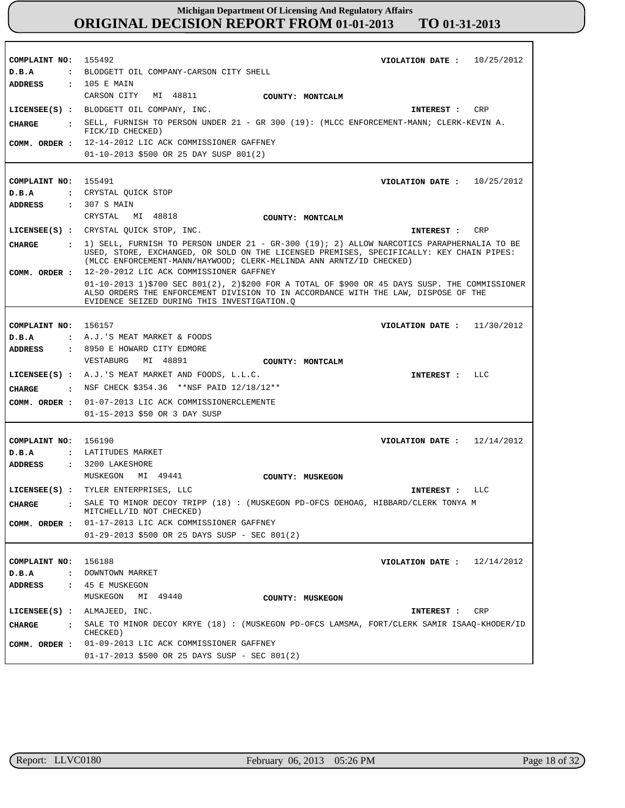| COMPLAINT NO:                 | 155492<br>VIOLATION DATE : $10/25/2012$                                                                                                                                               |
|-------------------------------|---------------------------------------------------------------------------------------------------------------------------------------------------------------------------------------|
| D.B.A                         | : BLODGETT OIL COMPANY-CARSON CITY SHELL                                                                                                                                              |
| ADDRESS                       | : 105 E MAIN                                                                                                                                                                          |
|                               | CARSON CITY<br>MI 48811<br>COUNTY: MONTCALM                                                                                                                                           |
|                               | LICENSEE(S) : BLODGETT OIL COMPANY, INC.<br>INTEREST : CRP                                                                                                                            |
| CHARGE                        | : SELL, FURNISH TO PERSON UNDER 21 - GR 300 (19): (MLCC ENFORCEMENT-MANN; CLERK-KEVIN A.                                                                                              |
|                               | FICK/ID CHECKED)                                                                                                                                                                      |
|                               | COMM. ORDER : 12-14-2012 LIC ACK COMMISSIONER GAFFNEY                                                                                                                                 |
|                               | 01-10-2013 \$500 OR 25 DAY SUSP 801(2)                                                                                                                                                |
|                               |                                                                                                                                                                                       |
| COMPLAINT NO: 155491          | VIOLATION DATE: $10/25/2012$                                                                                                                                                          |
| D.B.A                         | : CRYSTAL QUICK STOP                                                                                                                                                                  |
| ADDRESS                       | : 307 S MAIN                                                                                                                                                                          |
|                               | CRYSTAL MI 48818<br><b>COUNTY: MONTCALM</b>                                                                                                                                           |
|                               | LICENSEE(S) : CRYSTAL QUICK STOP, INC.<br>CRP<br>INTEREST :                                                                                                                           |
| CHARGE                        | : 1) SELL, FURNISH TO PERSON UNDER 21 - GR-300 (19); 2) ALLOW NARCOTICS PARAPHERNALIA TO BE                                                                                           |
|                               | USED, STORE, EXCHANGED, OR SOLD ON THE LICENSED PREMISES, SPECIFICALLY: KEY CHAIN PIPES:                                                                                              |
|                               | (MLCC ENFORCEMENT-MANN/HAYWOOD; CLERK-MELINDA ANN ARNTZ/ID CHECKED)                                                                                                                   |
| COMM. ORDER :                 | 12-20-2012 LIC ACK COMMISSIONER GAFFNEY                                                                                                                                               |
|                               | $01-10-2013$ 1)\$700 SEC 801(2), 2)\$200 FOR A TOTAL OF \$900 OR 45 DAYS SUSP. THE COMMISSIONER<br>ALSO ORDERS THE ENFORCEMENT DIVISION TO IN ACCORDANCE WITH THE LAW, DISPOSE OF THE |
|                               | EVIDENCE SEIZED DURING THIS INVESTIGATION.O                                                                                                                                           |
|                               |                                                                                                                                                                                       |
| COMPLAINT NO: 156157          | VIOLATION DATE: $11/30/2012$                                                                                                                                                          |
| D.B.A                         | : A.J.'S MEAT MARKET & FOODS                                                                                                                                                          |
| ADDRESS                       | : 8950 E HOWARD CITY EDMORE                                                                                                                                                           |
|                               | VESTABURG<br>MI 48891<br>COUNTY: MONTCALM                                                                                                                                             |
|                               | LICENSEE(S) : A.J.'S MEAT MARKET AND FOODS, L.L.C.<br>INTEREST : LLC                                                                                                                  |
|                               |                                                                                                                                                                                       |
| CHARGE                        | $\cdot$ NSF CHECK \$354.36 **NSF PAID 12/18/12**                                                                                                                                      |
| COMM. ORDER :                 | 01-07-2013 LIC ACK COMMISSIONERCLEMENTE                                                                                                                                               |
|                               | 01-15-2013 \$50 OR 3 DAY SUSP                                                                                                                                                         |
|                               |                                                                                                                                                                                       |
| COMPLAINT NO: 156190          | VIOLATION DATE: $12/14/2012$                                                                                                                                                          |
| D.B.A                         | : LATITUDES MARKET                                                                                                                                                                    |
| ADDRESS                       | : 3200 LAKESHORE                                                                                                                                                                      |
|                               | MUSKEGON<br>MI 49441<br>COUNTY: MUSKEGON                                                                                                                                              |
|                               | LICENSEE(S) : TYLER ENTERPRISES, LLC<br>INTEREST : LLC                                                                                                                                |
| CHARGE                        | SALE TO MINOR DECOY TRIPP (18) : (MUSKEGON PD-OFCS DEHOAG, HIBBARD/CLERK TONYA M<br>MITCHELL/ID NOT CHECKED)                                                                          |
| COMM. ORDER :                 | 01-17-2013 LIC ACK COMMISSIONER GAFFNEY                                                                                                                                               |
|                               | $01-29-2013$ \$500 OR 25 DAYS SUSP - SEC 801(2)                                                                                                                                       |
|                               |                                                                                                                                                                                       |
| COMPLAINT NO:                 | 156188<br>12/14/2012<br>VIOLATION DATE :                                                                                                                                              |
| D.B.A<br>$\ddot{\phantom{a}}$ | DOWNTOWN MARKET                                                                                                                                                                       |
| <b>ADDRESS</b>                | : 45 E MUSKEGON                                                                                                                                                                       |
|                               | MUSKEGON<br>MI 49440<br>COUNTY: MUSKEGON                                                                                                                                              |
|                               |                                                                                                                                                                                       |
|                               | $LICENSEE(S)$ : ALMAJEED, INC.<br>INTEREST :<br>CRP                                                                                                                                   |
| <b>CHARGE</b>                 | SALE TO MINOR DECOY KRYE (18) : (MUSKEGON PD-OFCS LAMSMA, FORT/CLERK SAMIR ISAAO-KHODER/ID<br>$\mathbf{r}$<br>CHECKED)                                                                |
| COMM. ORDER :                 | 01-09-2013 LIC ACK COMMISSIONER GAFFNEY                                                                                                                                               |
|                               | $01-17-2013$ \$500 OR 25 DAYS SUSP - SEC 801(2)                                                                                                                                       |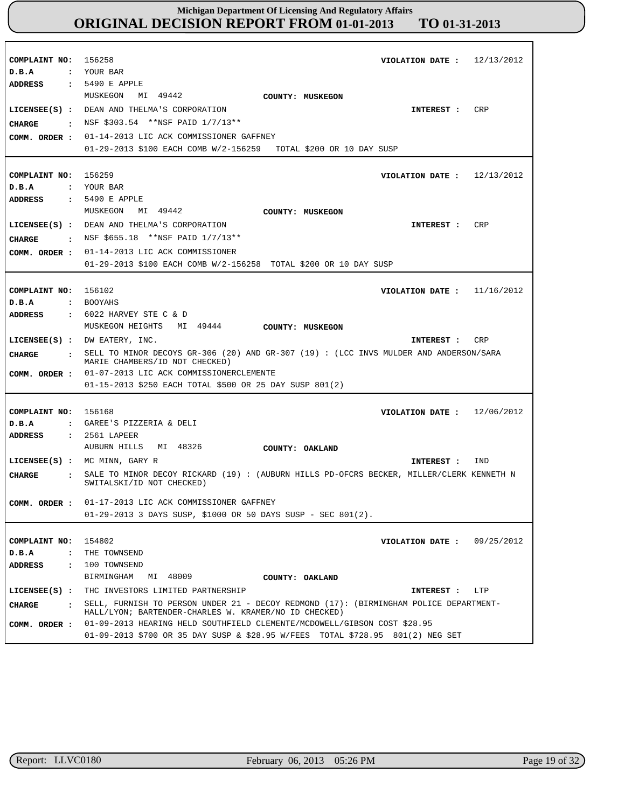| COMPLAINT NO: 156258<br>D.B.A | VIOLATION DATE: $12/13/2012$<br>: YOUR BAR                                                                                                                 |
|-------------------------------|------------------------------------------------------------------------------------------------------------------------------------------------------------|
| ADDRESS                       | : 5490 E APPLE<br>MUSKEGON MI 49442<br>COUNTY: MUSKEGON                                                                                                    |
|                               | LICENSEE(S) : DEAN AND THELMA'S CORPORATION<br><b>CRP</b><br>INTEREST :                                                                                    |
| CHARGE                        | : NSF \$303.54 **NSF PAID 1/7/13**                                                                                                                         |
| COMM. ORDER :                 | 01-14-2013 LIC ACK COMMISSIONER GAFFNEY                                                                                                                    |
|                               | 01-29-2013 \$100 EACH COMB W/2-156259 TOTAL \$200 OR 10 DAY SUSP                                                                                           |
| COMPLAINT NO: 156259          |                                                                                                                                                            |
| D.B.A                         | VIOLATION DATE: $12/13/2012$<br>: YOUR BAR                                                                                                                 |
| ADDRESS                       | $: 5490$ E APPLE                                                                                                                                           |
|                               | MUSKEGON MI 49442<br>COUNTY: MUSKEGON                                                                                                                      |
|                               | LICENSEE(S) : DEAN AND THELMA'S CORPORATION<br>CRP<br>INTEREST :                                                                                           |
| CHARGE                        | $\cdot$ NSF \$655.18 **NSF PAID 1/7/13**                                                                                                                   |
|                               | COMM. ORDER : 01-14-2013 LIC ACK COMMISSIONER                                                                                                              |
|                               | 01-29-2013 \$100 EACH COMB W/2-156258 TOTAL \$200 OR 10 DAY SUSP                                                                                           |
|                               |                                                                                                                                                            |
| COMPLAINT NO: 156102          | VIOLATION DATE: $11/16/2012$                                                                                                                               |
| D.B.A                         | : BOOYAHS                                                                                                                                                  |
| ADDRESS                       | $\cdot$ 6022 HARVEY STE C & D                                                                                                                              |
|                               | MUSKEGON HEIGHTS MI 49444<br>COUNTY: MUSKEGON                                                                                                              |
|                               | $LICENSEE(S)$ : DW EATERY, INC.<br>CRP<br>INTEREST :                                                                                                       |
|                               |                                                                                                                                                            |
| CHARGE                        | : SELL TO MINOR DECOYS GR-306 (20) AND GR-307 (19) : (LCC INVS MULDER AND ANDERSON/SARA<br>MARIE CHAMBERS/ID NOT CHECKED)                                  |
|                               | COMM. ORDER : 01-07-2013 LIC ACK COMMISSIONERCLEMENTE                                                                                                      |
|                               | 01-15-2013 \$250 EACH TOTAL \$500 OR 25 DAY SUSP 801(2)                                                                                                    |
|                               |                                                                                                                                                            |
| COMPLAINT NO: 156168          | VIOLATION DATE: $12/06/2012$                                                                                                                               |
| D.B.A                         | : GAREE'S PIZZERIA & DELI                                                                                                                                  |
| ADDRESS                       | : 2561 LAPEER                                                                                                                                              |
|                               | AUBURN HILLS MI 48326<br>COUNTY: OAKLAND                                                                                                                   |
|                               | LICENSEE(S) : MC MINN, GARY R<br>IND<br>INTEREST :                                                                                                         |
| CIIARGE<br>$\sim$ 1.          | SALE TO MINOR DECOY RICKARD (19) : (AUBURN HILLS PD-OFCRS BECKER, MILLER/CLERK KENNETH N<br>SWITALSKI/ID NOT CHECKED)                                      |
|                               | COMM. ORDER : 01-17-2013 LIC ACK COMMISSIONER GAFFNEY                                                                                                      |
|                               | $01-29-2013$ 3 DAYS SUSP, \$1000 OR 50 DAYS SUSP - SEC 801(2).                                                                                             |
|                               |                                                                                                                                                            |
| COMPLAINT NO:                 | 154802<br>VIOLATION DATE: $09/25/2012$                                                                                                                     |
| D.B.A<br>$\cdot$ :            | THE TOWNSEND                                                                                                                                               |
| ADDRESS<br>$\sim$ :           | 100 TOWNSEND                                                                                                                                               |
|                               | BIRMINGHAM<br>MI 48009<br>COUNTY: OAKLAND                                                                                                                  |
| $LICENSEE(S)$ :               | THC INVESTORS LIMITED PARTNERSHIP<br>INTEREST : LTP                                                                                                        |
| <b>CHARGE</b><br>$\mathbf{r}$ | SELL, FURNISH TO PERSON UNDER 21 - DECOY REDMOND (17): (BIRMINGHAM POLICE DEPARTMENT-<br>HALL/LYON; BARTENDER-CHARLES W. KRAMER/NO ID CHECKED)             |
| COMM. ORDER :                 | 01-09-2013 HEARING HELD SOUTHFIELD CLEMENTE/MCDOWELL/GIBSON COST \$28.95<br>01-09-2013 \$700 OR 35 DAY SUSP & \$28.95 W/FEES TOTAL \$728.95 801(2) NEG SET |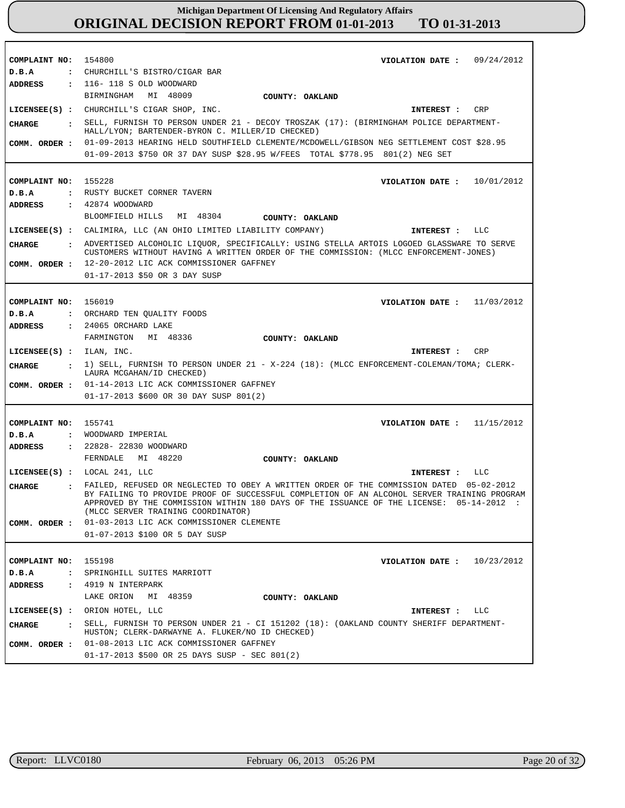| COMPLAINT NO:                 | 154800<br>VIOLATION DATE: $09/24/2012$                                                                                        |
|-------------------------------|-------------------------------------------------------------------------------------------------------------------------------|
| D.B.A<br>$\ddot{\cdot}$       | CHURCHILL'S BISTRO/CIGAR BAR                                                                                                  |
| ADDRESS                       | : 116-118 S OLD WOODWARD                                                                                                      |
|                               | MI 48009<br>BIRMINGHAM<br>COUNTY: OAKLAND                                                                                     |
|                               | LICENSEE(S) : CHURCHILL'S CIGAR SHOP, INC.<br>CRP<br>INTEREST :                                                               |
| <b>CHARGE</b>                 | : SELL, FURNISH TO PERSON UNDER 21 - DECOY TROSZAK (17): (BIRMINGHAM POLICE DEPARTMENT-                                       |
|                               | HALL/LYON; BARTENDER-BYRON C. MILLER/ID CHECKED)                                                                              |
| COMM. ORDER :                 | 01-09-2013 HEARING HELD SOUTHFIELD CLEMENTE/MCDOWELL/GIBSON NEG SETTLEMENT COST \$28.95                                       |
|                               | 01-09-2013 \$750 OR 37 DAY SUSP \$28.95 W/FEES TOTAL \$778.95 801(2) NEG SET                                                  |
|                               |                                                                                                                               |
| COMPLAINT NO:                 | 155228<br>VIOLATION DATE : $10/01/2012$                                                                                       |
| D.B.A                         | : RUSTY BUCKET CORNER TAVERN                                                                                                  |
| <b>ADDRESS</b>                | : 42874 WOODWARD                                                                                                              |
|                               |                                                                                                                               |
|                               | MI 48304<br>BLOOMFIELD HILLS<br>COUNTY: OAKLAND                                                                               |
|                               | LICENSEE(S) : CALIMIRA, LLC (AN OHIO LIMITED LIABILITY COMPANY)<br>INTEREST : LLC                                             |
| <b>CHARGE</b>                 | : ADVERTISED ALCOHOLIC LIQUOR, SPECIFICALLY: USING STELLA ARTOIS LOGOED GLASSWARE TO SERVE                                    |
|                               | CUSTOMERS WITHOUT HAVING A WRITTEN ORDER OF THE COMMISSION: (MLCC ENFORCEMENT-JONES)                                          |
| COMM. ORDER :                 | 12-20-2012 LIC ACK COMMISSIONER GAFFNEY                                                                                       |
|                               | 01-17-2013 \$50 OR 3 DAY SUSP                                                                                                 |
|                               |                                                                                                                               |
| COMPLAINT NO:                 | 156019<br>VIOLATION DATE: $11/03/2012$                                                                                        |
| D.B.A                         | : ORCHARD TEN QUALITY FOODS                                                                                                   |
| <b>ADDRESS</b>                | : 24065 ORCHARD LAKE                                                                                                          |
|                               | FARMINGTON<br>MI 48336<br>COUNTY: OAKLAND                                                                                     |
|                               |                                                                                                                               |
|                               |                                                                                                                               |
| $LICENSEE(S)$ : ILAN, INC.    | INTEREST : CRP                                                                                                                |
| CHARGE                        | : 1) SELL, FURNISH TO PERSON UNDER 21 - X-224 (18): (MLCC ENFORCEMENT-COLEMAN/TOMA; CLERK-<br>LAURA MCGAHAN/ID CHECKED)       |
| COMM. ORDER :                 | 01-14-2013 LIC ACK COMMISSIONER GAFFNEY                                                                                       |
|                               | 01-17-2013 \$600 OR 30 DAY SUSP 801(2)                                                                                        |
|                               |                                                                                                                               |
|                               |                                                                                                                               |
| COMPLAINT NO:                 | 155741<br>VIOLATION DATE: $11/15/2012$                                                                                        |
| D.B.A<br>$\mathbf{r}$         | WOODWARD IMPERIAL                                                                                                             |
| <b>ADDRESS</b>                | : 22828- 22830 WOODWARD                                                                                                       |
|                               | FERNDALE<br>MI 48220<br>COUNTY: OAKLAND                                                                                       |
|                               | LICENSEE $(s)$ : LOCAL 241, LLC<br>INTEREST : LLC                                                                             |
| CHARGE<br>$\mathbf{r}$        | FAILED, REFUSED OR NEGLECTED TO OBEY A WRITTEN ORDER OF THE COMMISSION DATED 05-02-2012                                       |
|                               | BY FAILING TO PROVIDE PROOF OF SUCCESSFUL COMPLETION OF AN ALCOHOL SERVER TRAINING PROGRAM                                    |
|                               | APPROVED BY THE COMMISSION WITHIN 180 DAYS OF THE ISSUANCE OF THE LICENSE: 05-14-2012 :<br>(MLCC SERVER TRAINING COORDINATOR) |
| COMM. ORDER :                 | 01-03-2013 LIC ACK COMMISSIONER CLEMENTE                                                                                      |
|                               | 01-07-2013 \$100 OR 5 DAY SUSP                                                                                                |
|                               |                                                                                                                               |
|                               |                                                                                                                               |
| COMPLAINT NO:                 | 155198<br>10/23/2012<br>VIOLATION DATE :                                                                                      |
| D.B.A<br>$\ddot{\phantom{a}}$ | SPRINGHILL SUITES MARRIOTT                                                                                                    |
| <b>ADDRESS</b>                | $: 4919$ N INTERPARK                                                                                                          |
|                               | LAKE ORION<br>MI 48359<br>COUNTY: OAKLAND                                                                                     |
| $LICENSEE(S)$ :               | ORION HOTEL, LLC<br>INTEREST : LLC                                                                                            |
| <b>CHARGE</b><br>$\mathbf{r}$ | SELL, FURNISH TO PERSON UNDER 21 - CI 151202 (18): (OAKLAND COUNTY SHERIFF DEPARTMENT-                                        |
|                               | HUSTON; CLERK-DARWAYNE A. FLUKER/NO ID CHECKED)                                                                               |
| COMM. ORDER :                 | 01-08-2013 LIC ACK COMMISSIONER GAFFNEY<br>$01-17-2013$ \$500 OR 25 DAYS SUSP - SEC 801(2)                                    |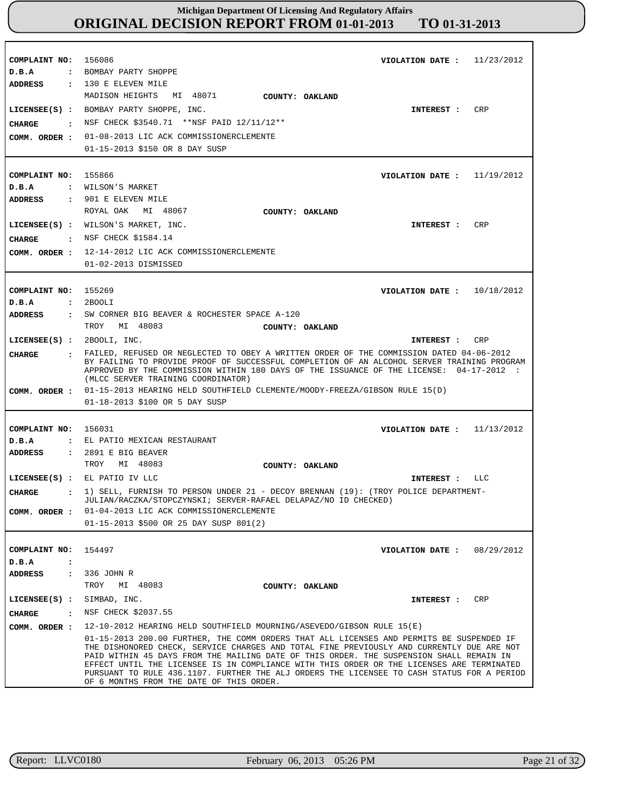| COMPLAINT NO:<br>D.B.A                                                   | 156086<br>11/23/2012<br>VIOLATION DATE :<br>: BOMBAY PARTY SHOPPE                                                                                                                                                                                                                                                                                                                                                                                                                                                                                                                                |
|--------------------------------------------------------------------------|--------------------------------------------------------------------------------------------------------------------------------------------------------------------------------------------------------------------------------------------------------------------------------------------------------------------------------------------------------------------------------------------------------------------------------------------------------------------------------------------------------------------------------------------------------------------------------------------------|
| <b>ADDRESS</b><br><b>CHARGE</b><br>$\ddot{\phantom{a}}$<br>COMM. ORDER : | $: 130$ E ELEVEN MILE<br>MADISON HEIGHTS<br>MI 48071<br>COUNTY: OAKLAND<br>CRP<br>LICENSEE(S) : BOMBAY PARTY SHOPPE, INC.<br>INTEREST :<br>NSF CHECK \$3540.71 **NSF PAID 12/11/12**<br>01-08-2013 LIC ACK COMMISSIONERCLEMENTE<br>01-15-2013 \$150 OR 8 DAY SUSP                                                                                                                                                                                                                                                                                                                                |
| COMPLAINT NO:<br>D.B.A                                                   | 155866<br>VIOLATION DATE: $11/19/2012$<br>: WILSON'S MARKET                                                                                                                                                                                                                                                                                                                                                                                                                                                                                                                                      |
| <b>ADDRESS</b>                                                           | : 901 E ELEVEN MILE<br>ROYAL OAK<br>MI 48067<br>COUNTY: OAKLAND<br>LICENSEE(S) : WILSON'S MARKET, INC.<br>CRP<br>INTEREST :                                                                                                                                                                                                                                                                                                                                                                                                                                                                      |
| <b>CHARGE</b><br>COMM. ORDER :                                           | : NSF CHECK \$1584.14<br>12-14-2012 LIC ACK COMMISSIONERCLEMENTE<br>01-02-2013 DISMISSED                                                                                                                                                                                                                                                                                                                                                                                                                                                                                                         |
| COMPLAINT NO:<br>D.B.A<br>$\ddot{\cdot}$                                 | 155269<br>VIOLATION DATE : $10/18/2012$<br>2BOOLI                                                                                                                                                                                                                                                                                                                                                                                                                                                                                                                                                |
| <b>ADDRESS</b>                                                           | : SW CORNER BIG BEAVER & ROCHESTER SPACE A-120<br>TROY MI 48083<br>COUNTY: OAKLAND                                                                                                                                                                                                                                                                                                                                                                                                                                                                                                               |
| LICENSEE(S) :<br><b>CHARGE</b>                                           | 2BOOLI, INC.<br>CRP<br>INTEREST :<br>FAILED, REFUSED OR NEGLECTED TO OBEY A WRITTEN ORDER OF THE COMMISSION DATED 04-06-2012<br>BY FAILING TO PROVIDE PROOF OF SUCCESSFUL COMPLETION OF AN ALCOHOL SERVER TRAINING PROGRAM<br>APPROVED BY THE COMMISSION WITHIN 180 DAYS OF THE ISSUANCE OF THE LICENSE: 04-17-2012 :<br>(MLCC SERVER TRAINING COORDINATOR)                                                                                                                                                                                                                                      |
| COMM. ORDER :                                                            | 01-15-2013 HEARING HELD SOUTHFIELD CLEMENTE/MOODY-FREEZA/GIBSON RULE 15(D)<br>01-18-2013 \$100 OR 5 DAY SUSP                                                                                                                                                                                                                                                                                                                                                                                                                                                                                     |
| COMPLAINT NO:                                                            | 156031<br>11/13/2012<br>VIOLATION DATE :                                                                                                                                                                                                                                                                                                                                                                                                                                                                                                                                                         |
| D.B.A<br>$\ddot{\cdot}$<br><b>ADDRESS</b>                                | EL PATIO MEXICAN RESTAURANT<br>: 2891 E BIG BEAVER<br>MI 48083<br>TROY<br>COUNTY: OAKLAND                                                                                                                                                                                                                                                                                                                                                                                                                                                                                                        |
|                                                                          | LICENSEE(S) : EL PATIO IV LLC<br>LLC<br>INTEREST :<br>1) SELL, FURNISH TO PERSON UNDER 21 - DECOY BRENNAN (19): (TROY POLICE DEPARTMENT-                                                                                                                                                                                                                                                                                                                                                                                                                                                         |
| <b>CHARGE</b><br>$\ddot{\phantom{a}}$<br>COMM. ORDER :                   | JULIAN/RACZKA/STOPCZYNSKI; SERVER-RAFAEL DELAPAZ/NO ID CHECKED)<br>01-04-2013 LIC ACK COMMISSIONERCLEMENTE<br>01-15-2013 \$500 OR 25 DAY SUSP 801(2)                                                                                                                                                                                                                                                                                                                                                                                                                                             |
| COMPLAINT NO:                                                            | VIOLATION DATE: $08/29/2012$<br>154497                                                                                                                                                                                                                                                                                                                                                                                                                                                                                                                                                           |
| D.B.A<br>$\ddot{\phantom{a}}$<br>ADDRESS<br>$\ddot{\cdot}$               | 336 JOHN R<br>MI 48083<br>TROY<br>COUNTY: OAKLAND                                                                                                                                                                                                                                                                                                                                                                                                                                                                                                                                                |
| $LICENSEE(S)$ :                                                          | SIMBAD, INC.<br>CRP<br><b>INTEREST :</b>                                                                                                                                                                                                                                                                                                                                                                                                                                                                                                                                                         |
| CHARGE                                                                   | : NSF CHECK \$2037.55                                                                                                                                                                                                                                                                                                                                                                                                                                                                                                                                                                            |
| COMM. ORDER :                                                            | 12-10-2012 HEARING HELD SOUTHFIELD MOURNING/ASEVEDO/GIBSON RULE 15(E)<br>01-15-2013 200.00 FURTHER, THE COMM ORDERS THAT ALL LICENSES AND PERMITS BE SUSPENDED IF<br>THE DISHONORED CHECK, SERVICE CHARGES AND TOTAL FINE PREVIOUSLY AND CURRENTLY DUE ARE NOT<br>PAID WITHIN 45 DAYS FROM THE MAILING DATE OF THIS ORDER. THE SUSPENSION SHALL REMAIN IN<br>EFFECT UNTIL THE LICENSEE IS IN COMPLIANCE WITH THIS ORDER OR THE LICENSES ARE TERMINATED<br>PURSUANT TO RULE 436.1107. FURTHER THE ALJ ORDERS THE LICENSEE TO CASH STATUS FOR A PERIOD<br>OF 6 MONTHS FROM THE DATE OF THIS ORDER. |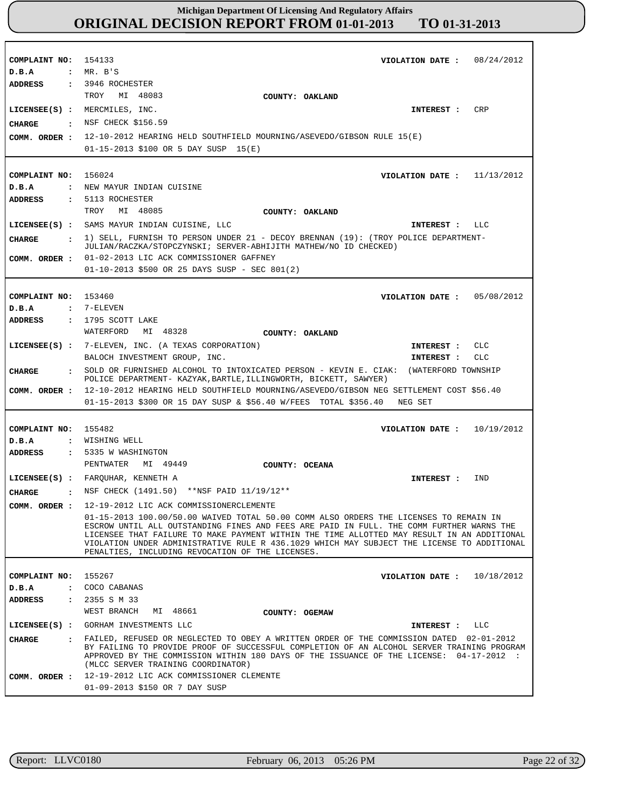| COMPLAINT NO: 154133<br>D.B.A<br>ADDRESS                                          | VIOLATION DATE: $08/24/2012$<br>$:$ MR. B'S<br>$: 3946$ ROCHESTER                                                                                                                                                                                                                                                                                                                                                                                                                                                                                                                                        |
|-----------------------------------------------------------------------------------|----------------------------------------------------------------------------------------------------------------------------------------------------------------------------------------------------------------------------------------------------------------------------------------------------------------------------------------------------------------------------------------------------------------------------------------------------------------------------------------------------------------------------------------------------------------------------------------------------------|
| CIIARGE<br>COMM. ORDER :                                                          | TROY MI 48083<br>COUNTY: OAKLAND<br>LICENSEE(S) : MERCMILES, INC.<br><b>CRP</b><br>INTEREST :<br>. NSF CHECK \$156.59<br>12-10-2012 HEARING HELD SOUTHFIELD MOURNING/ASEVEDO/GIBSON RULE 15(E)<br>$01-15-2013$ \$100 OR 5 DAY SUSP $15(E)$                                                                                                                                                                                                                                                                                                                                                               |
| COMPLAINT NO: 156024<br>D.B.A<br><b>ADDRESS</b>                                   | VIOLATION DATE: $11/13/2012$<br>: NEW MAYUR INDIAN CUISINE<br>: 5113 ROCHESTER<br>TROY MI 48085<br>COUNTY: OAKLAND                                                                                                                                                                                                                                                                                                                                                                                                                                                                                       |
| <b>CHARGE</b><br>COMM. ORDER :                                                    | LICENSEE(S) : SAMS MAYUR INDIAN CUISINE, LLC<br>INTEREST : LLC<br>$:$ 1) SELL, FURNISH TO PERSON UNDER 21 - DECOY BRENNAN (19): (TROY POLICE DEPARTMENT-<br>JULIAN/RACZKA/STOPCZYNSKI; SERVER-ABHIJITH MATHEW/NO ID CHECKED)<br>01-02-2013 LIC ACK COMMISSIONER GAFFNEY<br>01-10-2013 \$500 OR 25 DAYS SUSP - SEC 801(2)                                                                                                                                                                                                                                                                                 |
| COMPLAINT NO: 153460<br>D.B.A<br><b>ADDRESS</b>                                   | VIOLATION DATE : $05/08/2012$<br>: 7-ELEVEN<br>: 1795 SCOTT LAKE<br>WATERFORD<br>MI 48328<br>COUNTY: OAKLAND                                                                                                                                                                                                                                                                                                                                                                                                                                                                                             |
|                                                                                   | LICENSEE(S) : 7-ELEVEN, INC. (A TEXAS CORPORATION)<br>INTEREST : CLC<br>BALOCH INVESTMENT GROUP, INC.<br>CLC<br>INTEREST :                                                                                                                                                                                                                                                                                                                                                                                                                                                                               |
| CHARGE<br>COMM. ORDER :                                                           | : SOLD OR FURNISHED ALCOHOL TO INTOXICATED PERSON - KEVIN E. CIAK: (WATERFORD TOWNSHIP<br>POLICE DEPARTMENT- KAZYAK, BARTLE, ILLINGWORTH, BICKETT, SAWYER)<br>12-10-2012 HEARING HELD SOUTHFIELD MOURNING/ASEVEDO/GIBSON NEG SETTLEMENT COST \$56.40<br>01-15-2013 \$300 OR 15 DAY SUSP & \$56.40 W/FEES TOTAL \$356.40 NEG SET                                                                                                                                                                                                                                                                          |
| COMPLAINT NO:<br>D.B.A<br>ADDRESS                                                 | 155482<br>VIOLATION DATE : $10/19/2012$<br>: WISHING WELL<br>: 5335 W WASHINGTON<br>PENTWATER MI 49449                                                                                                                                                                                                                                                                                                                                                                                                                                                                                                   |
| <b>CHARGE</b><br>COMM. ORDER :                                                    | COUNTY: OCEANA<br>LICENSEE(S) : FARQUHAR, KENNETH A<br>IND<br>INTEREST :<br>: NSF CHECK (1491.50) ** NSF PAID 11/19/12**<br>12-19-2012 LIC ACK COMMISSIONERCLEMENTE<br>01-15-2013 100.00/50.00 WAIVED TOTAL 50.00 COMM ALSO ORDERS THE LICENSES TO REMAIN IN<br>ESCROW UNTIL ALL OUTSTANDING FINES AND FEES ARE PAID IN FULL. THE COMM FURTHER WARNS THE<br>LICENSEE THAT FAILURE TO MAKE PAYMENT WITHIN THE TIME ALLOTTED MAY RESULT IN AN ADDITIONAL<br>VIOLATION UNDER ADMINISTRATIVE RULE R 436.1029 WHICH MAY SUBJECT THE LICENSE TO ADDITIONAL<br>PENALTIES, INCLUDING REVOCATION OF THE LICENSES. |
| COMPLAINT NO:<br>D.B.A<br>$\ddot{\phantom{a}}$<br>ADDRESS<br>$\ddot{\phantom{a}}$ | 155267<br>VIOLATION DATE :<br>10/18/2012<br>COCO CABANAS<br>2355 S M 33<br>WEST BRANCH<br>MI 48661<br>COUNTY: OGEMAW                                                                                                                                                                                                                                                                                                                                                                                                                                                                                     |
| $LICENSEE(S)$ :<br><b>CHARGE</b>                                                  | GORHAM INVESTMENTS LLC<br>INTEREST :<br>LLC<br>: FAILED, REFUSED OR NEGLECTED TO OBEY A WRITTEN ORDER OF THE COMMISSION DATED 02-01-2012<br>BY FAILING TO PROVIDE PROOF OF SUCCESSFUL COMPLETION OF AN ALCOHOL SERVER TRAINING PROGRAM<br>APPROVED BY THE COMMISSION WITHIN 180 DAYS OF THE ISSUANCE OF THE LICENSE: 04-17-2012 :<br>(MLCC SERVER TRAINING COORDINATOR)                                                                                                                                                                                                                                  |
| COMM. ORDER :                                                                     | 12-19-2012 LIC ACK COMMISSIONER CLEMENTE<br>01-09-2013 \$150 OR 7 DAY SUSP                                                                                                                                                                                                                                                                                                                                                                                                                                                                                                                               |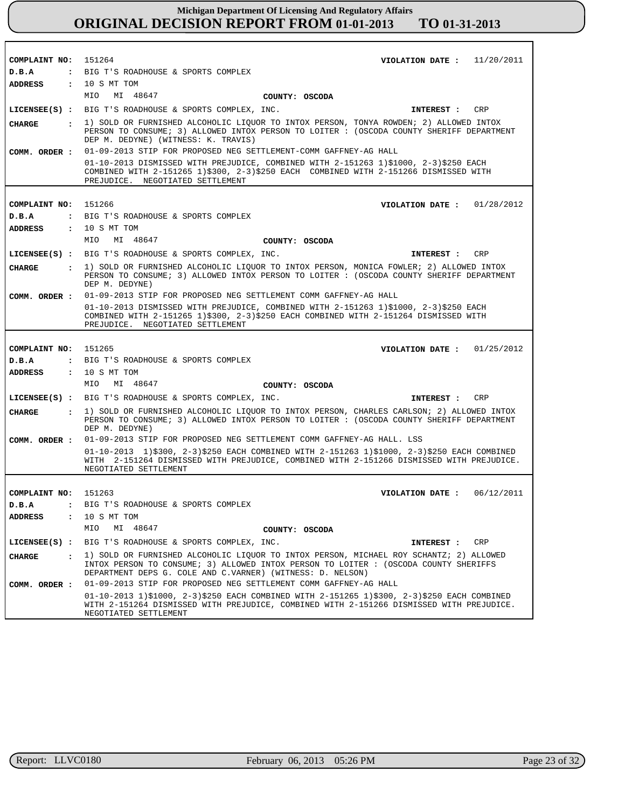| COMPLAINT NO: 151264           |                                                                                                                                                                                                                                              |                | VIOLATION DATE: $11/20/2011$   |
|--------------------------------|----------------------------------------------------------------------------------------------------------------------------------------------------------------------------------------------------------------------------------------------|----------------|--------------------------------|
| D.B.A                          | : BIG T'S ROADHOUSE & SPORTS COMPLEX                                                                                                                                                                                                         |                |                                |
| <b>ADDRESS</b>                 | : 10 S MT TOM                                                                                                                                                                                                                                |                |                                |
|                                | MIO MI 48647                                                                                                                                                                                                                                 | COUNTY: OSCODA |                                |
|                                | LICENSEE(S) : BIG T'S ROADHOUSE & SPORTS COMPLEX, INC.                                                                                                                                                                                       |                | CRP<br>INTEREST :              |
| <b>CHARGE</b>                  | : 1) SOLD OR FURNISHED ALCOHOLIC LIQUOR TO INTOX PERSON, TONYA ROWDEN; 2) ALLOWED INTOX<br>PERSON TO CONSUME; 3) ALLOWED INTOX PERSON TO LOITER: (OSCODA COUNTY SHERIFF DEPARTMENT<br>DEP M. DEDYNE) (WITNESS: K. TRAVIS)                    |                |                                |
| COMM. ORDER :                  | 01-09-2013 STIP FOR PROPOSED NEG SETTLEMENT-COMM GAFFNEY-AG HALL                                                                                                                                                                             |                |                                |
|                                | 01-10-2013 DISMISSED WITH PREJUDICE, COMBINED WITH 2-151263 1)\$1000, 2-3)\$250 EACH<br>COMBINED WITH 2-151265 1)\$300, 2-3)\$250 EACH COMBINED WITH 2-151266 DISMISSED WITH<br>PREJUDICE. NEGOTIATED SETTLEMENT                             |                |                                |
|                                |                                                                                                                                                                                                                                              |                |                                |
| COMPLAINT NO: 151266           |                                                                                                                                                                                                                                              |                | VIOLATION DATE: $01/28/2012$   |
| D.B.A                          | : BIG T'S ROADHOUSE & SPORTS COMPLEX                                                                                                                                                                                                         |                |                                |
| <b>ADDRESS</b>                 | : 10 S MT TOM                                                                                                                                                                                                                                |                |                                |
|                                | MIO<br>MI 48647                                                                                                                                                                                                                              | COUNTY: OSCODA |                                |
|                                | LICENSEE(S) : BIG T'S ROADHOUSE & SPORTS COMPLEX, INC.                                                                                                                                                                                       |                | CRP<br>INTEREST :              |
| <b>CHARGE</b>                  | : 1) SOLD OR FURNISHED ALCOHOLIC LIQUOR TO INTOX PERSON, MONICA FOWLER; 2) ALLOWED INTOX<br>PERSON TO CONSUME; 3) ALLOWED INTOX PERSON TO LOITER : (OSCODA COUNTY SHERIFF DEPARTMENT<br>DEP M. DEDYNE)                                       |                |                                |
| COMM. ORDER :                  | 01-09-2013 STIP FOR PROPOSED NEG SETTLEMENT COMM GAFFNEY-AG HALL                                                                                                                                                                             |                |                                |
|                                | 01-10-2013 DISMISSED WITH PREJUDICE, COMBINED WITH 2-151263 1)\$1000, 2-3)\$250 EACH<br>COMBINED WITH 2-151265 1)\$300, 2-3)\$250 EACH COMBINED WITH 2-151264 DISMISSED WITH<br>PREJUDICE. NEGOTIATED SETTLEMENT                             |                |                                |
|                                |                                                                                                                                                                                                                                              |                |                                |
| COMPLAINT NO:                  | 151265                                                                                                                                                                                                                                       |                | 01/25/2012<br>VIOLATION DATE : |
| D.B.A                          | : BIG T'S ROADHOUSE & SPORTS COMPLEX                                                                                                                                                                                                         |                |                                |
| <b>ADDRESS</b>                 | : 10 S MT TOM                                                                                                                                                                                                                                |                |                                |
|                                | MIO<br>MI 48647                                                                                                                                                                                                                              | COUNTY: OSCODA |                                |
|                                | LICENSEE(S) : BIG T'S ROADHOUSE & SPORTS COMPLEX, INC.                                                                                                                                                                                       |                | <b>CRP</b><br>INTEREST :       |
| <b>CHARGE</b><br>$\mathbf{r}$  | 1) SOLD OR FURNISHED ALCOHOLIC LIQUOR TO INTOX PERSON, CHARLES CARLSON; 2) ALLOWED INTOX<br>PERSON TO CONSUME; 3) ALLOWED INTOX PERSON TO LOITER : (OSCODA COUNTY SHERIFF DEPARTMENT<br>DEP M. DEDYNE)                                       |                |                                |
| COMM. ORDER :                  | 01-09-2013 STIP FOR PROPOSED NEG SETTLEMENT COMM GAFFNEY-AG HALL. LSS                                                                                                                                                                        |                |                                |
|                                | 01-10-2013 1)\$300, 2-3)\$250 EACH COMBINED WITH 2-151263 1)\$1000, 2-3)\$250 EACH COMBINED<br>WITH 2-151264 DISMISSED WITH PREJUDICE, COMBINED WITH 2-151266 DISMISSED WITH PREJUDICE.<br>NEGOTIATED SETTLEMENT                             |                |                                |
|                                |                                                                                                                                                                                                                                              |                |                                |
| COMPLAINT NO: 151263           |                                                                                                                                                                                                                                              |                | VIOLATION DATE: $06/12/2011$   |
| D.B.A                          | : BIG T'S ROADHOUSE & SPORTS COMPLEX                                                                                                                                                                                                         |                |                                |
| <b>ADDRESS</b><br>$\mathbf{r}$ | 10 S MT TOM                                                                                                                                                                                                                                  |                |                                |
|                                | MIO<br>MI 48647                                                                                                                                                                                                                              | COUNTY: OSCODA |                                |
| $LICENSEE(S)$ :                | BIG T'S ROADHOUSE & SPORTS COMPLEX, INC.                                                                                                                                                                                                     |                | INTEREST :<br>CRP              |
| <b>CHARGE</b><br>$\mathbf{r}$  | 1) SOLD OR FURNISHED ALCOHOLIC LIOUOR TO INTOX PERSON, MICHAEL ROY SCHANTZ; 2) ALLOWED<br>INTOX PERSON TO CONSUME; 3) ALLOWED INTOX PERSON TO LOITER : (OSCODA COUNTY SHERIFFS<br>DEPARTMENT DEPS G. COLE AND C.VARNER) (WITNESS: D. NELSON) |                |                                |
| COMM. ORDER :                  | 01-09-2013 STIP FOR PROPOSED NEG SETTLEMENT COMM GAFFNEY-AG HALL                                                                                                                                                                             |                |                                |
|                                | 01-10-2013 1)\$1000, 2-3)\$250 EACH COMBINED WITH 2-151265 1)\$300, 2-3)\$250 EACH COMBINED<br>WITH 2-151264 DISMISSED WITH PREJUDICE, COMBINED WITH 2-151266 DISMISSED WITH PREJUDICE.                                                      |                |                                |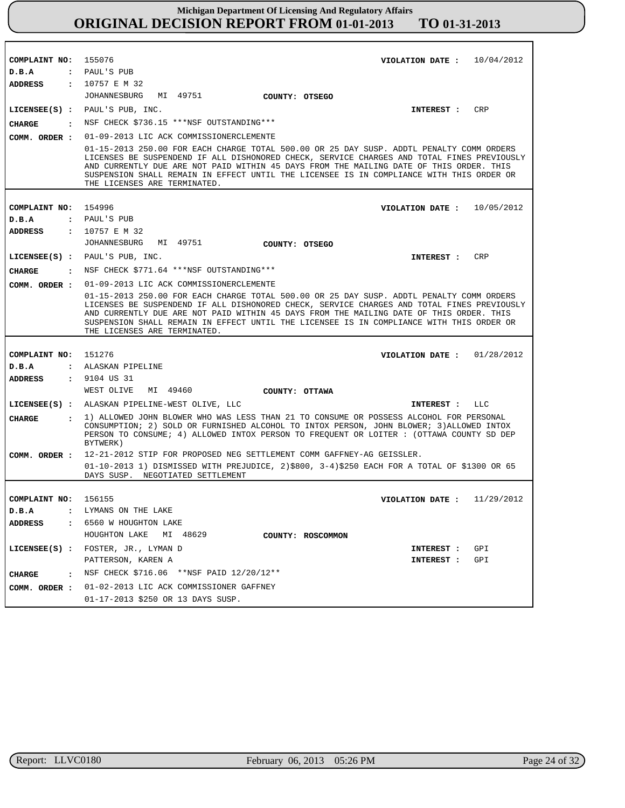| COMPLAINT NO: 155076    | VIOLATION DATE: $10/04/2012$                                                                                                                                                                                                                                                                                                                                                                                  |
|-------------------------|---------------------------------------------------------------------------------------------------------------------------------------------------------------------------------------------------------------------------------------------------------------------------------------------------------------------------------------------------------------------------------------------------------------|
| D.B.A<br><b>ADDRESS</b> | : PAUL'S PUB<br>: 10757 E M 32                                                                                                                                                                                                                                                                                                                                                                                |
|                         | JOHANNESBURG<br>MI 49751                                                                                                                                                                                                                                                                                                                                                                                      |
|                         | COUNTY: OTSEGO<br>$LICENSEE(S)$ : PAUL'S PUB, INC.<br>CRP<br>INTEREST :                                                                                                                                                                                                                                                                                                                                       |
|                         | : NSF CHECK \$736.15 ***NSF OUTSTANDING***                                                                                                                                                                                                                                                                                                                                                                    |
| CHARGE                  |                                                                                                                                                                                                                                                                                                                                                                                                               |
| COMM. ORDER :           | 01-09-2013 LIC ACK COMMISSIONERCLEMENTE                                                                                                                                                                                                                                                                                                                                                                       |
|                         | 01-15-2013 250.00 FOR EACH CHARGE TOTAL 500.00 OR 25 DAY SUSP. ADDTL PENALTY COMM ORDERS<br>LICENSES BE SUSPENDEND IF ALL DISHONORED CHECK, SERVICE CHARGES AND TOTAL FINES PREVIOUSLY<br>AND CURRENTLY DUE ARE NOT PAID WITHIN 45 DAYS FROM THE MAILING DATE OF THIS ORDER. THIS<br>SUSPENSION SHALL REMAIN IN EFFECT UNTIL THE LICENSEE IS IN COMPLIANCE WITH THIS ORDER OR<br>THE LICENSES ARE TERMINATED. |
|                         |                                                                                                                                                                                                                                                                                                                                                                                                               |
| COMPLAINT NO: 154996    | VIOLATION DATE: $10/05/2012$<br>: PAUL'S PUB                                                                                                                                                                                                                                                                                                                                                                  |
| D.B.A<br>ADDRESS        | : 10757 E M 32                                                                                                                                                                                                                                                                                                                                                                                                |
|                         | JOHANNESBURG<br>MI 49751<br>COUNTY: OTSEGO                                                                                                                                                                                                                                                                                                                                                                    |
|                         | CRP<br>LICENSEE(S) : PAUL'S PUB, INC.<br>INTEREST :                                                                                                                                                                                                                                                                                                                                                           |
| CHARGE                  | : NSF CHECK \$771.64 ***NSF OUTSTANDING***                                                                                                                                                                                                                                                                                                                                                                    |
| COMM. ORDER :           | 01-09-2013 LIC ACK COMMISSIONERCLEMENTE                                                                                                                                                                                                                                                                                                                                                                       |
|                         | 01-15-2013 250.00 FOR EACH CHARGE TOTAL 500.00 OR 25 DAY SUSP. ADDTL PENALTY COMM ORDERS<br>LICENSES BE SUSPENDEND IF ALL DISHONORED CHECK, SERVICE CHARGES AND TOTAL FINES PREVIOUSLY<br>AND CURRENTLY DUE ARE NOT PAID WITHIN 45 DAYS FROM THE MAILING DATE OF THIS ORDER. THIS<br>SUSPENSION SHALL REMAIN IN EFFECT UNTIL THE LICENSEE IS IN COMPLIANCE WITH THIS ORDER OR                                 |
|                         | THE LICENSES ARE TERMINATED.                                                                                                                                                                                                                                                                                                                                                                                  |
|                         |                                                                                                                                                                                                                                                                                                                                                                                                               |
| COMPLAINT NO: 151276    | VIOLATION DATE: $01/28/2012$                                                                                                                                                                                                                                                                                                                                                                                  |
| $D$ . B.A               | : ALASKAN PIPELINE                                                                                                                                                                                                                                                                                                                                                                                            |
| ADDRESS                 | : 9104 US 31                                                                                                                                                                                                                                                                                                                                                                                                  |
|                         | WEST OLIVE<br>MI 49460<br>COUNTY: OTTAWA                                                                                                                                                                                                                                                                                                                                                                      |
|                         | LICENSEE(S) : ALASKAN PIPELINE-WEST OLIVE, LLC<br>INTEREST :<br>LLC                                                                                                                                                                                                                                                                                                                                           |
| <b>CHARGE</b>           | : 1) ALLOWED JOHN BLOWER WHO WAS LESS THAN 21 TO CONSUME OR POSSESS ALCOHOL FOR PERSONAL<br>CONSUMPTION; 2) SOLD OR FURNISHED ALCOHOL TO INTOX PERSON, JOHN BLOWER; 3) ALLOWED INTOX<br>PERSON TO CONSUME; 4) ALLOWED INTOX PERSON TO FREQUENT OR LOITER : (OTTAWA COUNTY SD DEP<br>BYTWERK)                                                                                                                  |
| COMM. ORDER :           | 12-21-2012 STIP FOR PROPOSED NEG SETTLEMENT COMM GAFFNEY-AG GEISSLER.                                                                                                                                                                                                                                                                                                                                         |
|                         | 01-10-2013 1) DISMISSED WITH PREJUDICE, 2)\$800, 3-4)\$250 EACH FOR A TOTAL OF \$1300 OR 65                                                                                                                                                                                                                                                                                                                   |
|                         | DAYS SUSP. NEGOTIATED SETTLEMENT                                                                                                                                                                                                                                                                                                                                                                              |
| COMPLAINT NO: 156155    | 11/29/2012<br>VIOLATION DATE :                                                                                                                                                                                                                                                                                                                                                                                |
| $D$ . B. A              | : LYMANS ON THE LAKE                                                                                                                                                                                                                                                                                                                                                                                          |
| <b>ADDRESS</b>          | : 6560 W HOUGHTON LAKE                                                                                                                                                                                                                                                                                                                                                                                        |
|                         | HOUGHTON LAKE MI 48629<br>COUNTY: ROSCOMMON                                                                                                                                                                                                                                                                                                                                                                   |
|                         | LICENSEE(S) : FOSTER, JR., LYMAN D<br>GPI<br>INTEREST :                                                                                                                                                                                                                                                                                                                                                       |
|                         | PATTERSON, KAREN A<br>GPI<br><b>INTEREST :</b>                                                                                                                                                                                                                                                                                                                                                                |
| CHARGE                  | : NSF CHECK $$716.06$ **NSF PAID $12/20/12$ **                                                                                                                                                                                                                                                                                                                                                                |
| COMM. ORDER :           | 01-02-2013 LIC ACK COMMISSIONER GAFFNEY                                                                                                                                                                                                                                                                                                                                                                       |
|                         | 01-17-2013 \$250 OR 13 DAYS SUSP.                                                                                                                                                                                                                                                                                                                                                                             |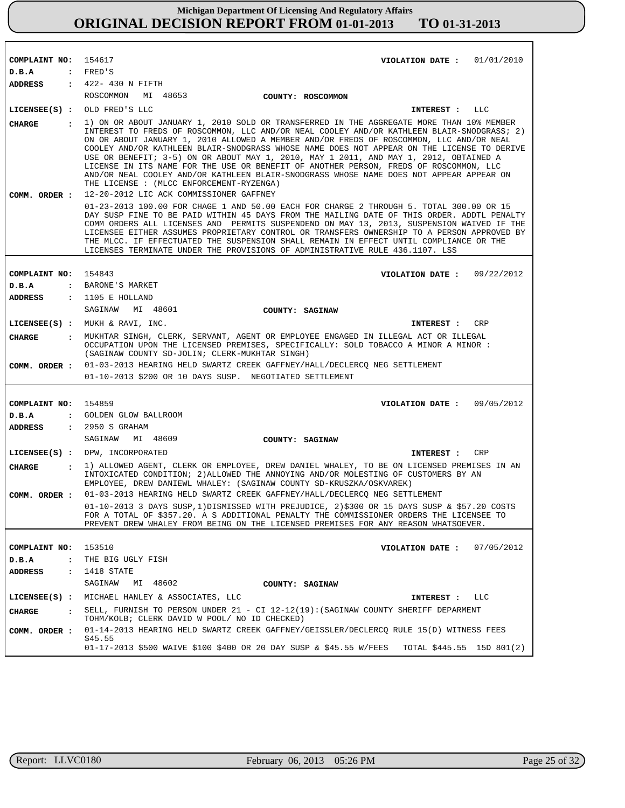| COMPLAINT NO: 154617                   | VIOLATION DATE : $01/01/2010$                                                                                                                                                                                                                                                                                                                                                                                                                                                                                                                                                                                                                                                                              |
|----------------------------------------|------------------------------------------------------------------------------------------------------------------------------------------------------------------------------------------------------------------------------------------------------------------------------------------------------------------------------------------------------------------------------------------------------------------------------------------------------------------------------------------------------------------------------------------------------------------------------------------------------------------------------------------------------------------------------------------------------------|
| D.B.A                                  | : FRED'S                                                                                                                                                                                                                                                                                                                                                                                                                                                                                                                                                                                                                                                                                                   |
| <b>ADDRESS</b>                         | : 422- 430 N FIFTH                                                                                                                                                                                                                                                                                                                                                                                                                                                                                                                                                                                                                                                                                         |
|                                        | ROSCOMMON MI 48653<br>COUNTY: ROSCOMMON                                                                                                                                                                                                                                                                                                                                                                                                                                                                                                                                                                                                                                                                    |
|                                        | LICENSEE(S) : OLD FRED'S LLC<br>INTEREST : LLC                                                                                                                                                                                                                                                                                                                                                                                                                                                                                                                                                                                                                                                             |
| <b>CHARGE</b>                          | : 1) ON OR ABOUT JANUARY 1, 2010 SOLD OR TRANSFERRED IN THE AGGREGATE MORE THAN 10% MEMBER<br>INTEREST TO FREDS OF ROSCOMMON, LLC AND/OR NEAL COOLEY AND/OR KATHLEEN BLAIR-SNODGRASS; 2)<br>ON OR ABOUT JANUARY 1, 2010 ALLOWED A MEMBER AND/OR FREDS OF ROSCOMMON, LLC AND/OR NEAL<br>COOLEY AND/OR KATHLEEN BLAIR-SNODGRASS WHOSE NAME DOES NOT APPEAR ON THE LICENSE TO DERIVE<br>USE OR BENEFIT; 3-5) ON OR ABOUT MAY 1, 2010, MAY 1 2011, AND MAY 1, 2012, OBTAINED A<br>LICENSE IN ITS NAME FOR THE USE OR BENEFIT OF ANOTHER PERSON, FREDS OF ROSCOMMON, LLC<br>AND/OR NEAL COOLEY AND/OR KATHLEEN BLAIR-SNODGRASS WHOSE NAME DOES NOT APPEAR APPEAR ON<br>THE LICENSE : (MLCC ENFORCEMENT-RYZENGA) |
| COMM. ORDER :                          | 12-20-2012 LIC ACK COMMISSIONER GAFFNEY                                                                                                                                                                                                                                                                                                                                                                                                                                                                                                                                                                                                                                                                    |
|                                        | 01-23-2013 100.00 FOR CHAGE 1 AND 50.00 EACH FOR CHARGE 2 THROUGH 5. TOTAL 300.00 OR 15<br>DAY SUSP FINE TO BE PAID WITHIN 45 DAYS FROM THE MAILING DATE OF THIS ORDER. ADDTL PENALTY<br>COMM ORDERS ALL LICENSES AND PERMITS SUSPENDEND ON MAY 13, 2013, SUSPENSION WAIVED IF THE<br>LICENSEE EITHER ASSUMES PROPRIETARY CONTROL OR TRANSFERS OWNERSHIP TO A PERSON APPROVED BY<br>THE MLCC. IF EFFECTUATED THE SUSPENSION SHALL REMAIN IN EFFECT UNTIL COMPLIANCE OR THE<br>LICENSES TERMINATE UNDER THE PROVISIONS OF ADMINISTRATIVE RULE 436.1107. LSS                                                                                                                                                 |
|                                        |                                                                                                                                                                                                                                                                                                                                                                                                                                                                                                                                                                                                                                                                                                            |
| COMPLAINT NO: 154843                   | VIOLATION DATE: $09/22/2012$                                                                                                                                                                                                                                                                                                                                                                                                                                                                                                                                                                                                                                                                               |
| D.B.A                                  | : BARONE'S MARKET                                                                                                                                                                                                                                                                                                                                                                                                                                                                                                                                                                                                                                                                                          |
|                                        | ADDRESS : 1105 E HOLLAND                                                                                                                                                                                                                                                                                                                                                                                                                                                                                                                                                                                                                                                                                   |
|                                        | SAGINAW MI 48601<br><b>COUNTY: SAGINAW</b>                                                                                                                                                                                                                                                                                                                                                                                                                                                                                                                                                                                                                                                                 |
|                                        | LICENSEE $(s)$ : MUKH & RAVI, INC.<br><b>CRP</b><br>INTEREST :                                                                                                                                                                                                                                                                                                                                                                                                                                                                                                                                                                                                                                             |
| <b>CHARGE</b>                          | : MUKHTAR SINGH, CLERK, SERVANT, AGENT OR EMPLOYEE ENGAGED IN ILLEGAL ACT OR ILLEGAL<br>OCCUPATION UPON THE LICENSED PREMISES, SPECIFICALLY: SOLD TOBACCO A MINOR A MINOR :<br>(SAGINAW COUNTY SD-JOLIN; CLERK-MUKHTAR SINGH)                                                                                                                                                                                                                                                                                                                                                                                                                                                                              |
| COMM. ORDER :                          | 01-03-2013 HEARING HELD SWARTZ CREEK GAFFNEY/HALL/DECLERCQ NEG SETTLEMENT                                                                                                                                                                                                                                                                                                                                                                                                                                                                                                                                                                                                                                  |
|                                        | 01-10-2013 \$200 OR 10 DAYS SUSP. NEGOTIATED SETTLEMENT                                                                                                                                                                                                                                                                                                                                                                                                                                                                                                                                                                                                                                                    |
|                                        |                                                                                                                                                                                                                                                                                                                                                                                                                                                                                                                                                                                                                                                                                                            |
| COMPLAINT NO: 154859                   | VIOLATION DATE: $09/05/2012$                                                                                                                                                                                                                                                                                                                                                                                                                                                                                                                                                                                                                                                                               |
| D.B.A                                  | : GOLDEN GLOW BALLROOM                                                                                                                                                                                                                                                                                                                                                                                                                                                                                                                                                                                                                                                                                     |
|                                        | ADDRESS : 2950 S GRAHAM                                                                                                                                                                                                                                                                                                                                                                                                                                                                                                                                                                                                                                                                                    |
|                                        | SAGINAW MI 48609<br>COUNTY: SAGINAW                                                                                                                                                                                                                                                                                                                                                                                                                                                                                                                                                                                                                                                                        |
|                                        | LICENSEE(S) : DPW, INCORPORATED<br>CRP<br>INTEREST:                                                                                                                                                                                                                                                                                                                                                                                                                                                                                                                                                                                                                                                        |
| CHARGE                                 | : 1) ALLOWED AGENT, CLERK OR EMPLOYEE, DREW DANIEL WHALEY, TO BE ON LICENSED PREMISES IN AN                                                                                                                                                                                                                                                                                                                                                                                                                                                                                                                                                                                                                |
|                                        | INTOXICATED CONDITION; 2) ALLOWED THE ANNOYING AND/OR MOLESTING OF CUSTOMERS BY AN<br>EMPLOYEE, DREW DANIEWL WHALEY: (SAGINAW COUNTY SD-KRUSZKA/OSKVAREK)                                                                                                                                                                                                                                                                                                                                                                                                                                                                                                                                                  |
| COMM. ORDER :                          | 01-03-2013 HEARING HELD SWARTZ CREEK GAFFNEY/HALL/DECLERCQ NEG SETTLEMENT                                                                                                                                                                                                                                                                                                                                                                                                                                                                                                                                                                                                                                  |
|                                        | 01-10-2013 3 DAYS SUSP, 1) DISMISSED WITH PREJUDICE, 2) \$300 OR 15 DAYS SUSP & \$57.20 COSTS<br>FOR A TOTAL OF \$357.20. A S ADDITIONAL PENALTY THE COMMISSIONER ORDERS THE LICENSEE TO<br>PREVENT DREW WHALEY FROM BEING ON THE LICENSED PREMISES FOR ANY REASON WHATSOEVER.                                                                                                                                                                                                                                                                                                                                                                                                                             |
|                                        |                                                                                                                                                                                                                                                                                                                                                                                                                                                                                                                                                                                                                                                                                                            |
| COMPLAINT NO:                          | 153510<br>07/05/2012<br>VIOLATION DATE :                                                                                                                                                                                                                                                                                                                                                                                                                                                                                                                                                                                                                                                                   |
| D.B.A<br>$\ddot{\cdot}$                | THE BIG UGLY FISH                                                                                                                                                                                                                                                                                                                                                                                                                                                                                                                                                                                                                                                                                          |
| <b>ADDRESS</b><br>$\ddot{\phantom{a}}$ | 1418 STATE                                                                                                                                                                                                                                                                                                                                                                                                                                                                                                                                                                                                                                                                                                 |
|                                        | SAGINAW<br>MI 48602<br>COUNTY: SAGINAW                                                                                                                                                                                                                                                                                                                                                                                                                                                                                                                                                                                                                                                                     |
| $LICENSEE(S)$ :                        | MICHAEL HANLEY & ASSOCIATES, LLC<br>INTEREST : LLC                                                                                                                                                                                                                                                                                                                                                                                                                                                                                                                                                                                                                                                         |
| <b>CHARGE</b><br>$\ddot{\phantom{a}}$  | SELL, FURNISH TO PERSON UNDER 21 - CI 12-12(19): (SAGINAW COUNTY SHERIFF DEPARMENT<br>TOHM/KOLB; CLERK DAVID W POOL/ NO ID CHECKED)                                                                                                                                                                                                                                                                                                                                                                                                                                                                                                                                                                        |
| COMM. ORDER :                          | 01-14-2013 HEARING HELD SWARTZ CREEK GAFFNEY/GEISSLER/DECLERCQ RULE 15(D) WITNESS FEES                                                                                                                                                                                                                                                                                                                                                                                                                                                                                                                                                                                                                     |
|                                        | \$45.55<br>01-17-2013 \$500 WAIVE \$100 \$400 OR 20 DAY SUSP & \$45.55 W/FEES<br>TOTAL \$445.55 15D 801(2)                                                                                                                                                                                                                                                                                                                                                                                                                                                                                                                                                                                                 |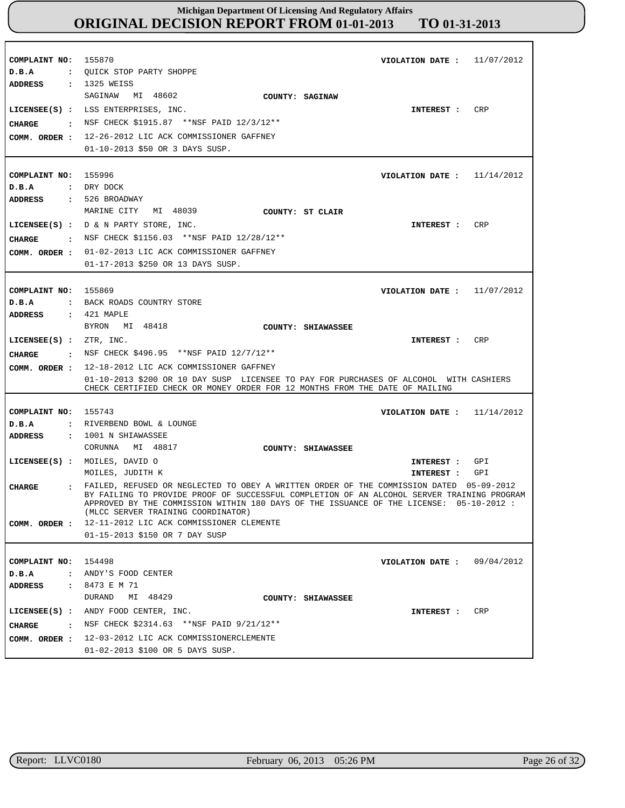| COMPLAINT NO:<br>D.B.A<br>ADDRESS : 1325 WEISS  | 155870<br>VIOLATION DATE: $11/07/2012$<br>: QUICK STOP PARTY SHOPPE                                                                                                                                                                                                                                                    |
|-------------------------------------------------|------------------------------------------------------------------------------------------------------------------------------------------------------------------------------------------------------------------------------------------------------------------------------------------------------------------------|
| CHARGE                                          | SAGINAW MI 48602<br>COUNTY: SAGINAW<br>CRP<br>LICENSEE(S) : LSS ENTERPRISES, INC.<br>INTEREST :<br>NSF CHECK \$1915.87 **NSF PAID 12/3/12**<br>COMM. ORDER : 12-26-2012 LIC ACK COMMISSIONER GAFFNEY<br>01-10-2013 \$50 OR 3 DAYS SUSP.                                                                                |
| COMPLAINT NO: 155996<br>D.B.A                   | VIOLATION DATE : $11/14/2012$<br>: DRY DOCK                                                                                                                                                                                                                                                                            |
| ADDRESS<br>CHARGE                               | : 526 BROADWAY<br>MARINE CITY<br>MI 48039<br>COUNTY: ST CLAIR<br>LICENSEE $(S)$ : $D \& N$ PARTY STORE, INC.<br>CRP<br>INTEREST :<br>: NSF CHECK \$1156.03 **NSF PAID $12/28/12**$<br>COMM. ORDER : 01-02-2013 LIC ACK COMMISSIONER GAFFNEY<br>01-17-2013 \$250 OR 13 DAYS SUSP.                                       |
| COMPLAINT NO:<br>D.B.A<br>ADDRESS               | 155869<br>VIOLATION DATE: $11/07/2012$<br>: BACK ROADS COUNTRY STORE<br>: 421 MAPLE                                                                                                                                                                                                                                    |
| LICENSEE(S) : ZTR, INC.<br>CHARGE               | BYRON MI 48418<br>COUNTY: SHIAWASSEE<br>CRP<br>INTEREST :<br>NSF CHECK \$496.95 **NSF PAID 12/7/12**                                                                                                                                                                                                                   |
| COMM. ORDER :                                   | 12-18-2012 LIC ACK COMMISSIONER GAFFNEY<br>01-10-2013 \$200 OR 10 DAY SUSP LICENSEE TO PAY FOR PURCHASES OF ALCOHOL WITH CASHIERS<br>CHECK CERTIFIED CHECK OR MONEY ORDER FOR 12 MONTHS FROM THE DATE OF MAILING                                                                                                       |
| COMPLAINT NO:<br>D.B.A                          | 155743<br>VIOLATION DATE: $11/14/2012$<br>: RIVERBEND BOWL & LOUNGE                                                                                                                                                                                                                                                    |
| ADDRESS                                         | : 1001 N SHIAWASSEE<br>CORUNNA MI 48817<br>COUNTY: SHIAWASSEE                                                                                                                                                                                                                                                          |
|                                                 | LICENSEE(S) : MOILES, DAVID O<br>INTEREST : GPI<br>MOILES, JUDITH K<br>GPI<br>INTEREST :                                                                                                                                                                                                                               |
| <b>CHARGE</b>                                   | FAILED, REFUSED OR NEGLECTED TO OBEY A WRITTEN ORDER OF THE COMMISSION DATED 05-09-2012<br>BY FAILING TO PROVIDE PROOF OF SUCCESSFUL COMPLETION OF AN ALCOHOL SERVER TRAINING PROGRAM<br>APPROVED BY THE COMMISSION WITHIN 180 DAYS OF THE ISSUANCE OF THE LICENSE: 05-10-2012 :<br>(MLCC SERVER TRAINING COORDINATOR) |
|                                                 | COMM. ORDER : 12-11-2012 LIC ACK COMMISSIONER CLEMENTE<br>01-15-2013 \$150 OR 7 DAY SUSP                                                                                                                                                                                                                               |
| COMPLAINT NO: 154498<br>D.B.A<br><b>ADDRESS</b> | VIOLATION DATE : $09/04/2012$<br>: ANDY'S FOOD CENTER<br>: 8473 E M 71<br>DURAND MI 48429<br>COUNTY: SHIAWASSEE                                                                                                                                                                                                        |
|                                                 | LICENSEE(S) : ANDY FOOD CENTER, INC.<br>CRP<br><b>INTEREST :</b>                                                                                                                                                                                                                                                       |
|                                                 | CHARGE : NSF CHECK \$2314.63 ** NSF PAID 9/21/12**<br>COMM. ORDER : 12-03-2012 LIC ACK COMMISSIONERCLEMENTE<br>01-02-2013 \$100 OR 5 DAYS SUSP.                                                                                                                                                                        |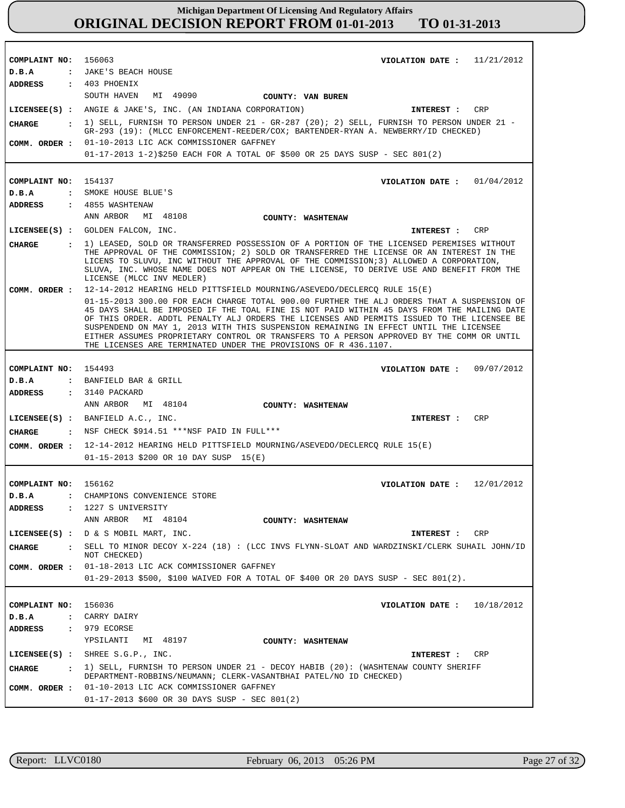| COMPLAINT NO: 156063           | VIOLATION DATE: $11/21/2012$<br>: JAKE'S BEACH HOUSE                                                                                                                                                                                                                                                                                                                                                                                                                                                                                            |
|--------------------------------|-------------------------------------------------------------------------------------------------------------------------------------------------------------------------------------------------------------------------------------------------------------------------------------------------------------------------------------------------------------------------------------------------------------------------------------------------------------------------------------------------------------------------------------------------|
| D.B.A<br>ADDRESS : 403 PHOENIX |                                                                                                                                                                                                                                                                                                                                                                                                                                                                                                                                                 |
|                                | SOUTH HAVEN MI 49090<br>COUNTY: VAN BUREN                                                                                                                                                                                                                                                                                                                                                                                                                                                                                                       |
|                                | LICENSEE(S) : ANGIE & JAKE'S, INC. (AN INDIANA CORPORATION)<br>CRP<br>INTEREST :                                                                                                                                                                                                                                                                                                                                                                                                                                                                |
|                                | CHARGE : 1) SELL, FURNISH TO PERSON UNDER 21 - GR-287 (20); 2) SELL, FURNISH TO PERSON UNDER 21 -                                                                                                                                                                                                                                                                                                                                                                                                                                               |
|                                | GR-293 (19): (MLCC ENFORCEMENT-REEDER/COX; BARTENDER-RYAN A. NEWBERRY/ID CHECKED)                                                                                                                                                                                                                                                                                                                                                                                                                                                               |
| COMM. ORDER :                  | 01-10-2013 LIC ACK COMMISSIONER GAFFNEY                                                                                                                                                                                                                                                                                                                                                                                                                                                                                                         |
|                                | 01-17-2013 1-2)\$250 EACH FOR A TOTAL OF \$500 OR 25 DAYS SUSP - SEC 801(2)                                                                                                                                                                                                                                                                                                                                                                                                                                                                     |
|                                |                                                                                                                                                                                                                                                                                                                                                                                                                                                                                                                                                 |
| COMPLAINT NO: 154137           | VIOLATION DATE: $01/04/2012$                                                                                                                                                                                                                                                                                                                                                                                                                                                                                                                    |
| D.B.A                          | : SMOKE HOUSE BLUE'S                                                                                                                                                                                                                                                                                                                                                                                                                                                                                                                            |
|                                | ADDRESS : 4855 WASHTENAW                                                                                                                                                                                                                                                                                                                                                                                                                                                                                                                        |
|                                | ANN ARBOR MI 48108<br>COUNTY: WASHTENAW                                                                                                                                                                                                                                                                                                                                                                                                                                                                                                         |
|                                | LICENSEE(S) : GOLDEN FALCON, INC.<br>CRP<br>INTEREST :                                                                                                                                                                                                                                                                                                                                                                                                                                                                                          |
| CHARGE                         | : 1) LEASED, SOLD OR TRANSFERRED POSSESSION OF A PORTION OF THE LICENSED PEREMISES WITHOUT<br>THE APPROVAL OF THE COMMISSION; 2) SOLD OR TRANSFERRED THE LICENSE OR AN INTEREST IN THE<br>LICENS TO SLUVU, INC WITHOUT THE APPROVAL OF THE COMMISSION; 3) ALLOWED A CORPORATION,<br>SLUVA, INC. WHOSE NAME DOES NOT APPEAR ON THE LICENSE, TO DERIVE USE AND BENEFIT FROM THE<br>LICENSE (MLCC INV MEDLER)                                                                                                                                      |
| COMM. ORDER :                  | 12-14-2012 HEARING HELD PITTSFIELD MOURNING/ASEVEDO/DECLERCQ RULE 15(E)                                                                                                                                                                                                                                                                                                                                                                                                                                                                         |
|                                | 01-15-2013 300.00 FOR EACH CHARGE TOTAL 900.00 FURTHER THE ALJ ORDERS THAT A SUSPENSION OF<br>45 DAYS SHALL BE IMPOSED IF THE TOAL FINE IS NOT PAID WITHIN 45 DAYS FROM THE MAILING DATE<br>OF THIS ORDER. ADDTL PENALTY ALJ ORDERS THE LICENSES AND PERMITS ISSUED TO THE LICENSEE BE<br>SUSPENDEND ON MAY 1, 2013 WITH THIS SUSPENSION REMAINING IN EFFECT UNTIL THE LICENSEE<br>EITHER ASSUMES PROPRIETARY CONTROL OR TRANSFERS TO A PERSON APPROVED BY THE COMM OR UNTIL<br>THE LICENSES ARE TERMINATED UNDER THE PROVISIONS OF R 436.1107. |
|                                |                                                                                                                                                                                                                                                                                                                                                                                                                                                                                                                                                 |
| COMPLAINT NO: 154493           | VIOLATION DATE: $09/07/2012$                                                                                                                                                                                                                                                                                                                                                                                                                                                                                                                    |
| $D$ . B. A                     | : BANFIELD BAR & GRILL                                                                                                                                                                                                                                                                                                                                                                                                                                                                                                                          |
| <b>ADDRESS</b>                 | $: 3140$ PACKARD<br>ANN ARBOR MI 48104<br><b>COUNTY: WASHTENAW</b>                                                                                                                                                                                                                                                                                                                                                                                                                                                                              |
|                                |                                                                                                                                                                                                                                                                                                                                                                                                                                                                                                                                                 |
|                                | LICENSEE $(S)$ : BANFIELD A.C., INC.<br>CRP<br><b>INTEREST :</b><br>: NSF CHECK \$914.51 *** NSF PAID IN FULL ***                                                                                                                                                                                                                                                                                                                                                                                                                               |
| CHARGE                         |                                                                                                                                                                                                                                                                                                                                                                                                                                                                                                                                                 |
| COMM. ORDER :                  | 12-14-2012 HEARING HELD PITTSFIELD MOURNING/ASEVEDO/DECLERCO RULE 15(E)                                                                                                                                                                                                                                                                                                                                                                                                                                                                         |
|                                | $01-15-2013$ \$200 OR 10 DAY SUSP 15(E)                                                                                                                                                                                                                                                                                                                                                                                                                                                                                                         |
|                                |                                                                                                                                                                                                                                                                                                                                                                                                                                                                                                                                                 |
| COMPLAINT NO: 156162<br>D.B.A  | VIOLATION DATE : $12/01/2012$<br>: CHAMPIONS CONVENIENCE STORE                                                                                                                                                                                                                                                                                                                                                                                                                                                                                  |
| ADDRESS                        | : 1227 S UNIVERSITY                                                                                                                                                                                                                                                                                                                                                                                                                                                                                                                             |
|                                | ANN ARBOR<br>MI 48104<br>COUNTY: WASHTENAW                                                                                                                                                                                                                                                                                                                                                                                                                                                                                                      |
|                                | LICENSEE(S) : D & S MOBIL MART, INC.<br>CRP<br><b>INTEREST :</b>                                                                                                                                                                                                                                                                                                                                                                                                                                                                                |
| CHARGE<br>$\mathbf{r}$         | SELL TO MINOR DECOY X-224 (18) : (LCC INVS FLYNN-SLOAT AND WARDZINSKI/CLERK SUHAIL JOHN/ID                                                                                                                                                                                                                                                                                                                                                                                                                                                      |
|                                | NOT CHECKED)                                                                                                                                                                                                                                                                                                                                                                                                                                                                                                                                    |
|                                | COMM. ORDER : 01-18-2013 LIC ACK COMMISSIONER GAFFNEY                                                                                                                                                                                                                                                                                                                                                                                                                                                                                           |
|                                | 01-29-2013 \$500, \$100 WAIVED FOR A TOTAL OF \$400 OR 20 DAYS SUSP - SEC 801(2).                                                                                                                                                                                                                                                                                                                                                                                                                                                               |
|                                |                                                                                                                                                                                                                                                                                                                                                                                                                                                                                                                                                 |
| COMPLAINT NO: 156036           | VIOLATION DATE: $10/18/2012$                                                                                                                                                                                                                                                                                                                                                                                                                                                                                                                    |
| D.B.A                          | : CARRY DAIRY                                                                                                                                                                                                                                                                                                                                                                                                                                                                                                                                   |
| ADDRESS                        | : 979 ECORSE                                                                                                                                                                                                                                                                                                                                                                                                                                                                                                                                    |
|                                | YPSILANTI MI 48197<br>COUNTY: WASHTENAW                                                                                                                                                                                                                                                                                                                                                                                                                                                                                                         |
|                                | LICENSEE(S) : SHREE S.G.P., INC.<br>CRP<br><b>INTEREST :</b>                                                                                                                                                                                                                                                                                                                                                                                                                                                                                    |
| $\mathbf{r}$<br>CHARGE         | 1) SELL, FURNISH TO PERSON UNDER 21 - DECOY HABIB (20): (WASHTENAW COUNTY SHERIFF<br>DEPARTMENT-ROBBINS/NEUMANN; CLERK-VASANTBHAI PATEL/NO ID CHECKED)                                                                                                                                                                                                                                                                                                                                                                                          |
| COMM. ORDER :                  | 01-10-2013 LIC ACK COMMISSIONER GAFFNEY                                                                                                                                                                                                                                                                                                                                                                                                                                                                                                         |
|                                | 01-17-2013 \$600 OR 30 DAYS SUSP - SEC 801(2)                                                                                                                                                                                                                                                                                                                                                                                                                                                                                                   |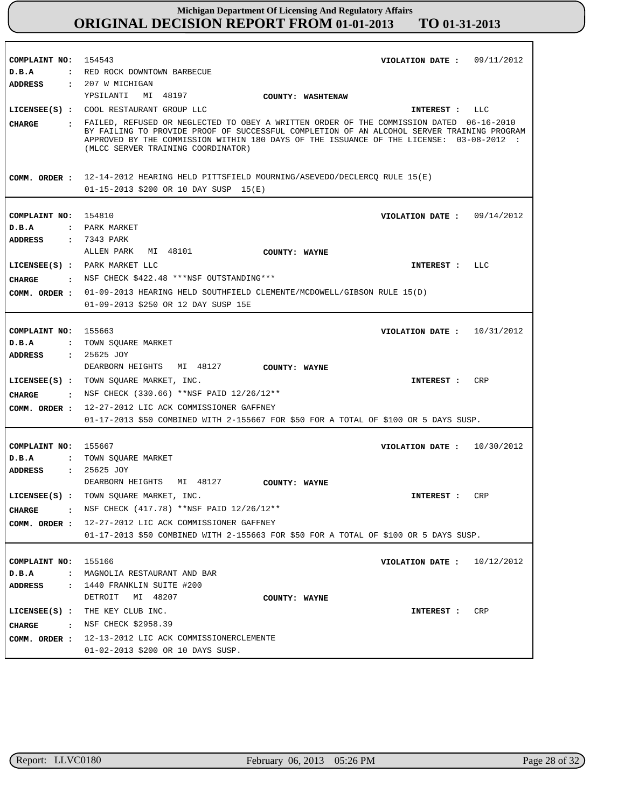| COMPLAINT NO: 154543 | VIOLATION DATE: $09/11/2012$                                                                                                                                                                                                |
|----------------------|-----------------------------------------------------------------------------------------------------------------------------------------------------------------------------------------------------------------------------|
| D.B.A                | : RED ROCK DOWNTOWN BARBECUE                                                                                                                                                                                                |
| <b>ADDRESS</b>       | : 207 W MICHIGAN                                                                                                                                                                                                            |
|                      | YPSILANTI<br>MI 48197<br>COUNTY: WASHTENAW                                                                                                                                                                                  |
|                      | LICENSEE(S) : COOL RESTAURANT GROUP LLC<br>INTEREST : LLC                                                                                                                                                                   |
|                      | : FAILED, REFUSED OR NEGLECTED TO OBEY A WRITTEN ORDER OF THE COMMISSION DATED 06-16-2010                                                                                                                                   |
| <b>CHARGE</b>        | BY FAILING TO PROVIDE PROOF OF SUCCESSFUL COMPLETION OF AN ALCOHOL SERVER TRAINING PROGRAM<br>APPROVED BY THE COMMISSION WITHIN 180 DAYS OF THE ISSUANCE OF THE LICENSE: 03-08-2012 :<br>(MLCC SERVER TRAINING COORDINATOR) |
|                      | COMM. ORDER: 12-14-2012 HEARING HELD PITTSFIELD MOURNING/ASEVEDO/DECLERCQ RULE 15(E)                                                                                                                                        |
|                      | 01-15-2013 \$200 OR 10 DAY SUSP 15(E)                                                                                                                                                                                       |
|                      |                                                                                                                                                                                                                             |
|                      |                                                                                                                                                                                                                             |
| COMPLAINT NO: 154810 | VIOLATION DATE: $09/14/2012$                                                                                                                                                                                                |
| D.B.A                | : PARK MARKET                                                                                                                                                                                                               |
| <b>ADDRESS</b>       | : 7343 PARK                                                                                                                                                                                                                 |
|                      | ALLEN PARK MI 48101<br><b>COUNTY: WAYNE</b>                                                                                                                                                                                 |
|                      | LICENSEE(S) : PARK MARKET LLC<br>INTEREST :<br>LLC                                                                                                                                                                          |
|                      | : NSF CHECK \$422.48 ***NSF OUTSTANDING***                                                                                                                                                                                  |
| <b>CHARGE</b>        |                                                                                                                                                                                                                             |
| COMM. ORDER :        | 01-09-2013 HEARING HELD SOUTHFIELD CLEMENTE/MCDOWELL/GIBSON RULE 15(D)                                                                                                                                                      |
|                      | 01-09-2013 \$250 OR 12 DAY SUSP 15E                                                                                                                                                                                         |
|                      |                                                                                                                                                                                                                             |
| COMPLAINT NO: 155663 | VIOLATION DATE : $10/31/2012$                                                                                                                                                                                               |
| D.B.A                | : TOWN SQUARE MARKET                                                                                                                                                                                                        |
| ADDRESS              | : 25625 JOY                                                                                                                                                                                                                 |
|                      | DEARBORN HEIGHTS MI 48127                                                                                                                                                                                                   |
|                      | <b>COUNTY: WAYNE</b>                                                                                                                                                                                                        |
|                      | LICENSEE(S) : TOWN SQUARE MARKET, INC.<br>CRP<br>INTEREST :                                                                                                                                                                 |
| CIIARGE              | : NSF CHECK (330.66) **NSF PAID $12/26/12$ **                                                                                                                                                                               |
|                      | COMM. ORDER : 12-27-2012 LIC ACK COMMISSIONER GAFFNEY                                                                                                                                                                       |
|                      | 01-17-2013 \$50 COMBINED WITH 2-155667 FOR \$50 FOR A TOTAL OF \$100 OR 5 DAYS SUSP.                                                                                                                                        |
|                      |                                                                                                                                                                                                                             |
|                      |                                                                                                                                                                                                                             |
| COMPLAINT NO:        | 155667<br>10/30/2012<br>VIOLATION DATE :                                                                                                                                                                                    |
| D.B.A                | : TOWN SQUARE MARKET                                                                                                                                                                                                        |
| ADDRESS : 25625 JOY  |                                                                                                                                                                                                                             |
|                      | DEARBORN HEIGHTS MI 48127<br>COUNTY: WAYNE                                                                                                                                                                                  |
|                      | LICENSEE(S) : TOWN SQUARE MARKET, INC.<br>INTEREST : CRP                                                                                                                                                                    |
| CHARGE               | . NSF CHECK $(417.78)$ **NSF PAID $12/26/12$ **                                                                                                                                                                             |
|                      | COMM. ORDER : 12-27-2012 LIC ACK COMMISSIONER GAFFNEY                                                                                                                                                                       |
|                      | 01-17-2013 \$50 COMBINED WITH 2-155663 FOR \$50 FOR A TOTAL OF \$100 OR 5 DAYS SUSP.                                                                                                                                        |
|                      |                                                                                                                                                                                                                             |
|                      |                                                                                                                                                                                                                             |
| COMPLAINT NO: 155166 | 10/12/2012<br>VIOLATION DATE :                                                                                                                                                                                              |
| D.B.A                | : MAGNOLIA RESTAURANT AND BAR                                                                                                                                                                                               |
| <b>ADDRESS</b>       | : 1440 FRANKLIN SUITE #200                                                                                                                                                                                                  |
|                      | DETROIT MI 48207<br>COUNTY: WAYNE                                                                                                                                                                                           |
|                      | LICENSEE(S) : THE KEY CLUB INC.<br>CRP<br>INTEREST :                                                                                                                                                                        |
| <b>CHARGE</b>        | : NSF CHECK \$2958.39                                                                                                                                                                                                       |
|                      |                                                                                                                                                                                                                             |
|                      | COMM. ORDER : 12-13-2012 LIC ACK COMMISSIONERCLEMENTE                                                                                                                                                                       |
|                      | 01-02-2013 \$200 OR 10 DAYS SUSP.                                                                                                                                                                                           |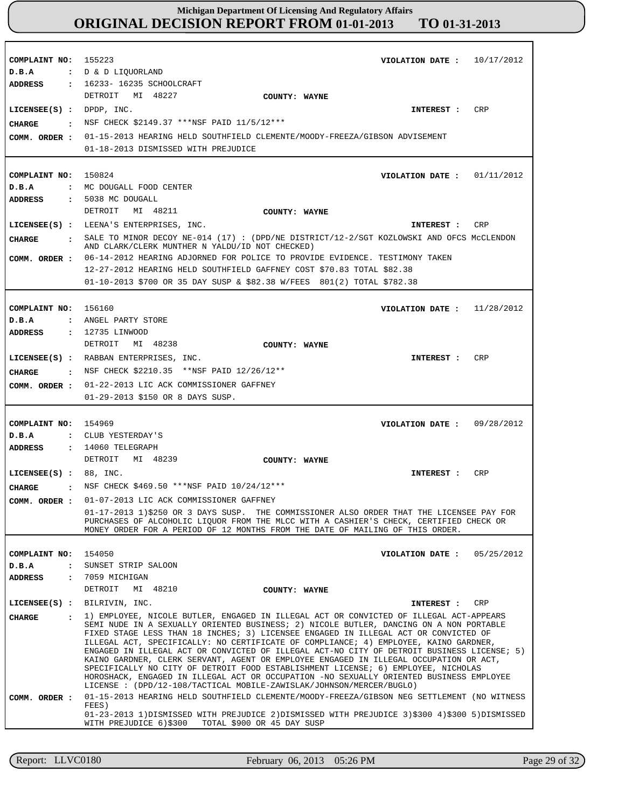| COMPLAINT NO: 155223<br>10/17/2012<br>VIOLATION DATE :<br>: D & D LIQUORLAND<br>: 16233- 16235 SCHOOLCRAFT                                                                                                                                                                                                                                                                                                                                                                                                                                                                                                                                                                                                                                                                                                                                                                                                                                                                                                                                                                                                           |
|----------------------------------------------------------------------------------------------------------------------------------------------------------------------------------------------------------------------------------------------------------------------------------------------------------------------------------------------------------------------------------------------------------------------------------------------------------------------------------------------------------------------------------------------------------------------------------------------------------------------------------------------------------------------------------------------------------------------------------------------------------------------------------------------------------------------------------------------------------------------------------------------------------------------------------------------------------------------------------------------------------------------------------------------------------------------------------------------------------------------|
| DETROIT MI 48227<br>COUNTY: WAYNE<br><b>CRP</b><br>$LICENSEE(S)$ : DPDP, INC.<br>INTEREST :<br>NSF CHECK \$2149.37 ***NSF PAID 11/5/12***<br>01-15-2013 HEARING HELD SOUTHFIELD CLEMENTE/MOODY-FREEZA/GIBSON ADVISEMENT<br>01-18-2013 DISMISSED WITH PREJUDICE                                                                                                                                                                                                                                                                                                                                                                                                                                                                                                                                                                                                                                                                                                                                                                                                                                                       |
| COMPLAINT NO: 150824<br>VIOLATION DATE: $01/11/2012$<br>: MC DOUGALL FOOD CENTER<br>: 5038 MC DOUGALL<br>MI 48211<br>DETROIT<br>COUNTY: WAYNE<br>LICENSEE(S) : LEENA'S ENTERPRISES, INC.<br>CRP<br>INTEREST :<br>: SALE TO MINOR DECOY NE-014 (17): (DPD/NE DISTRICT/12-2/SGT KOZLOWSKI AND OFCS McCLENDON<br>AND CLARK/CLERK MUNTHER N YALDU/ID NOT CHECKED)<br>06-14-2012 HEARING ADJORNED FOR POLICE TO PROVIDE EVIDENCE. TESTIMONY TAKEN<br>12-27-2012 HEARING HELD SOUTHFIELD GAFFNEY COST \$70.83 TOTAL \$82.38<br>01-10-2013 \$700 OR 35 DAY SUSP & \$82.38 W/FEES 801(2) TOTAL \$782.38                                                                                                                                                                                                                                                                                                                                                                                                                                                                                                                      |
| COMPLAINT NO: 156160<br>VIOLATION DATE: $11/28/2012$<br>: ANGEL PARTY STORE<br>: 12735 LINWOOD<br>MI 48238<br>DETROIT<br>COUNTY: WAYNE<br>LICENSEE(S) : RABBAN ENTERPRISES, INC.<br>CRP<br>INTEREST :<br>: NSF CHECK \$2210.35 **NSF PAID 12/26/12**<br>01-22-2013 LIC ACK COMMISSIONER GAFFNEY<br>01-29-2013 \$150 OR 8 DAYS SUSP.                                                                                                                                                                                                                                                                                                                                                                                                                                                                                                                                                                                                                                                                                                                                                                                  |
| COMPLAINT NO: 154969<br>VIOLATION DATE: $09/28/2012$<br>: CLUB YESTERDAY'S<br>$: 14060$ TELEGRAPH<br>DETROIT MI 48239<br>COUNTY: WAYNE<br>LICENSEE $(S)$ : 88, INC.<br>CRP<br>INTEREST :                                                                                                                                                                                                                                                                                                                                                                                                                                                                                                                                                                                                                                                                                                                                                                                                                                                                                                                             |
| . NSF CHECK \$469.50 ***NSF PAID $10/24/12***$<br>01-07-2013 LIC ACK COMMISSIONER GAFFNEY<br>01-17-2013 1)\$250 OR 3 DAYS SUSP. THE COMMISSIONER ALSO ORDER THAT THE LICENSEE PAY FOR<br>PURCHASES OF ALCOHOLIC LIQUOR FROM THE MLCC WITH A CASHIER'S CHECK, CERTIFIED CHECK OR<br>MONEY ORDER FOR A PERIOD OF 12 MONTHS FROM THE DATE OF MAILING OF THIS ORDER.                                                                                                                                                                                                                                                                                                                                                                                                                                                                                                                                                                                                                                                                                                                                                     |
| 154050<br>VIOLATION DATE :<br>05/25/2012<br>SUNSET STRIP SALOON<br>7059 MICHIGAN<br>DETROIT<br>MI 48210<br>COUNTY: WAYNE                                                                                                                                                                                                                                                                                                                                                                                                                                                                                                                                                                                                                                                                                                                                                                                                                                                                                                                                                                                             |
| BILRIVIN, INC.<br>CRP<br>INTEREST :<br>1) EMPLOYEE, NICOLE BUTLER, ENGAGED IN ILLEGAL ACT OR CONVICTED OF ILLEGAL ACT-APPEARS<br>SEMI NUDE IN A SEXUALLY ORIENTED BUSINESS; 2) NICOLE BUTLER, DANCING ON A NON PORTABLE<br>FIXED STAGE LESS THAN 18 INCHES; 3) LICENSEE ENGAGED IN ILLEGAL ACT OR CONVICTED OF<br>ILLEGAL ACT, SPECIFICALLY: NO CERTIFICATE OF COMPLIANCE; 4) EMPLOYEE, KAINO GARDNER,<br>ENGAGED IN ILLEGAL ACT OR CONVICTED OF ILLEGAL ACT-NO CITY OF DETROIT BUSINESS LICENSE; 5)<br>KAINO GARDNER, CLERK SERVANT, AGENT OR EMPLOYEE ENGAGED IN ILLEGAL OCCUPATION OR ACT,<br>SPECIFICALLY NO CITY OF DETROIT FOOD ESTABLISHMENT LICENSE; 6) EMPLOYEE, NICHOLAS<br>HOROSHACK, ENGAGED IN ILLEGAL ACT OR OCCUPATION -NO SEXUALLY ORIENTED BUSINESS EMPLOYEE<br>LICENSE : (DPD/12-108/TACTICAL MOBILE-ZAWISLAK/JOHNSON/MERCER/BUGLO)<br>01-15-2013 HEARING HELD SOUTHFIELD CLEMENTE/MOODY-FREEZA/GIBSON NEG SETTLEMENT (NO WITNESS<br>FEES)<br>01-23-2013 1)DISMISSED WITH PREJUDICE 2)DISMISSED WITH PREJUDICE 3)\$300 4)\$300 5)DISMISSED<br>WITH PREJUDICE 6)\$300<br>TOTAL \$900 OR 45 DAY SUSP |
|                                                                                                                                                                                                                                                                                                                                                                                                                                                                                                                                                                                                                                                                                                                                                                                                                                                                                                                                                                                                                                                                                                                      |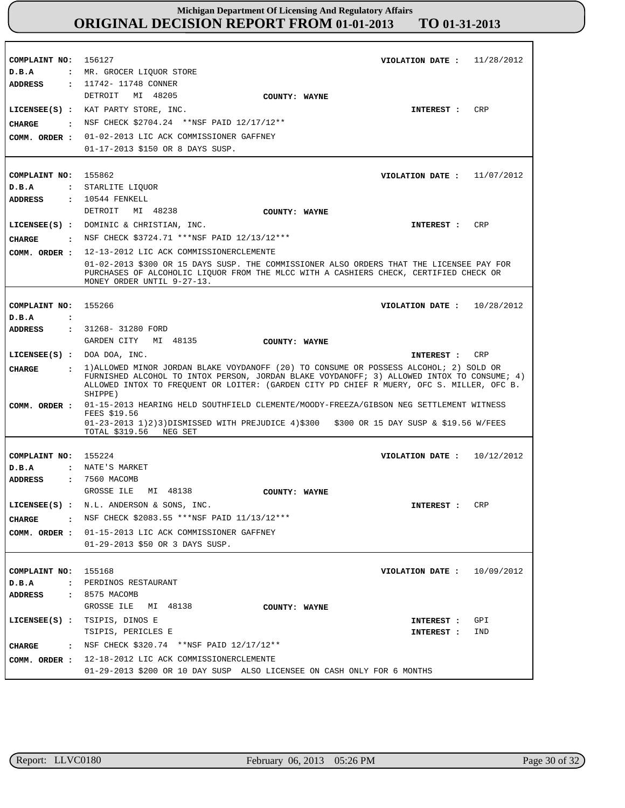**COMPLAINT NO:** 156127 **COMPLAINT NO:** 155862 **COMPLAINT NO:** 155266 **COMPLAINT NO:** 155224 **COMPLAINT NO:** 155168 **VIOLATION DATE : VIOLATION DATE :** 11/07/2012 **VIOLATION DATE :** 10/28/2012 **VIOLATION DATE :** 10/12/2012 **VIOLATION DATE :** 11/28/2012 10/09/2012 **D.B.A : D.B.A : D.B.A : D.B.A : D.B.A :** : MR. GROCER LIQUOR STORE STARLITE LIQUOR NATE'S MARKET PERDINOS RESTAURANT **ADDRESS : ADDRESS : ADDRESS : ADDRESS : ADDRESS :** 11742- 11748 CONNER 10544 FENKELL 31268- 31280 FORD 7560 MACOMB 8575 MACOMB DETROIT MI 48205 DETROIT MI 48238 GARDEN CITY MI 48135 GROSSE ILE MI 48138 GROSSE ILE MI 48138 01-02-2013 LIC ACK COMMISSIONER GAFFNEY **COMM. ORDER :** 01-17-2013 \$150 OR 8 DAYS SUSP. 12-13-2012 LIC ACK COMMISSIONERCLEMENTE **COMM. ORDER :** 01-02-2013 \$300 OR 15 DAYS SUSP. THE COMMISSIONER ALSO ORDERS THAT THE LICENSEE PAY FOR PURCHASES OF ALCOHOLIC LIQUOR FROM THE MLCC WITH A CASHIERS CHECK, CERTIFIED CHECK OR MONEY ORDER UNTIL 9-27-13. 01-15-2013 HEARING HELD SOUTHFIELD CLEMENTE/MOODY-FREEZA/GIBSON NEG SETTLEMENT WITNESS FEES \$19.56 01-23-2013 1)2)3)DISMISSED WITH PREJUDICE 4)\$300 \$300 OR 15 DAY SUSP & \$19.56 W/FEES TOTAL \$319.56 NEG SET 01-15-2013 LIC ACK COMMISSIONER GAFFNEY **COMM. ORDER :** 01-29-2013 \$50 OR 3 DAYS SUSP. 12-18-2012 LIC ACK COMMISSIONERCLEMENTE **COMM. ORDER :** 01-29-2013 \$200 OR 10 DAY SUSP ALSO LICENSEE ON CASH ONLY FOR 6 MONTHS **LICENSEE(S) :** KAT PARTY STORE, INC. **LICENSEE(S) :** DOMINIC & CHRISTIAN, INC. **LICENSEE(S) :** DOA DOA, INC. **LICENSEE(S) :** N.L. ANDERSON & SONS, INC. **LICENSEE(S) :** TSIPIS, DINOS E TSIPIS, PERICLES E CRP CR<sub>P</sub> CRP CRP GPI IND **CHARGE : CHARGE : CHARGE : CHARGE : CHARGE :** NSF CHECK \$2704.24 \*\*NSF PAID 12/17/12\*\* : NSF CHECK \$3724.71 \*\*\* NSF PAID 12/13/12 \*\*\* 1)ALLOWED MINOR JORDAN BLAKE VOYDANOFF (20) TO CONSUME OR POSSESS ALCOHOL; 2) SOLD OR FURNISHED ALCOHOL TO INTOX PERSON, JORDAN BLAKE VOYDANOFF; 3) ALLOWED INTOX TO CONSUME; 4) ALLOWED INTOX TO FREQUENT OR LOITER: (GARDEN CITY PD CHIEF R MUERY, OFC S. MILLER, OFC B. SHIPPE) : NSF CHECK \$2083.55 \*\*\* NSF PAID 11/13/12 \*\*\* NSF CHECK \$320.74 \*\*NSF PAID 12/17/12\*\* **INTEREST : INTEREST : INTEREST : INTEREST : INTEREST : INTEREST : COMM. ORDER : COUNTY: WAYNE COUNTY: WAYNE COUNTY: WAYNE COUNTY: WAYNE COUNTY: WAYNE**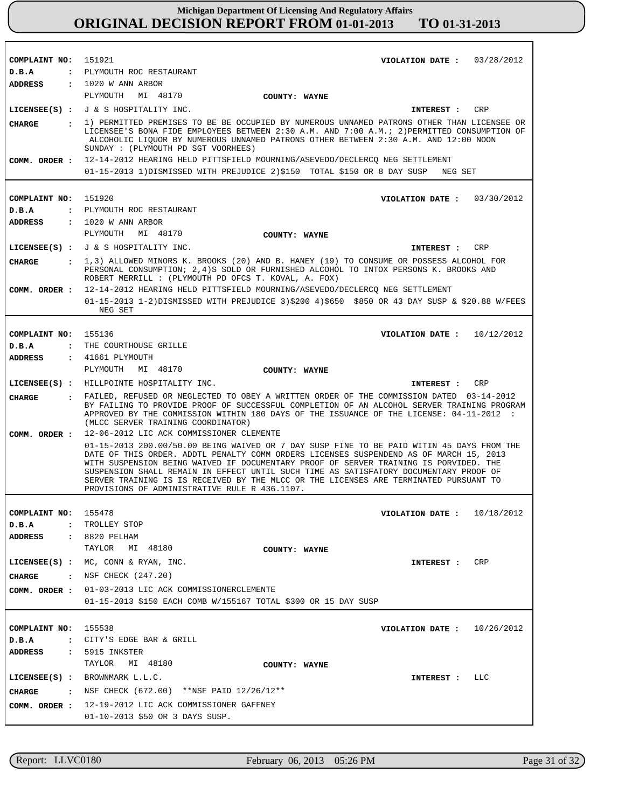| COMPLAINT NO:         | 151921<br>VIOLATION DATE: $03/28/2012$                                                                                                                                                                                                                                                                                                                                                                                                                                                                          |  |  |  |
|-----------------------|-----------------------------------------------------------------------------------------------------------------------------------------------------------------------------------------------------------------------------------------------------------------------------------------------------------------------------------------------------------------------------------------------------------------------------------------------------------------------------------------------------------------|--|--|--|
| D.B.A                 | : PLYMOUTH ROC RESTAURANT                                                                                                                                                                                                                                                                                                                                                                                                                                                                                       |  |  |  |
| ADDRESS               | $: 1020$ W ANN ARBOR<br>PLYMOUTH<br>MI 48170<br>COUNTY: WAYNE                                                                                                                                                                                                                                                                                                                                                                                                                                                   |  |  |  |
|                       | LICENSEE(S) : $J & S$ HOSPITALITY INC.<br>CRP                                                                                                                                                                                                                                                                                                                                                                                                                                                                   |  |  |  |
|                       | <b>INTEREST :</b>                                                                                                                                                                                                                                                                                                                                                                                                                                                                                               |  |  |  |
| <b>CHARGE</b>         | : 1) PERMITTED PREMISES TO BE BE OCCUPIED BY NUMEROUS UNNAMED PATRONS OTHER THAN LICENSEE OR<br>LICENSEE'S BONA FIDE EMPLOYEES BETWEEN 2:30 A.M. AND 7:00 A.M.; 2) PERMITTED CONSUMPTION OF<br>ALCOHOLIC LIQUOR BY NUMEROUS UNNAMED PATRONS OTHER BETWEEN 2:30 A.M. AND 12:00 NOON<br>SUNDAY : (PLYMOUTH PD SGT VOORHEES)                                                                                                                                                                                       |  |  |  |
|                       | COMM. ORDER: 12-14-2012 HEARING HELD PITTSFIELD MOURNING/ASEVEDO/DECLERCQ NEG SETTLEMENT                                                                                                                                                                                                                                                                                                                                                                                                                        |  |  |  |
|                       | 01-15-2013 1)DISMISSED WITH PREJUDICE 2)\$150 TOTAL \$150 OR 8 DAY SUSP<br>NEG SET                                                                                                                                                                                                                                                                                                                                                                                                                              |  |  |  |
|                       |                                                                                                                                                                                                                                                                                                                                                                                                                                                                                                                 |  |  |  |
| COMPLAINT NO:         | 151920<br>VIOLATION DATE: $03/30/2012$                                                                                                                                                                                                                                                                                                                                                                                                                                                                          |  |  |  |
| D.B.A                 | : PLYMOUTH ROC RESTAURANT                                                                                                                                                                                                                                                                                                                                                                                                                                                                                       |  |  |  |
| <b>ADDRESS</b>        | $: 1020$ W ANN ARBOR<br>PLYMOUTH<br>MI 48170                                                                                                                                                                                                                                                                                                                                                                                                                                                                    |  |  |  |
|                       | COUNTY: WAYNE                                                                                                                                                                                                                                                                                                                                                                                                                                                                                                   |  |  |  |
|                       | LICENSEE(S) : J & S HOSPITALITY INC.<br>CRP<br>INTEREST :                                                                                                                                                                                                                                                                                                                                                                                                                                                       |  |  |  |
| CHARGE                | $\,$ , 1,3) ALLOWED MINORS K. BROOKS (20) AND B. HANEY (19) TO CONSUME OR POSSESS ALCOHOL FOR<br>PERSONAL CONSUMPTION; 2,4)S SOLD OR FURNISHED ALCOHOL TO INTOX PERSONS K. BROOKS AND<br>ROBERT MERRILL : (PLYMOUTH PD OFCS T. KOVAL, A. FOX)                                                                                                                                                                                                                                                                   |  |  |  |
| COMM. ORDER :         | 12-14-2012 HEARING HELD PITTSFIELD MOURNING/ASEVEDO/DECLERCQ NEG SETTLEMENT                                                                                                                                                                                                                                                                                                                                                                                                                                     |  |  |  |
|                       | 01-15-2013 1-2)DISMISSED WITH PREJUDICE 3)\$200 4)\$650 \$850 OR 43 DAY SUSP & \$20.88 W/FEES<br>NEG SET                                                                                                                                                                                                                                                                                                                                                                                                        |  |  |  |
|                       |                                                                                                                                                                                                                                                                                                                                                                                                                                                                                                                 |  |  |  |
| COMPLAINT NO: 155136  | VIOLATION DATE : $10/12/2012$                                                                                                                                                                                                                                                                                                                                                                                                                                                                                   |  |  |  |
| D.B.A                 | : THE COURTHOUSE GRILLE                                                                                                                                                                                                                                                                                                                                                                                                                                                                                         |  |  |  |
| ADDRESS               | $: 41661$ PLYMOUTH                                                                                                                                                                                                                                                                                                                                                                                                                                                                                              |  |  |  |
|                       | PLYMOUTH<br>MI 48170<br>COUNTY: WAYNE                                                                                                                                                                                                                                                                                                                                                                                                                                                                           |  |  |  |
|                       | LICENSEE(S) : HILLPOINTE HOSPITALITY INC.<br>CRP<br>INTEREST :                                                                                                                                                                                                                                                                                                                                                                                                                                                  |  |  |  |
| CHARGE                | . FAILED, REFUSED OR NEGLECTED TO OBEY A WRITTEN ORDER OF THE COMMISSION DATED 03-14-2012<br>BY FAILING TO PROVIDE PROOF OF SUCCESSFUL COMPLETION OF AN ALCOHOL SERVER TRAINING PROGRAM<br>APPROVED BY THE COMMISSION WITHIN 180 DAYS OF THE ISSUANCE OF THE LICENSE: 04-11-2012 :<br>(MLCC SERVER TRAINING COORDINATOR)                                                                                                                                                                                        |  |  |  |
| COMM. ORDER :         | 12-06-2012 LIC ACK COMMISSIONER CLEMENTE                                                                                                                                                                                                                                                                                                                                                                                                                                                                        |  |  |  |
|                       | 01-15-2013 200.00/50.00 BEING WAIVED OR 7 DAY SUSP FINE TO BE PAID WITIN 45 DAYS FROM THE<br>DATE OF THIS ORDER. ADDTL PENALTY COMM ORDERS LICENSES SUSPENDEND AS OF MARCH 15, 2013<br>WITH SUSPENSION BEING WAIVED IF DOCUMENTARY PROOF OF SERVER TRAINING IS PORVIDED. THE<br>SUSPENSION SHALL REMAIN IN EFFECT UNTIL SUCH TIME AS SATISFATORY DOCUMENTARY PROOF OF<br>SERVER TRAINING IS IS RECEIVED BY THE MLCC OR THE LICENSES ARE TERMINATED PURSUANT TO<br>PROVISIONS OF ADMINISTRATIVE RULE R 436.1107. |  |  |  |
|                       |                                                                                                                                                                                                                                                                                                                                                                                                                                                                                                                 |  |  |  |
| COMPLAINT NO: 155478  | VIOLATION DATE : $10/18/2012$                                                                                                                                                                                                                                                                                                                                                                                                                                                                                   |  |  |  |
| D.B.A                 | : TROLLEY STOP                                                                                                                                                                                                                                                                                                                                                                                                                                                                                                  |  |  |  |
| ADDRESS : 8820 PELHAM | MI 48180<br>TAYLOR                                                                                                                                                                                                                                                                                                                                                                                                                                                                                              |  |  |  |
|                       | COUNTY: WAYNE                                                                                                                                                                                                                                                                                                                                                                                                                                                                                                   |  |  |  |
|                       | LICENSEE $(S)$ : MC, CONN & RYAN, INC.<br>INTEREST : CRP                                                                                                                                                                                                                                                                                                                                                                                                                                                        |  |  |  |
|                       | CHARGE : NSF CHECK (247.20)                                                                                                                                                                                                                                                                                                                                                                                                                                                                                     |  |  |  |
|                       | COMM. ORDER : 01-03-2013 LIC ACK COMMISSIONERCLEMENTE                                                                                                                                                                                                                                                                                                                                                                                                                                                           |  |  |  |
|                       | 01-15-2013 \$150 EACH COMB W/155167 TOTAL \$300 OR 15 DAY SUSP                                                                                                                                                                                                                                                                                                                                                                                                                                                  |  |  |  |
|                       |                                                                                                                                                                                                                                                                                                                                                                                                                                                                                                                 |  |  |  |
| COMPLAINT NO: 155538  | VIOLATION DATE: $10/26/2012$                                                                                                                                                                                                                                                                                                                                                                                                                                                                                    |  |  |  |
| D.B.A                 | : CITY'S EDGE BAR & GRILL                                                                                                                                                                                                                                                                                                                                                                                                                                                                                       |  |  |  |
|                       | ADDRESS : 5915 INKSTER                                                                                                                                                                                                                                                                                                                                                                                                                                                                                          |  |  |  |
|                       | TAYLOR MI 48180<br>COUNTY: WAYNE                                                                                                                                                                                                                                                                                                                                                                                                                                                                                |  |  |  |
|                       | $LICENSEE(S)$ : BROWNMARK $L.L.C.$<br>LLC<br>INTEREST :                                                                                                                                                                                                                                                                                                                                                                                                                                                         |  |  |  |
| CHARGE                | : NSF CHECK (672.00) **NSF PAID $12/26/12**$                                                                                                                                                                                                                                                                                                                                                                                                                                                                    |  |  |  |
|                       | COMM. ORDER : 12-19-2012 LIC ACK COMMISSIONER GAFFNEY                                                                                                                                                                                                                                                                                                                                                                                                                                                           |  |  |  |
|                       | 01-10-2013 \$50 OR 3 DAYS SUSP.                                                                                                                                                                                                                                                                                                                                                                                                                                                                                 |  |  |  |